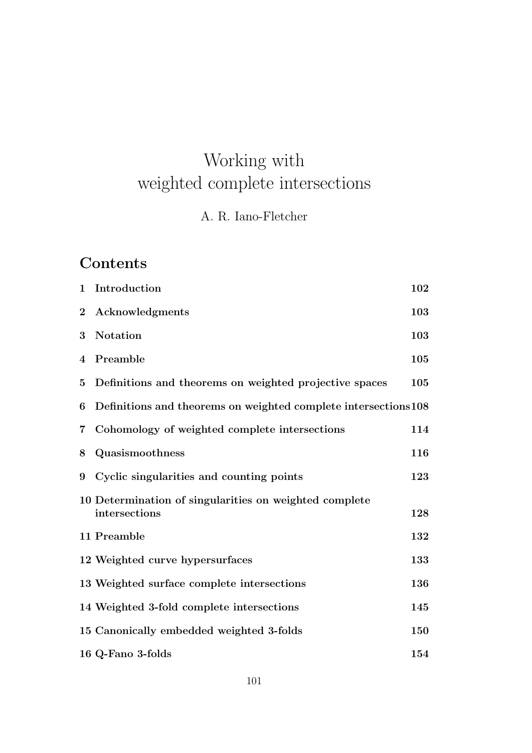# Working with weighted complete intersections

## A. R. Iano-Fletcher

## **Contents**

| $\mathbf{1}$            | Introduction                                                            | 102 |
|-------------------------|-------------------------------------------------------------------------|-----|
| $\bf{2}$                | Acknowledgments                                                         | 103 |
| $\bf{3}$                | <b>Notation</b>                                                         | 103 |
| $\overline{4}$          | Preamble                                                                | 105 |
| $\overline{5}$          | Definitions and theorems on weighted projective spaces                  | 105 |
| 6                       | Definitions and theorems on weighted complete intersections 108         |     |
| $\overline{\mathbf{7}}$ | Cohomology of weighted complete intersections                           | 114 |
| 8                       | Quasismoothness                                                         | 116 |
| 9                       | Cyclic singularities and counting points                                | 123 |
|                         | 10 Determination of singularities on weighted complete<br>intersections | 128 |
|                         | 11 Preamble                                                             | 132 |
|                         | 12 Weighted curve hypersurfaces                                         | 133 |
|                         | 13 Weighted surface complete intersections                              | 136 |
|                         | 14 Weighted 3-fold complete intersections                               | 145 |
|                         | 15 Canonically embedded weighted 3-folds                                | 150 |
|                         | 16 Q-Fano 3-folds                                                       | 154 |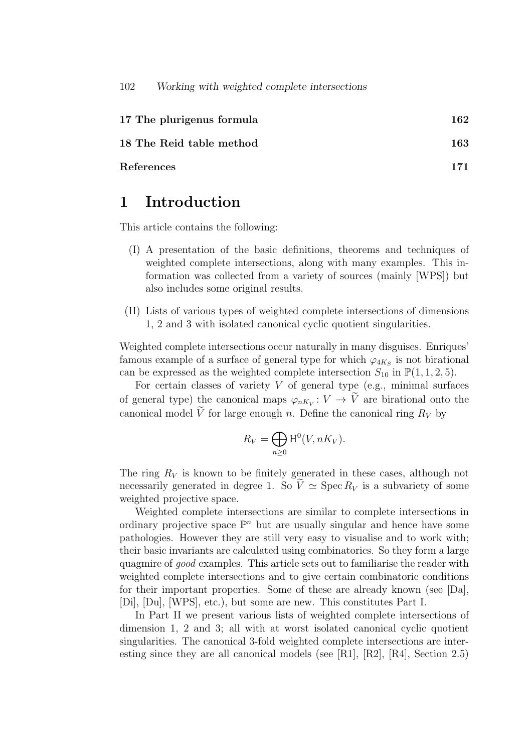| 17 The plurigenus formula | 162 |
|---------------------------|-----|
| 18 The Reid table method  | 163 |
| References                | 171 |

## 1 Introduction

This article contains the following:

- (I) A presentation of the basic definitions, theorems and techniques of weighted complete intersections, along with many examples. This information was collected from a variety of sources (mainly [WPS]) but also includes some original results.
- (II) Lists of various types of weighted complete intersections of dimensions 1, 2 and 3 with isolated canonical cyclic quotient singularities.

Weighted complete intersections occur naturally in many disguises. Enriques' famous example of a surface of general type for which  $\varphi_{4K_S}$  is not birational can be expressed as the weighted complete intersection  $S_{10}$  in  $\mathbb{P}(1,1,2,5)$ .

For certain classes of variety  $V$  of general type (e.g., minimal surfaces of general type) the canonical maps  $\varphi_{nK_V}: V \to V$  are birational onto the canonical model  $\widetilde{V}$  for large enough n. Define the canonical ring  $R_V$  by

$$
R_V = \bigoplus_{n \ge 0} \mathrm{H}^0(V, nK_V).
$$

The ring  $R_V$  is known to be finitely generated in these cases, although not necessarily generated in degree 1. So  $\tilde{V} \simeq$  Spec  $R_V$  is a subvariety of some weighted projective space.

Weighted complete intersections are similar to complete intersections in ordinary projective space  $\mathbb{P}^n$  but are usually singular and hence have some pathologies. However they are still very easy to visualise and to work with; their basic invariants are calculated using combinatorics. So they form a large quagmire of good examples. This article sets out to familiarise the reader with weighted complete intersections and to give certain combinatoric conditions for their important properties. Some of these are already known (see [Da], [Di], [Du], [WPS], etc.), but some are new. This constitutes Part I.

In Part II we present various lists of weighted complete intersections of dimension 1, 2 and 3; all with at worst isolated canonical cyclic quotient singularities. The canonical 3-fold weighted complete intersections are interesting since they are all canonical models (see [R1], [R2], [R4], Section 2.5)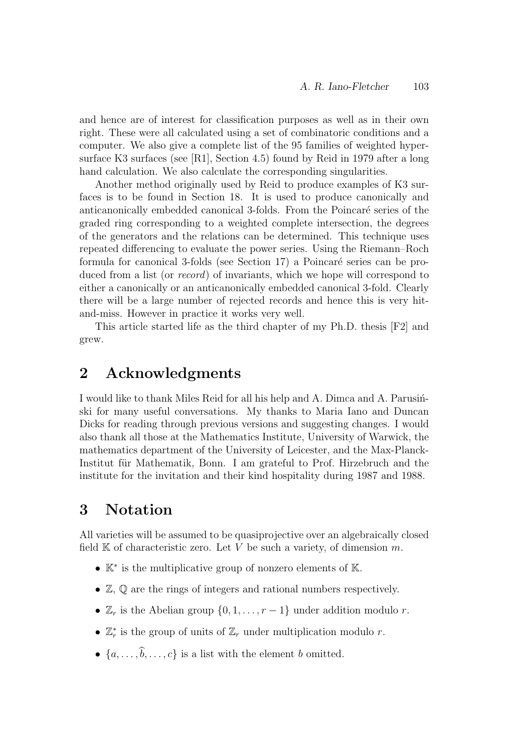and hence are of interest for classification purposes as well as in their own right. These were all calculated using a set of combinatoric conditions and a computer. We also give a complete list of the 95 families of weighted hypersurface K3 surfaces (see [R1], Section 4.5) found by Reid in 1979 after a long hand calculation. We also calculate the corresponding singularities.

Another method originally used by Reid to produce examples of K3 surfaces is to be found in Section 18. It is used to produce canonically and anticanonically embedded canonical 3-folds. From the Poincaré series of the graded ring corresponding to a weighted complete intersection, the degrees of the generators and the relations can be determined. This technique uses repeated differencing to evaluate the power series. Using the Riemann–Roch formula for canonical 3-folds (see Section 17) a Poincaré series can be produced from a list (or *record*) of invariants, which we hope will correspond to either a canonically or an anticanonically embedded canonical 3-fold. Clearly there will be a large number of rejected records and hence this is very hitand-miss. However in practice it works very well.

This article started life as the third chapter of my Ph.D. thesis [F2] and grew.

## 2 Acknowledgments

I would like to thank Miles Reid for all his help and A. Dimca and A. Parusinski for many useful conversations. My thanks to Maria Iano and Duncan Dicks for reading through previous versions and suggesting changes. I would also thank all those at the Mathematics Institute, University of Warwick, the mathematics department of the University of Leicester, and the Max-Planck-Institut für Mathematik, Bonn. I am grateful to Prof. Hirzebruch and the institute for the invitation and their kind hospitality during 1987 and 1988.

## 3 Notation

All varieties will be assumed to be quasiprojective over an algebraically closed field  $K$  of characteristic zero. Let V be such a variety, of dimension m.

- K<sup>∗</sup> is the multiplicative group of nonzero elements of K.
- Z, Q are the rings of integers and rational numbers respectively.
- $\mathbb{Z}_r$  is the Abelian group  $\{0, 1, \ldots, r-1\}$  under addition modulo r.
- $\mathbb{Z}_r^*$  is the group of units of  $\mathbb{Z}_r$  under multiplication modulo r.
- $\{a, \ldots, \widehat{b}, \ldots, c\}$  is a list with the element b omitted.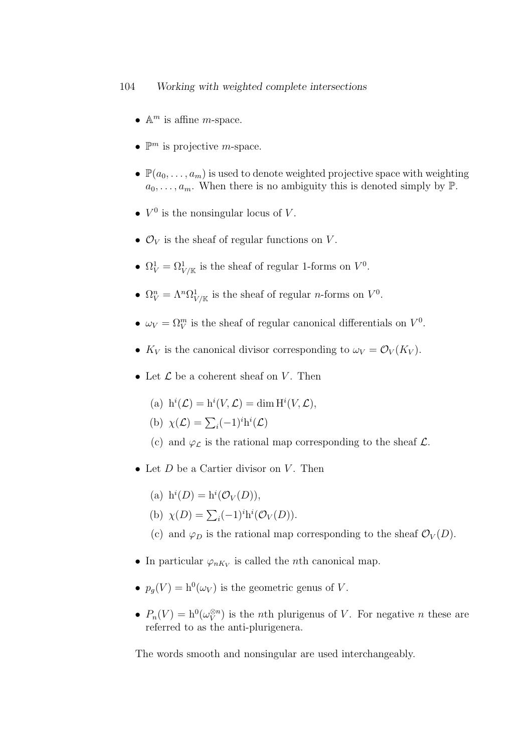- $\mathbb{A}^m$  is affine *m*-space.
- $\mathbb{P}^m$  is projective *m*-space.
- $\mathbb{P}(a_0, \ldots, a_m)$  is used to denote weighted projective space with weighting  $a_0, \ldots, a_m$ . When there is no ambiguity this is denoted simply by  $\mathbb{P}$ .
- $V^0$  is the nonsingular locus of V.
- $\mathcal{O}_V$  is the sheaf of regular functions on V.
- $\Omega_V^1 = \Omega_{V/\mathbb{K}}^1$  is the sheaf of regular 1-forms on  $V^0$ .
- $\Omega_V^n = \Lambda^n \Omega_{V/\mathbb{K}}^1$  is the sheaf of regular *n*-forms on  $V^0$ .
- $\omega_V = \Omega_V^m$  is the sheaf of regular canonical differentials on  $V^0$ .
- $K_V$  is the canonical divisor corresponding to  $\omega_V = \mathcal{O}_V(K_V)$ .
- Let  $\mathcal L$  be a coherent sheaf on V. Then
	- (a)  $h^i(\mathcal{L}) = h^i(V, \mathcal{L}) = \dim H^i(V, \mathcal{L}),$
	- (b)  $\chi(\mathcal{L}) = \sum_i (-1)^i h^i(\mathcal{L})$
	- (c) and  $\varphi_{\mathcal{L}}$  is the rational map corresponding to the sheaf  $\mathcal{L}$ .
- Let  $D$  be a Cartier divisor on  $V$ . Then
	- (a)  $h^i(D) = h^i(\mathcal{O}_V(D)),$
	- (b)  $\chi(D) = \sum_i (-1)^i h^i(\mathcal{O}_V(D)).$
	- (c) and  $\varphi_D$  is the rational map corresponding to the sheaf  $\mathcal{O}_V(D)$ .
- In particular  $\varphi_{nK_V}$  is called the *n*th canonical map.
- $p_g(V) = h^0(\omega_V)$  is the geometric genus of V.
- $P_n(V) = h^0(\omega_V^{\otimes n})$  $\binom{\otimes n}{V}$  is the *n*th plurigenus of *V*. For negative *n* these are referred to as the anti-plurigenera.

The words smooth and nonsingular are used interchangeably.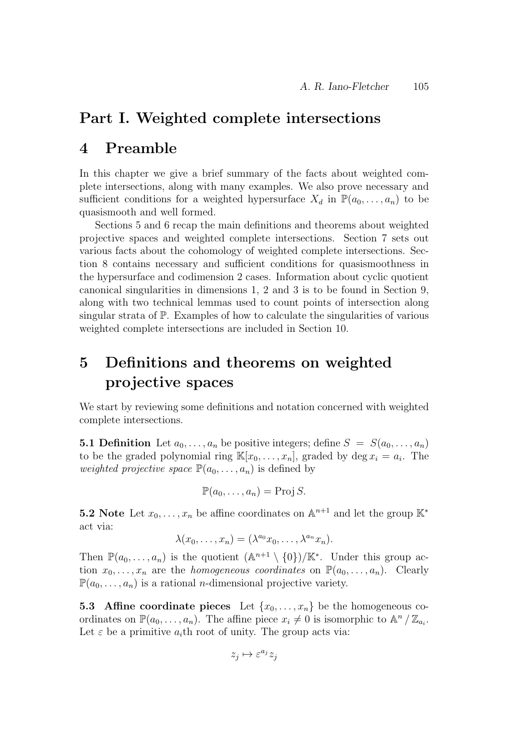### Part I. Weighted complete intersections

## 4 Preamble

In this chapter we give a brief summary of the facts about weighted complete intersections, along with many examples. We also prove necessary and sufficient conditions for a weighted hypersurface  $X_d$  in  $\mathbb{P}(a_0, \ldots, a_n)$  to be quasismooth and well formed.

Sections 5 and 6 recap the main definitions and theorems about weighted projective spaces and weighted complete intersections. Section 7 sets out various facts about the cohomology of weighted complete intersections. Section 8 contains necessary and sufficient conditions for quasismoothness in the hypersurface and codimension 2 cases. Information about cyclic quotient canonical singularities in dimensions 1, 2 and 3 is to be found in Section 9, along with two technical lemmas used to count points of intersection along singular strata of P. Examples of how to calculate the singularities of various weighted complete intersections are included in Section 10.

## 5 Definitions and theorems on weighted projective spaces

We start by reviewing some definitions and notation concerned with weighted complete intersections.

**5.1 Definition** Let  $a_0, \ldots, a_n$  be positive integers; define  $S = S(a_0, \ldots, a_n)$ to be the graded polynomial ring  $\mathbb{K}[x_0,\ldots,x_n]$ , graded by deg  $x_i = a_i$ . The weighted projective space  $\mathbb{P}(a_0, \ldots, a_n)$  is defined by

$$
\mathbb{P}(a_0,\ldots,a_n)=\operatorname{Proj} S.
$$

**5.2** Note Let  $x_0, \ldots, x_n$  be affine coordinates on  $\mathbb{A}^{n+1}$  and let the group  $\mathbb{K}^*$ act via:

$$
\lambda(x_0,\ldots,x_n)=(\lambda^{a_0}x_0,\ldots,\lambda^{a_n}x_n).
$$

Then  $\mathbb{P}(a_0,\ldots,a_n)$  is the quotient  $(\mathbb{A}^{n+1}\setminus\{0\})/\mathbb{K}^*$ . Under this group action  $x_0, \ldots, x_n$  are the *homogeneous coordinates* on  $\mathbb{P}(a_0, \ldots, a_n)$ . Clearly  $\mathbb{P}(a_0, \ldots, a_n)$  is a rational *n*-dimensional projective variety.

5.3 Affine coordinate pieces Let  $\{x_0, \ldots, x_n\}$  be the homogeneous coordinates on  $\mathbb{P}(a_0,\ldots,a_n)$ . The affine piece  $x_i \neq 0$  is isomorphic to  $\mathbb{A}^n/\mathbb{Z}_{a_i}$ . Let  $\varepsilon$  be a primitive  $a_i$ th root of unity. The group acts via:

$$
z_j\mapsto \varepsilon^{a_j}z_j
$$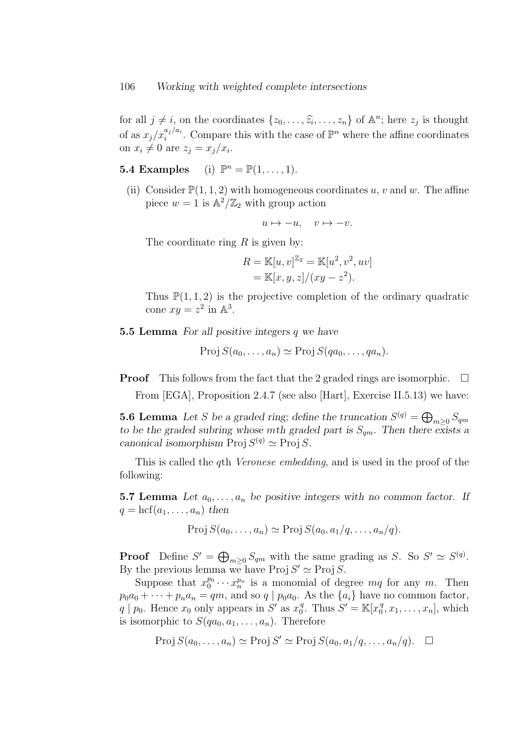for all  $j \neq i$ , on the coordinates  $\{z_0, \ldots, \hat{z_i}, \ldots, z_n\}$  of  $\mathbb{A}^n$ ; here  $z_j$  is thought of as  $x_j/x_i^{a_j/a_i}$ . Compare this with the case of  $\mathbb{P}^n$  where the affine coordinates on  $x_i \neq 0$  are  $z_j = x_j/x_i$ .

**5.4 Examples** (i)  $\mathbb{P}^n = \mathbb{P}(1, \ldots, 1).$ 

(ii) Consider  $\mathbb{P}(1,1,2)$  with homogeneous coordinates u, v and w. The affine piece  $w = 1$  is  $\mathbb{A}^2/\mathbb{Z}_2$  with group action

$$
u \mapsto -u, \quad v \mapsto -v.
$$

The coordinate ring  $R$  is given by:

$$
R = \mathbb{K}[u, v]^{\mathbb{Z}_2} = \mathbb{K}[u^2, v^2, uv]
$$
  
=  $\mathbb{K}[x, y, z]/(xy - z^2)$ .

Thus  $\mathbb{P}(1,1,2)$  is the projective completion of the ordinary quadratic cone  $xy = z^2$  in  $\mathbb{A}^3$ .

5.5 Lemma For all positive integers q we have

 $Proj S(a_0, \ldots, a_n) \simeq Proj S(qa_0, \ldots, qa_n).$ 

**Proof** This follows from the fact that the 2 graded rings are isomorphic.  $\Box$ 

From [EGA], Proposition 2.4.7 (see also [Hart], Exercise II.5.13) we have:

**5.6 Lemma** Let S be a graded ring; define the truncation  $S^{(q)} = \bigoplus_{m \geq 0} S_{qm}$ to be the graded subring whose mth graded part is  $S_{qm}$ . Then there exists a canonical isomorphism Proj  $S^{(q)} \simeq$  Proj S.

This is called the *q*th *Veronese embedding*, and is used in the proof of the following:

**5.7 Lemma** Let  $a_0, \ldots, a_n$  be positive integers with no common factor. If  $q = \text{hcf}(a_1, \ldots, a_n)$  then

$$
Proj S(a_0, ..., a_n) \simeq Proj S(a_0, a_1/q, ..., a_n/q).
$$

**Proof** Define  $S' = \bigoplus_{m \geq 0} S_{qm}$  with the same grading as S. So  $S' \simeq S^{(q)}$ . By the previous lemma we have Proj  $S' \simeq$  Proj S.

Suppose that  $x_0^{p_0} \cdots x_n^{p_n}$  is a monomial of degree  $mq$  for any m. Then  $p_0a_0 + \cdots + p_na_n = qm$ , and so  $q \mid p_0a_0$ . As the  $\{a_i\}$  have no common factor,  $q \mid p_0$ . Hence  $x_0$  only appears in  $S'$  as  $x_0^q$  $S' = \mathbb{K}[x_0^q]$  $[x_0^q, x_1, \ldots, x_n]$ , which is isomorphic to  $S(qa_0, a_1, \ldots, a_n)$ . Therefore

$$
Proj S(a_0, ..., a_n) \simeq Proj S' \simeq Proj S(a_0, a_1/q, ..., a_n/q). \square
$$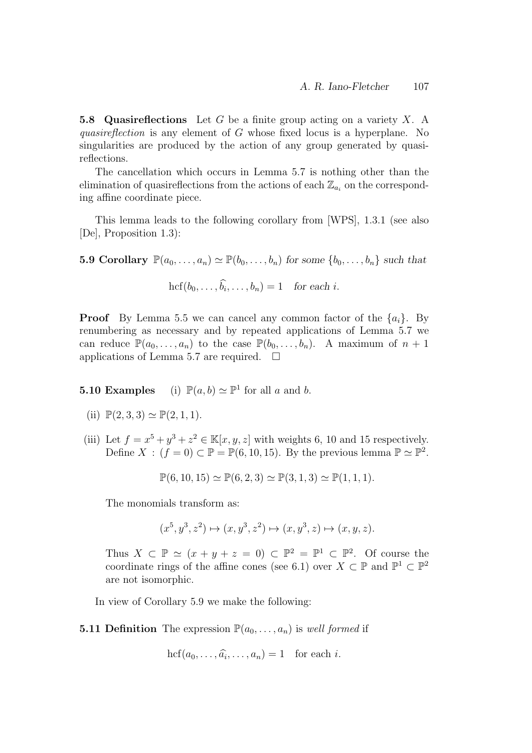**5.8 Quasireflections** Let G be a finite group acting on a variety X. A quasireflection is any element of G whose fixed locus is a hyperplane. No singularities are produced by the action of any group generated by quasireflections.

The cancellation which occurs in Lemma 5.7 is nothing other than the elimination of quasireflections from the actions of each  $\mathbb{Z}_{a_i}$  on the corresponding affine coordinate piece.

This lemma leads to the following corollary from [WPS], 1.3.1 (see also [De], Proposition 1.3):

5.9 Corollary  $\mathbb{P}(a_0, \ldots, a_n) \simeq \mathbb{P}(b_0, \ldots, b_n)$  for some  $\{b_0, \ldots, b_n\}$  such that

$$
hcf(b_0,\ldots,\hat{b_i},\ldots,b_n)=1 \quad for each i.
$$

**Proof** By Lemma 5.5 we can cancel any common factor of the  $\{a_i\}$ . By renumbering as necessary and by repeated applications of Lemma 5.7 we can reduce  $\mathbb{P}(a_0,\ldots,a_n)$  to the case  $\mathbb{P}(b_0,\ldots,b_n)$ . A maximum of  $n+1$ applications of Lemma 5.7 are required.  $\square$ 

**5.10 Examples** (i)  $\mathbb{P}(a, b) \simeq \mathbb{P}^1$  for all a and b.

- (ii)  $\mathbb{P}(2,3,3) \simeq \mathbb{P}(2,1,1)$ .
- (iii) Let  $f = x^5 + y^3 + z^2 \in \mathbb{K}[x, y, z]$  with weights 6, 10 and 15 respectively. Define  $X : (f = 0) \subset \mathbb{P} = \mathbb{P}(6, 10, 15)$ . By the previous lemma  $\mathbb{P} \simeq \mathbb{P}^2$ .

$$
\mathbb{P}(6, 10, 15) \simeq \mathbb{P}(6, 2, 3) \simeq \mathbb{P}(3, 1, 3) \simeq \mathbb{P}(1, 1, 1).
$$

The monomials transform as:

$$
(x^5, y^3, z^2) \mapsto (x, y^3, z^2) \mapsto (x, y^3, z) \mapsto (x, y, z).
$$

Thus  $X \subset \mathbb{P} \simeq (x + y + z = 0) \subset \mathbb{P}^2 = \mathbb{P}^1 \subset \mathbb{P}^2$ . Of course the coordinate rings of the affine cones (see 6.1) over  $X \subset \mathbb{P}$  and  $\mathbb{P}^1 \subset \mathbb{P}^2$ are not isomorphic.

In view of Corollary 5.9 we make the following:

**5.11 Definition** The expression  $\mathbb{P}(a_0, \ldots, a_n)$  is well formed if

 $\text{hcf}(a_0,\ldots,\widehat{a_i},\ldots,a_n)=1$  for each *i*.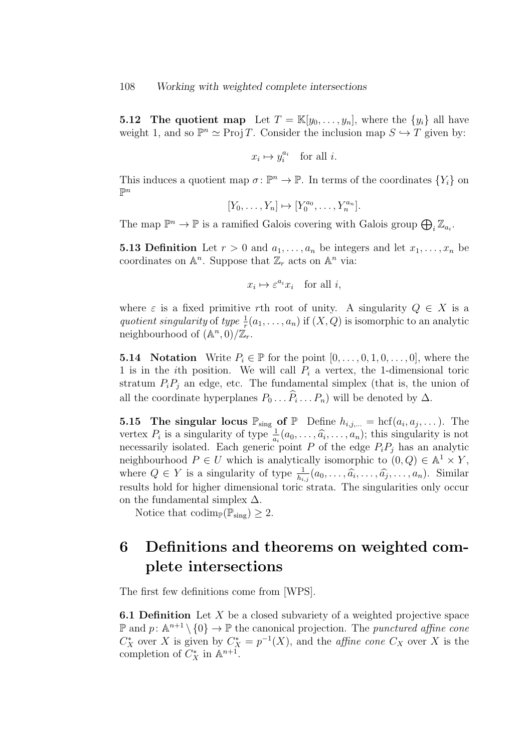**5.12 The quotient map** Let  $T = \mathbb{K}[y_0, \ldots, y_n]$ , where the  $\{y_i\}$  all have weight 1, and so  $\mathbb{P}^n \simeq \text{Proj } T$ . Consider the inclusion map  $S \hookrightarrow T$  given by:

$$
x_i\mapsto y_i^{a_i}\quad\text{for all }i.
$$

This induces a quotient map  $\sigma: \mathbb{P}^n \to \mathbb{P}$ . In terms of the coordinates  $\{Y_i\}$  on  $\mathbb{P}^n$ 

$$
[Y_0, \ldots, Y_n] \mapsto [Y_0^{a_0}, \ldots, Y_n^{a_n}].
$$

The map  $\mathbb{P}^n \to \mathbb{P}$  is a ramified Galois covering with Galois group  $\bigoplus_i \mathbb{Z}_{a_i}$ .

**5.13 Definition** Let  $r > 0$  and  $a_1, \ldots, a_n$  be integers and let  $x_1, \ldots, x_n$  be coordinates on  $\mathbb{A}^n$ . Suppose that  $\mathbb{Z}_r$  acts on  $\mathbb{A}^n$  via:

$$
x_i \mapsto \varepsilon^{a_i} x_i \quad \text{for all } i,
$$

where  $\varepsilon$  is a fixed primitive rth root of unity. A singularity  $Q \in X$  is a quotient singularity of type  $\frac{1}{r}(a_1, \ldots, a_n)$  if  $(X, Q)$  is isomorphic to an analytic neighbourhood of  $(\mathbb{A}^n, 0)/\mathbb{Z}_r$ .

**5.14** Notation Write  $P_i \in \mathbb{P}$  for the point  $[0, \ldots, 0, 1, 0, \ldots, 0]$ , where the 1 is in the *i*th position. We will call  $P_i$  a vertex, the 1-dimensional toric stratum  $P_iP_j$  an edge, etc. The fundamental simplex (that is, the union of all the coordinate hyperplanes  $P_0 \dots P_i \dots P_n$ ) will be denoted by  $\Delta$ .

**5.15 The singular locus**  $\mathbb{P}_{sing}$  of  $\mathbb{P}$  Define  $h_{i,j,...} = \text{hcf}(a_i, a_j,...)$ . The vertex  $P_i$  is a singularity of type  $\frac{1}{a_i}(a_0, \ldots, \hat{a_i}, \ldots, a_n)$ ; this singularity is not necessarily isolated. Each generic point P of the edge  $P_iP_j$  has an analytic neighbourhood  $P \in U$  which is analytically isomorphic to  $(0, Q) \in \mathbb{A}^1 \times Y$ , where  $Q \in Y$  is a singularity of type  $\frac{1}{h_{i,j}}(a_0, \ldots, \widehat{a_i}, \ldots, \widehat{a_j}, \ldots, a_n)$ . Similar results hold for higher dimensional toric strata. The singularities only occur on the fundamental simplex  $\Delta$ .

Notice that codim<sub>P</sub>( $\mathbb{P}_{sing}$ )  $\geq 2$ .

## 6 Definitions and theorems on weighted complete intersections

The first few definitions come from [WPS].

**6.1 Definition** Let  $X$  be a closed subvariety of a weighted projective space  $\mathbb{P}$  and  $p: \mathbb{A}^{n+1} \setminus \{0\} \to \mathbb{P}$  the canonical projection. The *punctured affine cone*  $C_X^*$  over X is given by  $C_X^* = p^{-1}(X)$ , and the *affine cone*  $C_X$  over X is the completion of  $C_X^*$  in  $\mathbb{A}^{n+1}$ .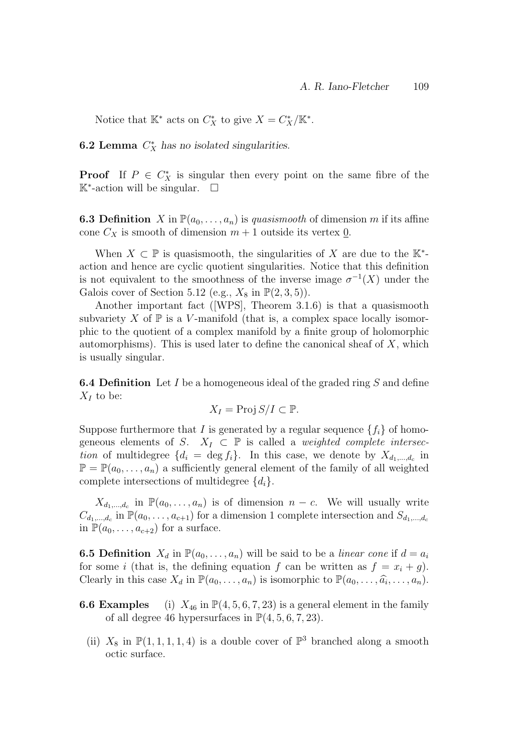Notice that  $\mathbb{K}^*$  acts on  $C_X^*$  to give  $X = C_X^*/\mathbb{K}^*$ .

**6.2 Lemma**  $C_X^*$  has no isolated singularities.

**Proof** If  $P \in C_X^*$  is singular then every point on the same fibre of the K<sup>∗</sup> -action will be singular.

**6.3 Definition** X in  $\mathbb{P}(a_0, \ldots, a_n)$  is quasismooth of dimension m if its affine cone  $C_X$  is smooth of dimension  $m + 1$  outside its vertex 0.

When  $X \subset \mathbb{P}$  is quasismooth, the singularities of X are due to the  $\mathbb{K}^*$ action and hence are cyclic quotient singularities. Notice that this definition is not equivalent to the smoothness of the inverse image  $\sigma^{-1}(X)$  under the Galois cover of Section 5.12 (e.g.,  $X_8$  in  $\mathbb{P}(2,3,5)$ ).

Another important fact ([WPS], Theorem 3.1.6) is that a quasismooth subvariety X of  $\mathbb P$  is a V-manifold (that is, a complex space locally isomorphic to the quotient of a complex manifold by a finite group of holomorphic automorphisms). This is used later to define the canonical sheaf of  $X$ , which is usually singular.

**6.4 Definition** Let I be a homogeneous ideal of the graded ring S and define  $X_I$  to be:

$$
X_I = \text{Proj } S/I \subset \mathbb{P}.
$$

Suppose furthermore that I is generated by a regular sequence  $\{f_i\}$  of homogeneous elements of S.  $X_I \subset \mathbb{P}$  is called a *weighted complete intersec*tion of multidegree  $\{d_i = \deg f_i\}$ . In this case, we denote by  $X_{d_1,\dots,d_c}$  in  $\mathbb{P} = \mathbb{P}(a_0, \ldots, a_n)$  a sufficiently general element of the family of all weighted complete intersections of multidegree  $\{d_i\}.$ 

 $X_{d_1,\ldots,d_c}$  in  $\mathbb{P}(a_0,\ldots,a_n)$  is of dimension  $n-c$ . We will usually write  $C_{d_1,\dots,d_c}$  in  $\mathbb{P}(a_0,\dots,a_{c+1})$  for a dimension 1 complete intersection and  $S_{d_1,\dots,d_c}$ in  $\mathbb{P}(a_0,\ldots,a_{c+2})$  for a surface.

**6.5 Definition**  $X_d$  in  $\mathbb{P}(a_0, \ldots, a_n)$  will be said to be a *linear cone* if  $d = a_i$ for some i (that is, the defining equation f can be written as  $f = x_i + g$ ). Clearly in this case  $X_d$  in  $\mathbb{P}(a_0, \ldots, a_n)$  is isomorphic to  $\mathbb{P}(a_0, \ldots, \widehat{a_i}, \ldots, a_n)$ .

- **6.6 Examples** (i)  $X_{46}$  in  $\mathbb{P}(4, 5, 6, 7, 23)$  is a general element in the family of all degree 46 hypersurfaces in  $\mathbb{P}(4, 5, 6, 7, 23)$ .
	- (ii)  $X_8$  in  $\mathbb{P}(1,1,1,1,4)$  is a double cover of  $\mathbb{P}^3$  branched along a smooth octic surface.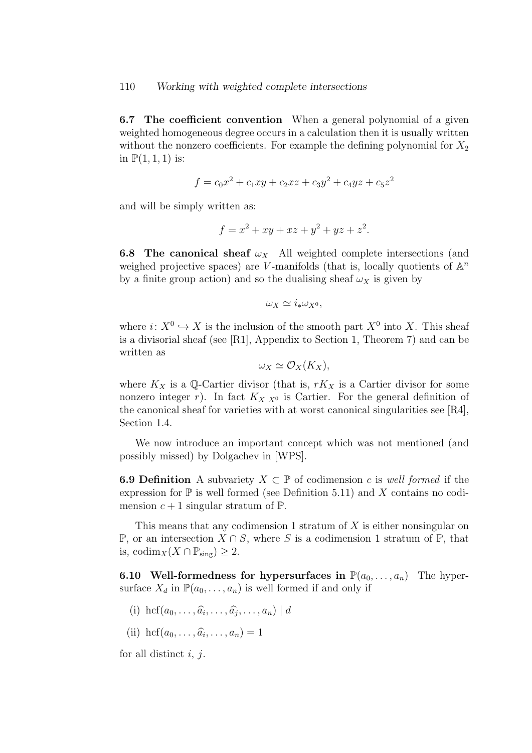6.7 The coefficient convention When a general polynomial of a given weighted homogeneous degree occurs in a calculation then it is usually written without the nonzero coefficients. For example the defining polynomial for  $X_2$ in  $\mathbb{P}(1,1,1)$  is:

$$
f = c_0 x^2 + c_1 xy + c_2 x z + c_3 y^2 + c_4 y z + c_5 z^2
$$

and will be simply written as:

$$
f = x^2 + xy + xz + y^2 + yz + z^2.
$$

**6.8 The canonical sheaf**  $\omega_X$  All weighted complete intersections (and weighed projective spaces) are V-manifolds (that is, locally quotients of  $\mathbb{A}^n$ by a finite group action) and so the dualising sheaf  $\omega_X$  is given by

$$
\omega_X \simeq i_* \omega_{X^0},
$$

where  $i: X^0 \hookrightarrow X$  is the inclusion of the smooth part  $X^0$  into X. This sheaf is a divisorial sheaf (see [R1], Appendix to Section 1, Theorem 7) and can be written as

$$
\omega_X \simeq \mathcal{O}_X(K_X),
$$

where  $K_X$  is a Q-Cartier divisor (that is,  $rK_X$  is a Cartier divisor for some nonzero integer r). In fact  $K_X|_{X^0}$  is Cartier. For the general definition of the canonical sheaf for varieties with at worst canonical singularities see [R4], Section 1.4.

We now introduce an important concept which was not mentioned (and possibly missed) by Dolgachev in [WPS].

**6.9 Definition** A subvariety  $X \subset \mathbb{P}$  of codimension c is well formed if the expression for  $\mathbb P$  is well formed (see Definition 5.11) and X contains no codimension  $c + 1$  singular stratum of  $\mathbb{P}$ .

This means that any codimension 1 stratum of  $X$  is either nonsingular on P, or an intersection  $X \cap S$ , where S is a codimension 1 stratum of P, that is, codim<sub>X</sub> $(X \cap \mathbb{P}_{sing}) \geq 2$ .

**6.10 Well-formedness for hypersurfaces in**  $\mathbb{P}(a_0, \ldots, a_n)$  The hypersurface  $X_d$  in  $\mathbb{P}(a_0, \ldots, a_n)$  is well formed if and only if

- (i) hcf $(a_0, \ldots, \widehat{a}_i, \ldots, \widehat{a}_j, \ldots, a_n) \mid d$
- (ii)  $\mathrm{hcf}(a_0, \ldots, \widehat{a_i}, \ldots, a_n) = 1$

for all distinct  $i, j$ .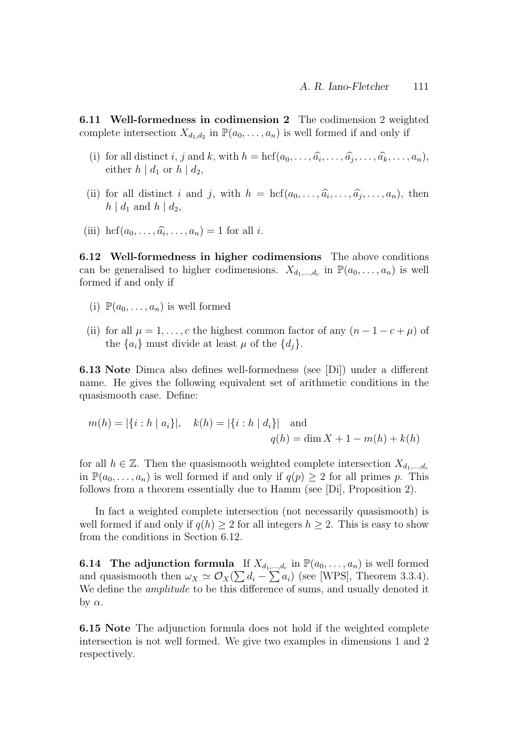6.11 Well-formedness in codimension 2 The codimension 2 weighted complete intersection  $X_{d_1,d_2}$  in  $\mathbb{P}(a_0,\ldots,a_n)$  is well formed if and only if

- (i) for all distinct i, j and k, with  $h = \text{hcf}(a_0, \ldots, \widehat{a_i}, \ldots, \widehat{a_j}, \ldots, \widehat{a_k}, \ldots, a_n)$ ,<br>either  $h \mid d$  or  $h \mid d$ either  $h \, | \, d_1$  or  $h \, | \, d_2$ ,
- (ii) for all distinct i and j, with  $h = \text{hcf}(a_0, \ldots, \widehat{a_i}, \ldots, \widehat{a_j}, \ldots, a_n)$ , then  $h \mid d_1$  and  $h \mid d_2$ ,
- (iii) hcf $(a_0, \ldots, \widehat{a_i}, \ldots, a_n) = 1$  for all *i*.

6.12 Well-formedness in higher codimensions The above conditions can be generalised to higher codimensions.  $X_{d_1,\dots,d_c}$  in  $\mathbb{P}(a_0,\dots,a_n)$  is well formed if and only if

- (i)  $\mathbb{P}(a_0,\ldots,a_n)$  is well formed
- (ii) for all  $\mu = 1, \ldots, c$  the highest common factor of any  $(n 1 c + \mu)$  of the  ${a_i}$  must divide at least  $\mu$  of the  ${d_i}$ .

6.13 Note Dimca also defines well-formedness (see [Di]) under a different name. He gives the following equivalent set of arithmetic conditions in the quasismooth case. Define:

$$
m(h) = |\{i : h \mid a_i\}|, \quad k(h) = |\{i : h \mid d_i\}| \quad \text{and}
$$

$$
q(h) = \dim X + 1 - m(h) + k(h)
$$

for all  $h \in \mathbb{Z}$ . Then the quasismooth weighted complete intersection  $X_{d_1,\dots,d_c}$ in  $\mathbb{P}(a_0, \ldots, a_n)$  is well formed if and only if  $q(p) \geq 2$  for all primes p. This follows from a theorem essentially due to Hamm (see [Di], Proposition 2).

In fact a weighted complete intersection (not necessarily quasismooth) is well formed if and only if  $q(h) \geq 2$  for all integers  $h \geq 2$ . This is easy to show from the conditions in Section 6.12.

**6.14** The adjunction formula If  $X_{d_1,\dots,d_c}$  in  $\mathbb{P}(a_0,\dots,a_n)$  is well formed and quasismooth then  $\omega_X \simeq \mathcal{O}_X(\sum d_i - \sum a_i)$  (see [WPS], Theorem 3.3.4). We define the *amplitude* to be this difference of sums, and usually denoted it by  $\alpha$ .

6.15 Note The adjunction formula does not hold if the weighted complete intersection is not well formed. We give two examples in dimensions 1 and 2 respectively.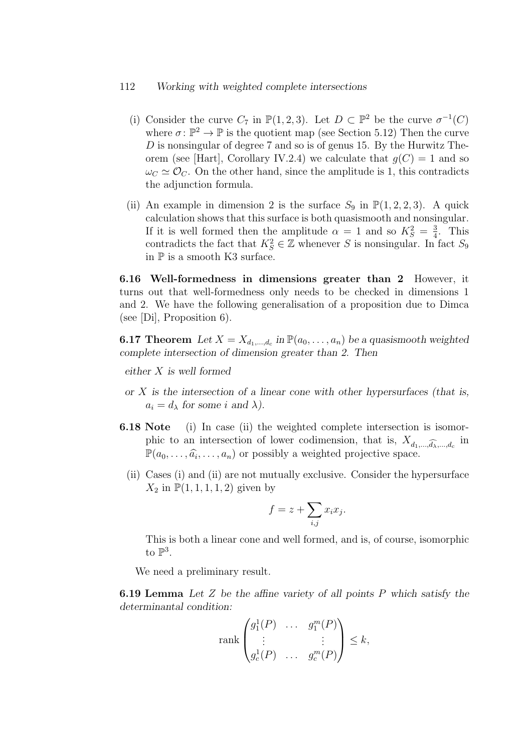#### 112 Working with weighted complete intersections

- (i) Consider the curve  $C_7$  in  $\mathbb{P}(1,2,3)$ . Let  $D \subset \mathbb{P}^2$  be the curve  $\sigma^{-1}(C)$ where  $\sigma: \mathbb{P}^2 \to \mathbb{P}$  is the quotient map (see Section 5.12) Then the curve D is nonsingular of degree 7 and so is of genus 15. By the Hurwitz Theorem (see [Hart], Corollary IV.2.4) we calculate that  $g(C) = 1$  and so  $\omega_C \simeq \mathcal{O}_C$ . On the other hand, since the amplitude is 1, this contradicts the adjunction formula.
- (ii) An example in dimension 2 is the surface  $S_9$  in  $\mathbb{P}(1, 2, 2, 3)$ . A quick calculation shows that this surface is both quasismooth and nonsingular. If it is well formed then the amplitude  $\alpha = 1$  and so  $K_S^2 = \frac{3}{4}$  $\frac{3}{4}$ . This contradicts the fact that  $K_S^2 \in \mathbb{Z}$  whenever S is nonsingular. In fact  $S_9$ in  $\mathbb P$  is a smooth K3 surface.

6.16 Well-formedness in dimensions greater than 2 However, it turns out that well-formedness only needs to be checked in dimensions 1 and 2. We have the following generalisation of a proposition due to Dimca (see [Di], Proposition 6).

**6.17 Theorem** Let  $X = X_{d_1,...,d_c}$  in  $\mathbb{P}(a_0,...,a_n)$  be a quasismooth weighted complete intersection of dimension greater than 2. Then

either X is well formed

- or  $X$  is the intersection of a linear cone with other hypersurfaces (that is,  $a_i = d_\lambda$  for some i and  $\lambda$ ).
- 6.18 Note (i) In case (ii) the weighted complete intersection is isomorphic to an intersection of lower codimension, that is,  $X_{d_1,\dots,\widehat{d_\lambda},\dots,d_c}$  in  $\mathbb{P}(a_0,\ldots,\widehat{a_i},\ldots,a_n)$  or possibly a weighted projective space.
	- (ii) Cases (i) and (ii) are not mutually exclusive. Consider the hypersurface  $X_2$  in  $\mathbb{P}(1, 1, 1, 1, 2)$  given by

$$
f = z + \sum_{i,j} x_i x_j.
$$

This is both a linear cone and well formed, and is, of course, isomorphic to  $\mathbb{P}^3$ .

We need a preliminary result.

6.19 Lemma Let Z be the affine variety of all points P which satisfy the determinantal condition:

$$
\operatorname{rank}\begin{pmatrix} g_1^1(P) & \dots & g_1^m(P) \\ \vdots & & \vdots \\ g_c^1(P) & \dots & g_c^m(P) \end{pmatrix} \le k,
$$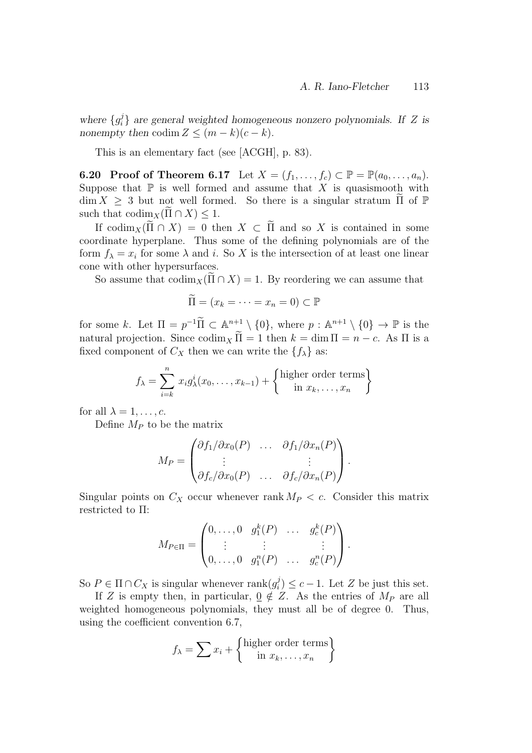where  $\{g_i^j\}$  $e_i^j$  are general weighted homogeneous nonzero polynomials. If Z is nonempty then codim  $Z \leq (m-k)(c-k)$ .

This is an elementary fact (see [ACGH], p. 83).

**6.20** Proof of Theorem 6.17 Let  $X = (f_1, \ldots, f_c) \subset \mathbb{P} = \mathbb{P}(a_0, \ldots, a_n)$ . Suppose that  $\mathbb P$  is well formed and assume that X is quasismooth with  $\dim X \geq 3$  but not well formed. So there is a singular stratum  $\Pi$  of  $\mathbb P$ such that  $\operatorname{codim}_X(\Pi \cap X) \leq 1$ .

If  $\operatorname{codim}_X(\Pi \cap X) = 0$  then  $X \subset \Pi$  and so X is contained in some coordinate hyperplane. Thus some of the defining polynomials are of the form  $f_{\lambda} = x_i$  for some  $\lambda$  and i. So X is the intersection of at least one linear cone with other hypersurfaces.

So assume that  $\operatorname{codim}_X(\Pi \cap X) = 1$ . By reordering we can assume that

$$
\widetilde{\Pi} = (x_k = \dots = x_n = 0) \subset \mathbb{P}
$$

for some k. Let  $\Pi = p^{-1} \widetilde{\Pi} \subset \mathbb{A}^{n+1} \setminus \{0\}$ , where  $p : \mathbb{A}^{n+1} \setminus \{0\} \to \mathbb{P}$  is the natural projection. Since  $\operatorname{codim}_X \widetilde{\Pi} = 1$  then  $k = \dim \Pi = n - c$ . As  $\Pi$  is a fixed component of  $C_X$  then we can write the  $\{f_\lambda\}$  as:

$$
f_{\lambda} = \sum_{i=k}^{n} x_i g_{\lambda}^{i}(x_0, \dots, x_{k-1}) + \left\{ \begin{matrix} \text{higher order terms} \\ \text{in } x_k, \dots, x_n \end{matrix} \right\}
$$

for all  $\lambda = 1, \ldots, c$ .

Define  $M_P$  to be the matrix

$$
M_P = \begin{pmatrix} \partial f_1/\partial x_0(P) & \dots & \partial f_1/\partial x_n(P) \\ \vdots & & \vdots \\ \partial f_c/\partial x_0(P) & \dots & \partial f_c/\partial x_n(P) \end{pmatrix}.
$$

Singular points on  $C_X$  occur whenever rank  $M_P < c$ . Consider this matrix restricted to Π:

$$
M_{P \in \Pi} = \begin{pmatrix} 0, \dots, 0 & g_1^k(P) & \dots & g_c^k(P) \\ \vdots & \vdots & & \vdots \\ 0, \dots, 0 & g_1^n(P) & \dots & g_c^n(P) \end{pmatrix}.
$$

So  $P \in \Pi \cap C_X$  is singular whenever rank $(g_i^j)$  $i) \leq c - 1$ . Let Z be just this set.

If Z is empty then, in particular,  $\underline{0} \notin \underline{Z}$ . As the entries of  $M_P$  are all weighted homogeneous polynomials, they must all be of degree 0. Thus, using the coefficient convention 6.7,

$$
f_{\lambda} = \sum x_i + \left\{ \begin{matrix} \text{higher order terms} \\ \text{in } x_k, \dots, x_n \end{matrix} \right\}
$$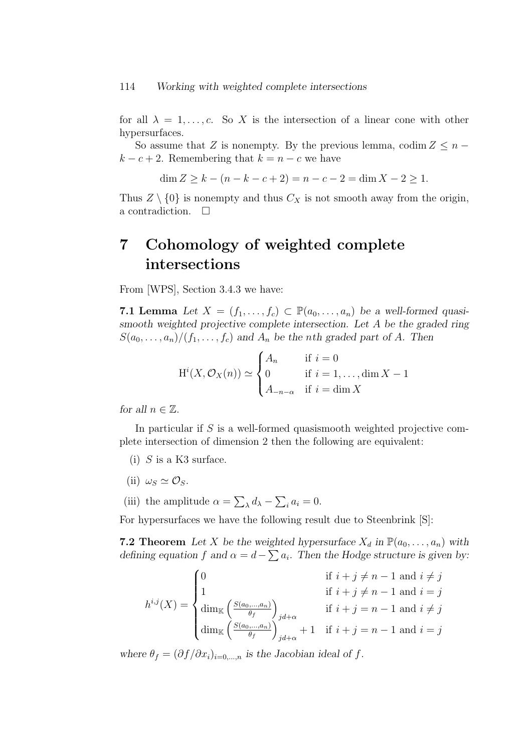for all  $\lambda = 1, \ldots, c$ . So X is the intersection of a linear cone with other hypersurfaces.

So assume that Z is nonempty. By the previous lemma, codim  $Z \leq n$  $k - c + 2$ . Remembering that  $k = n - c$  we have

$$
\dim Z \ge k - (n - k - c + 2) = n - c - 2 = \dim X - 2 \ge 1.
$$

Thus  $Z \setminus \{0\}$  is nonempty and thus  $C_X$  is not smooth away from the origin, a contradiction.  $\Box$ 

## 7 Cohomology of weighted complete intersections

From [WPS], Section 3.4.3 we have:

7.1 Lemma Let  $X = (f_1, \ldots, f_c) \subset \mathbb{P}(a_0, \ldots, a_n)$  be a well-formed quasismooth weighted projective complete intersection. Let A be the graded ring  $S(a_0, \ldots, a_n)/(f_1, \ldots, f_c)$  and  $A_n$  be the nth graded part of A. Then

$$
H^{i}(X, \mathcal{O}_{X}(n)) \simeq \begin{cases} A_{n} & \text{if } i = 0 \\ 0 & \text{if } i = 1, \dots, \dim X - 1 \\ A_{-n-\alpha} & \text{if } i = \dim X \end{cases}
$$

for all  $n \in \mathbb{Z}$ .

In particular if S is a well-formed quasismooth weighted projective complete intersection of dimension 2 then the following are equivalent:

- (i)  $S$  is a K3 surface.
- (ii)  $\omega_S \simeq \mathcal{O}_S$ .
- (iii) the amplitude  $\alpha = \sum_{\lambda} d_{\lambda} \sum_{i} a_{i} = 0$ .

For hypersurfaces we have the following result due to Steenbrink [S]:

**7.2 Theorem** Let X be the weighted hypersurface  $X_d$  in  $\mathbb{P}(a_0, \ldots, a_n)$  with defining equation f and  $\alpha = d - \sum a_i$ . Then the Hodge structure is given by:

$$
h^{i,j}(X) = \begin{cases} 0 & \text{if } i+j \neq n-1 \text{ and } i \neq j \\ 1 & \text{if } i+j = n-1 \text{ and } i = j \\ \dim_{\mathbb{K}} \left( \frac{S(a_0, \dots, a_n)}{\theta_f} \right)_{jd+\alpha} & \text{if } i+j = n-1 \text{ and } i \neq j \\ \dim_{\mathbb{K}} \left( \frac{S(a_0, \dots, a_n)}{\theta_f} \right)_{jd+\alpha} + 1 & \text{if } i+j = n-1 \text{ and } i = j \end{cases}
$$

where  $\theta_f = (\partial f / \partial x_i)_{i=0,...,n}$  is the Jacobian ideal of f.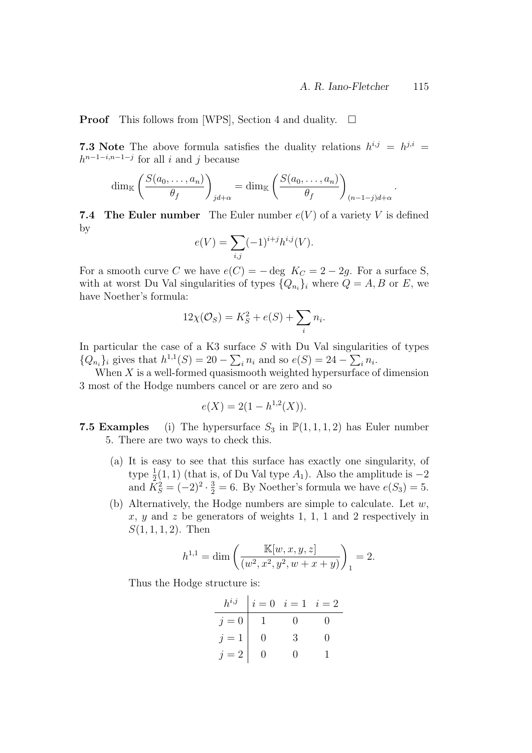.

**Proof** This follows from [WPS], Section 4 and duality.  $\Box$ 

7.3 Note The above formula satisfies the duality relations  $h^{i,j} = h^{j,i} =$  $h^{n-1-i,n-1-j}$  for all i and j because

$$
\dim_{\mathbb{K}} \left( \frac{S(a_0, \dots, a_n)}{\theta_f} \right)_{jd + \alpha} = \dim_{\mathbb{K}} \left( \frac{S(a_0, \dots, a_n)}{\theta_f} \right)_{(n-1-j)d + \alpha}
$$

**7.4 The Euler number** The Euler number  $e(V)$  of a variety V is defined by

$$
e(V) = \sum_{i,j} (-1)^{i+j} h^{i,j}(V).
$$

For a smooth curve C we have  $e(C) = - \deg K_C = 2 - 2g$ . For a surface S, with at worst Du Val singularities of types  $\{Q_{n_i}\}_i$  where  $Q = A, B$  or E, we have Noether's formula:

$$
12\chi(\mathcal{O}_S) = K_S^2 + e(S) + \sum_i n_i.
$$

In particular the case of a K3 surface  $S$  with Du Val singularities of types  ${Q_{n_i}}_i$  gives that  $h^{1,1}(S) = 20 - \sum_i n_i$  and so  $e(S) = 24 - \sum_i n_i$ .

When  $X$  is a well-formed quasismooth weighted hypersurface of dimension 3 most of the Hodge numbers cancel or are zero and so

$$
e(X) = 2(1 - h^{1,2}(X)).
$$

- **7.5 Examples** (i) The hypersurface  $S_3$  in  $\mathbb{P}(1,1,1,2)$  has Euler number 5. There are two ways to check this.
	- (a) It is easy to see that this surface has exactly one singularity, of type  $\frac{1}{2}(1,1)$  (that is, of Du Val type  $A_1$ ). Also the amplitude is  $-2$ and  $K_S^2 = (-2)^2 \cdot \frac{3}{2} = 6$ . By Noether's formula we have  $e(S_3) = 5$ .
	- (b) Alternatively, the Hodge numbers are simple to calculate. Let  $w$ , x, y and z be generators of weights 1, 1, 1 and 2 respectively in  $S(1, 1, 1, 2)$ . Then

$$
h^{1,1} = \dim\left(\frac{\mathbb{K}[w, x, y, z]}{(w^2, x^2, y^2, w + x + y)}\right)_1 = 2.
$$

Thus the Hodge structure is:

| $h^{i,j}$ | $i = 0$ | $i = 1$ | $i = 2$ |
|-----------|---------|---------|---------|
| $j = 0$   | 1       | 0       | 0       |
| $j = 1$   | 0       | 3       | 0       |
| $j = 2$   | 0       | 0       | 1       |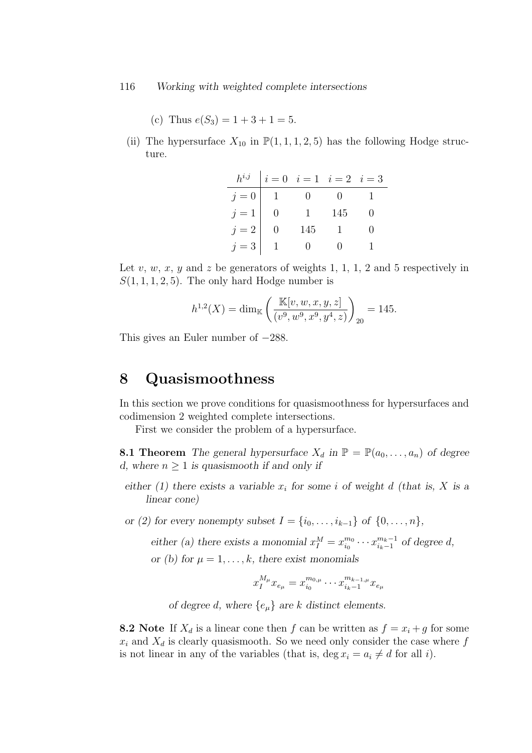#### 116 Working with weighted complete intersections

(c) Thus  $e(S_3) = 1 + 3 + 1 = 5$ .

(ii) The hypersurface  $X_{10}$  in  $\mathbb{P}(1,1,1,2,5)$  has the following Hodge structure.

|                | $h^{i,j}$ $ i = 0$ $i = 1$ $i = 2$ $i = 3$ |              |     |  |
|----------------|--------------------------------------------|--------------|-----|--|
| $j=0$   $\,$ 1 |                                            |              |     |  |
| $j=1\;\big \;$ | $\overline{\phantom{0}}$                   | $\mathbf{1}$ | 145 |  |
| $j=2$          |                                            | 145          |     |  |
| $j=3$          |                                            |              |     |  |

Let v, w, x, y and z be generators of weights 1, 1, 1, 2 and 5 respectively in  $S(1, 1, 1, 2, 5)$ . The only hard Hodge number is

$$
h^{1,2}(X) = \dim_{\mathbb{K}} \left( \frac{\mathbb{K}[v, w, x, y, z]}{(v^9, w^9, x^9, y^4, z)} \right)_{20} = 145.
$$

This gives an Euler number of −288.

### 8 Quasismoothness

In this section we prove conditions for quasismoothness for hypersurfaces and codimension 2 weighted complete intersections.

First we consider the problem of a hypersurface.

**8.1 Theorem** The general hypersurface  $X_d$  in  $\mathbb{P} = \mathbb{P}(a_0, \ldots, a_n)$  of degree d, where  $n \geq 1$  is quasismooth if and only if

- either (1) there exists a variable  $x_i$  for some i of weight d (that is, X is a linear cone)
- or (2) for every nonempty subset  $I = \{i_0, ..., i_{k-1}\}$  of  $\{0, ..., n\}$ ,

either (a) there exists a monomial  $x_1^M = x_{i_0}^{m_0}$  $\frac{m_0}{i_0} \cdots x_{i_k-1}^{m_k-1}$  $\int_{i_k-1}^{m_k-1}$  of degree d, or (b) for  $u = 1, \ldots, k$ , there exist monomials

$$
f(x) = 1, \ldots, n
$$
, since each monom has

$$
x_1^{M_\mu} x_{e_\mu} = x_{i_0}^{m_{0,\mu}} \cdots x_{i_k-1}^{m_{k-1,\mu}} x_{e_\mu}
$$

of degree d, where  $\{e_{\mu}\}\$ are k distinct elements.

**8.2** Note If  $X_d$  is a linear cone then f can be written as  $f = x_i + g$  for some  $x_i$  and  $X_d$  is clearly quasismooth. So we need only consider the case where  $f$ is not linear in any of the variables (that is, deg  $x_i = a_i \neq d$  for all i).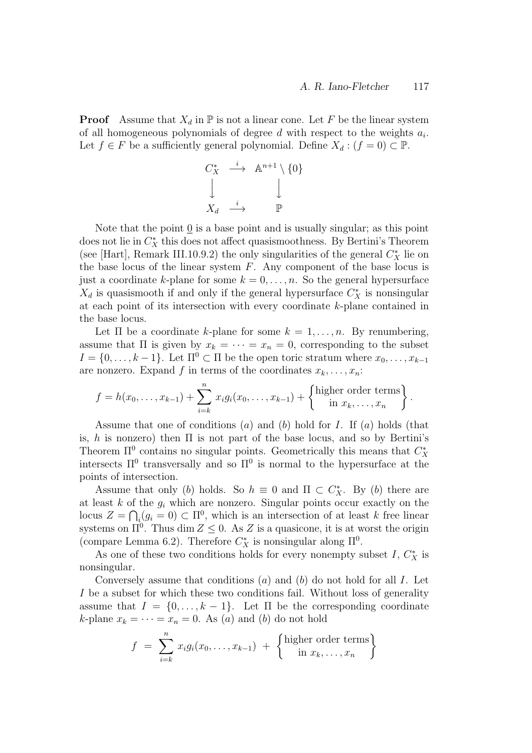**Proof** Assume that  $X_d$  in  $\mathbb P$  is not a linear cone. Let F be the linear system of all homogeneous polynomials of degree  $d$  with respect to the weights  $a_i$ . Let  $f \in F$  be a sufficiently general polynomial. Define  $X_d : (f = 0) \subset \mathbb{P}$ .

$$
\begin{array}{ccc}\nC_X^* & \xrightarrow{i} & \mathbb{A}^{n+1} \setminus \{0\} \\
\downarrow & & \downarrow \\
X_d & \xrightarrow{i} & \mathbb{P}\n\end{array}
$$

Note that the point  $\underline{0}$  is a base point and is usually singular; as this point does not lie in  $C_X^*$  this does not affect quasismoothness. By Bertini's Theorem (see [Hart], Remark III.10.9.2) the only singularities of the general  $C_X^*$  lie on the base locus of the linear system  $F$ . Any component of the base locus is just a coordinate k-plane for some  $k = 0, \ldots, n$ . So the general hypersurface  $X_d$  is quasismooth if and only if the general hypersurface  $C_X^*$  is nonsingular at each point of its intersection with every coordinate k-plane contained in the base locus.

Let  $\Pi$  be a coordinate k-plane for some  $k = 1, \ldots, n$ . By renumbering, assume that  $\Pi$  is given by  $x_k = \cdots = x_n = 0$ , corresponding to the subset  $I = \{0, \ldots, k-1\}$ . Let  $\Pi^0 \subset \Pi$  be the open toric stratum where  $x_0, \ldots, x_{k-1}$ are nonzero. Expand f in terms of the coordinates  $x_k, \ldots, x_n$ :

$$
f = h(x_0, \ldots, x_{k-1}) + \sum_{i=k}^n x_i g_i(x_0, \ldots, x_{k-1}) + \left\{ \begin{matrix} \text{higher order terms} \\ \text{in } x_k, \ldots, x_n \end{matrix} \right\}.
$$

Assume that one of conditions  $(a)$  and  $(b)$  hold for I. If  $(a)$  holds (that is, h is nonzero) then  $\Pi$  is not part of the base locus, and so by Bertini's Theorem  $\Pi^0$  contains no singular points. Geometrically this means that  $C_X^*$ intersects  $\Pi^0$  transversally and so  $\Pi^0$  is normal to the hypersurface at the points of intersection.

Assume that only (b) holds. So  $h \equiv 0$  and  $\Pi \subset C_X^*$ . By (b) there are at least  $k$  of the  $g_i$  which are nonzero. Singular points occur exactly on the locus  $Z = \bigcap_i (g_i = 0) \subset \Pi^0$ , which is an intersection of at least k free linear systems on  $\Pi^0$ . Thus dim  $Z \leq 0$ . As Z is a quasicone, it is at worst the origin (compare Lemma 6.2). Therefore  $C_X^*$  is nonsingular along  $\Pi^0$ .

As one of these two conditions holds for every nonempty subset  $I, C_X^*$  is nonsingular.

Conversely assume that conditions  $(a)$  and  $(b)$  do not hold for all I. Let I be a subset for which these two conditions fail. Without loss of generality assume that  $I = \{0, \ldots, k-1\}$ . Let  $\Pi$  be the corresponding coordinate k-plane  $x_k = \cdots = x_n = 0$ . As (a) and (b) do not hold

$$
f = \sum_{i=k}^{n} x_i g_i(x_0, \dots, x_{k-1}) + \left\{ \begin{matrix} \text{higher order terms} \\ \text{in } x_k, \dots, x_n \end{matrix} \right\}
$$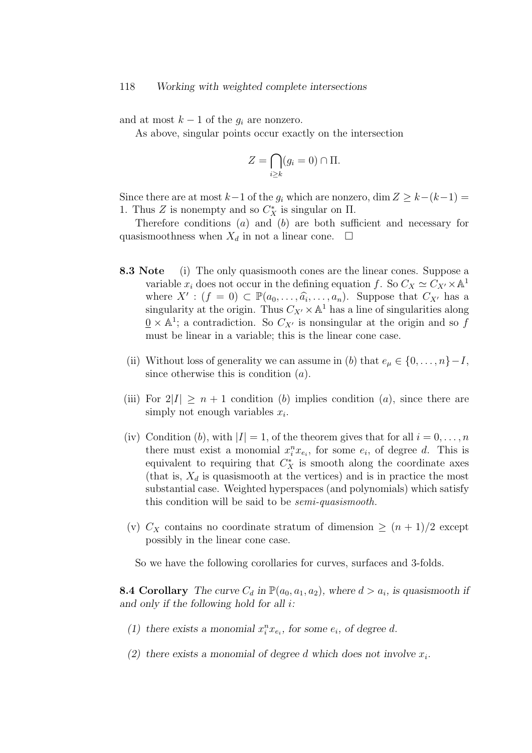and at most  $k-1$  of the  $g_i$  are nonzero.

As above, singular points occur exactly on the intersection

$$
Z = \bigcap_{i \ge k} (g_i = 0) \cap \Pi.
$$

Since there are at most  $k-1$  of the  $g_i$  which are nonzero, dim  $Z \geq k-(k-1) =$ 1. Thus Z is nonempty and so  $C_X^*$  is singular on  $\Pi$ .

Therefore conditions (a) and (b) are both sufficient and necessary for quasismoothness when  $X_d$  in not a linear cone.  $\Box$ 

- 8.3 Note (i) The only quasismooth cones are the linear cones. Suppose a variable  $x_i$  does not occur in the defining equation f. So  $C_X \simeq C_{X'} \times \mathbb{A}^1$ where  $X' : (f = 0) \subset \mathbb{P}(a_0, \ldots, \widehat{a_i}, \ldots, a_n)$ . Suppose that  $C_{X'}$  has a singularity at the origin. Thus  $C_{\infty} \times \mathbb{A}^1$  has a line of singularities along singularity at the origin. Thus  $C_{X'} \times \mathbb{A}^1$  has a line of singularities along  $\underline{0} \times \mathbb{A}^1$ ; a contradiction. So  $C_{X'}$  is nonsingular at the origin and so f must be linear in a variable; this is the linear cone case.
	- (ii) Without loss of generality we can assume in (b) that  $e_{\mu} \in \{0, \ldots, n\}-I$ , since otherwise this is condition  $(a)$ .
- (iii) For  $2|I| > n + 1$  condition (b) implies condition (a), since there are simply not enough variables  $x_i$ .
- (iv) Condition (b), with  $|I| = 1$ , of the theorem gives that for all  $i = 0, \ldots, n$ there must exist a monomial  $x_i^n x_{e_i}$ , for some  $e_i$ , of degree d. This is equivalent to requiring that  $C_X^*$  is smooth along the coordinate axes (that is,  $X_d$  is quasismooth at the vertices) and is in practice the most substantial case. Weighted hyperspaces (and polynomials) which satisfy this condition will be said to be semi-quasismooth.
- (v)  $C_X$  contains no coordinate stratum of dimension  $\geq (n+1)/2$  except possibly in the linear cone case.

So we have the following corollaries for curves, surfaces and 3-folds.

**8.4 Corollary** The curve  $C_d$  in  $\mathbb{P}(a_0, a_1, a_2)$ , where  $d > a_i$ , is quasismooth if and only if the following hold for all i:

- (1) there exists a monomial  $x_i^n x_{e_i}$ , for some  $e_i$ , of degree d.
- (2) there exists a monomial of degree d which does not involve  $x_i$ .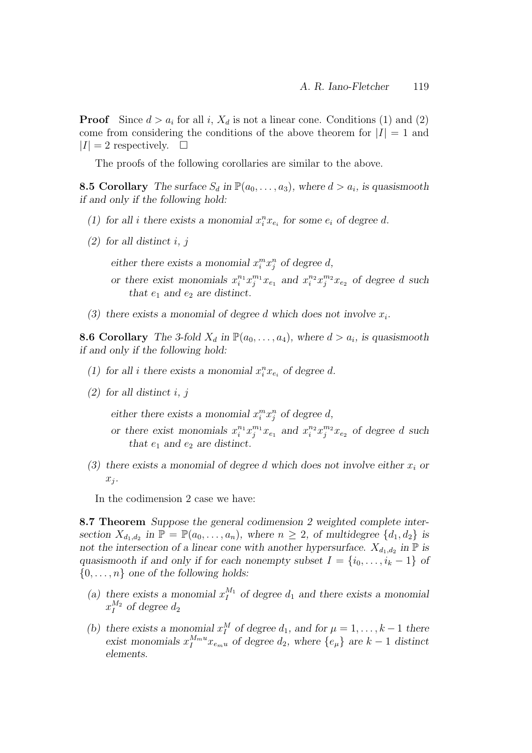**Proof** Since  $d > a_i$  for all i,  $X_d$  is not a linear cone. Conditions (1) and (2) come from considering the conditions of the above theorem for  $|I| = 1$  and  $|I| = 2$  respectively.  $\Box$ 

The proofs of the following corollaries are similar to the above.

**8.5 Corollary** The surface  $S_d$  in  $\mathbb{P}(a_0, \ldots, a_3)$ , where  $d > a_i$ , is quasismooth if and only if the following hold:

- (1) for all *i* there exists a monomial  $x_i^n x_{e_i}$  for some  $e_i$  of degree d.
- $(2)$  for all distinct i, j

either there exists a monomial  $x_i^m x_j^n$  of degree d,

- or there exist monomials  $x_i^{n_1} x_j^{m_1} x_{e_1}$  and  $x_i^{n_2} x_j^{m_2} x_{e_2}$  of degree d such that  $e_1$  and  $e_2$  are distinct.
- (3) there exists a monomial of degree d which does not involve  $x_i$ .

**8.6 Corollary** The 3-fold  $X_d$  in  $\mathbb{P}(a_0, \ldots, a_4)$ , where  $d > a_i$ , is quasismooth if and only if the following hold:

- (1) for all *i* there exists a monomial  $x_i^n x_{e_i}$  of degree d.
- $(2)$  for all distinct i, j

either there exists a monomial  $x_i^m x_j^n$  of degree d,

- or there exist monomials  $x_i^{n_1} x_j^{m_1} x_{e_1}$  and  $x_i^{n_2} x_j^{m_2} x_{e_2}$  of degree d such that  $e_1$  and  $e_2$  are distinct.
- (3) there exists a monomial of degree d which does not involve either  $x_i$  or  $x_j$ .

In the codimension 2 case we have:

8.7 Theorem Suppose the general codimension 2 weighted complete intersection  $X_{d_1,d_2}$  in  $\mathbb{P} = \mathbb{P}(a_0,\ldots,a_n)$ , where  $n \geq 2$ , of multidegree  $\{d_1, d_2\}$  is not the intersection of a linear cone with another hypersurface.  $X_{d_1,d_2}$  in  $\mathbb P$  is quasismooth if and only if for each nonempty subset  $I = \{i_0, \ldots, i_k - 1\}$  of  $\{0, \ldots, n\}$  one of the following holds:

- (a) there exists a monomial  $x_1^{M_1}$  of degree  $d_1$  and there exists a monomial  $x_1^{M_2}$  of degree  $d_2$
- (b) there exists a monomial  $x_1^M$  of degree  $d_1$ , and for  $\mu = 1, \ldots, k-1$  there exist monomials  $x_I^{M_m u} x_{e_m u}$  of degree  $d_2$ , where  $\{e_\mu\}$  are  $k-1$  distinct elements.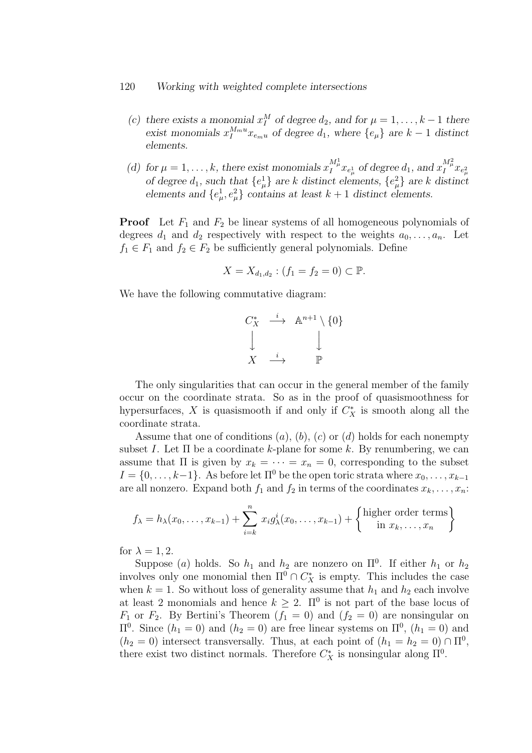#### 120 Working with weighted complete intersections

- (c) there exists a monomial  $x_1^M$  of degree  $d_2$ , and for  $\mu = 1, \ldots, k-1$  there exist monomials  $x_I^{M_m u} x_{e_m u}$  of degree  $d_1$ , where  $\{e_\mu\}$  are  $k-1$  distinct elements.
- (d) for  $\mu = 1, \ldots, k$ , there exist monomials  $x_I^{M^1_\mu} x_{e^1_\mu}$  of degree  $d_1$ , and  $x_I^{M^2_\mu} x_{e^2_\mu}$ of degree  $d_1$ , such that  $\{e^1_\mu\}$  are k distinct elements,  $\{e^2_\mu\}$  are k distinct elements and  $\{e^1_\mu, e^2_\mu\}$  contains at least  $k+1$  distinct elements.

**Proof** Let  $F_1$  and  $F_2$  be linear systems of all homogeneous polynomials of degrees  $d_1$  and  $d_2$  respectively with respect to the weights  $a_0, \ldots, a_n$ . Let  $f_1 \in F_1$  and  $f_2 \in F_2$  be sufficiently general polynomials. Define

$$
X = X_{d_1, d_2} : (f_1 = f_2 = 0) \subset \mathbb{P}.
$$

We have the following commutative diagram:

$$
\begin{array}{ccc}\nC_X^* & \stackrel{i}{\longrightarrow} & \mathbb{A}^{n+1} \setminus \{0\} \\
\downarrow & & \downarrow \\
X & \stackrel{i}{\longrightarrow} & \mathbb{P}\n\end{array}
$$

The only singularities that can occur in the general member of the family occur on the coordinate strata. So as in the proof of quasismoothness for hypersurfaces, X is quasismooth if and only if  $C_X^*$  is smooth along all the coordinate strata.

Assume that one of conditions  $(a)$ ,  $(b)$ ,  $(c)$  or  $(d)$  holds for each nonempty subset I. Let  $\Pi$  be a coordinate k-plane for some k. By renumbering, we can assume that  $\Pi$  is given by  $x_k = \cdots = x_n = 0$ , corresponding to the subset  $I = \{0, \ldots, k-1\}$ . As before let  $\Pi^0$  be the open toric strata where  $x_0, \ldots, x_{k-1}$ are all nonzero. Expand both  $f_1$  and  $f_2$  in terms of the coordinates  $x_k, \ldots, x_n$ :

$$
f_{\lambda} = h_{\lambda}(x_0, \dots, x_{k-1}) + \sum_{i=k}^{n} x_i g_{\lambda}^i(x_0, \dots, x_{k-1}) + \left\{ \begin{matrix} \text{higher order terms} \\ \text{in } x_k, \dots, x_n \end{matrix} \right\}
$$

for  $\lambda = 1, 2$ .

Suppose (a) holds. So  $h_1$  and  $h_2$  are nonzero on  $\Pi^0$ . If either  $h_1$  or  $h_2$ involves only one monomial then  $\Pi^0 \cap C^*_X$  is empty. This includes the case when  $k = 1$ . So without loss of generality assume that  $h_1$  and  $h_2$  each involve at least 2 monomials and hence  $k \geq 2$ .  $\Pi^0$  is not part of the base locus of  $F_1$  or  $F_2$ . By Bertini's Theorem  $(f_1 = 0)$  and  $(f_2 = 0)$  are nonsingular on  $\Pi^0$ . Since  $(h_1 = 0)$  and  $(h_2 = 0)$  are free linear systems on  $\Pi^0$ ,  $(h_1 = 0)$  and  $(h_2 = 0)$  intersect transversally. Thus, at each point of  $(h_1 = h_2 = 0) \cap \Pi^0$ , there exist two distinct normals. Therefore  $C_X^*$  is nonsingular along  $\Pi^0$ .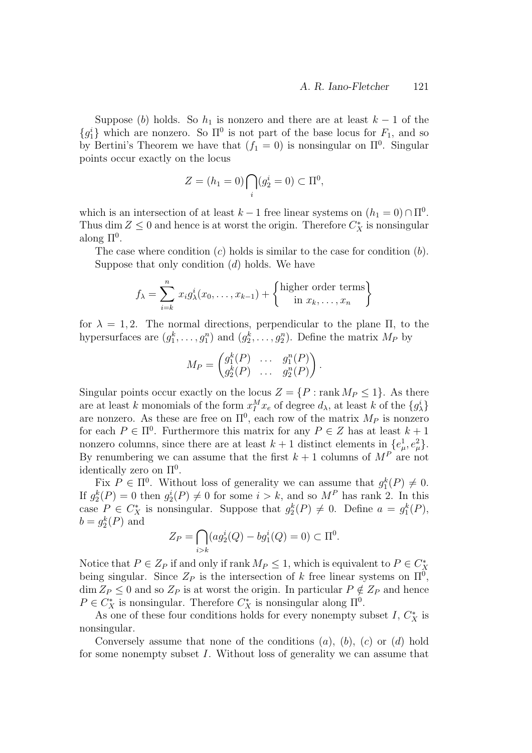Suppose (b) holds. So  $h_1$  is nonzero and there are at least  $k-1$  of the  ${g_1^i}$  which are nonzero. So  $\Pi^0$  is not part of the base locus for  $F_1$ , and so by Bertini's Theorem we have that  $(f_1 = 0)$  is nonsingular on  $\Pi^0$ . Singular points occur exactly on the locus

$$
Z = (h_1 = 0) \bigcap_i (g_2^i = 0) \subset \Pi^0,
$$

which is an intersection of at least  $k-1$  free linear systems on  $(h_1 = 0) \cap \Pi^0$ . Thus dim  $Z \leq 0$  and hence is at worst the origin. Therefore  $C_X^*$  is nonsingular along  $\Pi^0$ .

The case where condition  $(c)$  holds is similar to the case for condition  $(b)$ . Suppose that only condition  $(d)$  holds. We have

$$
f_{\lambda} = \sum_{i=k}^{n} x_i g_{\lambda}^{i}(x_0, \dots, x_{k-1}) + \left\{ \begin{matrix} \text{higher order terms} \\ \text{in } x_k, \dots, x_n \end{matrix} \right\}
$$

for  $\lambda = 1, 2$ . The normal directions, perpendicular to the plane  $\Pi$ , to the hypersurfaces are  $(g_1^k, \ldots, g_1^n)$  and  $(g_2^k, \ldots, g_2^n)$ . Define the matrix  $M_P$  by

$$
M_P = \begin{pmatrix} g_1^k(P) & \cdots & g_1^n(P) \\ g_2^k(P) & \cdots & g_2^n(P) \end{pmatrix}.
$$

Singular points occur exactly on the locus  $Z = \{P : \text{rank } M_P \leq 1\}$ . As there are at least k monomials of the form  $x_I^M x_e$  of degree  $d_\lambda$ , at least k of the  $\{g_\lambda^i\}$ are nonzero. As these are free on  $\Pi^0$ , each row of the matrix  $M_P$  is nonzero for each  $P \in \Pi^0$ . Furthermore this matrix for any  $P \in \mathbb{Z}$  has at least  $k+1$ nonzero columns, since there are at least  $k+1$  distinct elements in  $\{e^1_\mu, e^2_\mu\}.$ By renumbering we can assume that the first  $k + 1$  columns of  $M<sup>P</sup>$  are not identically zero on  $\Pi^0$ .

Fix  $P \in \Pi^0$ . Without loss of generality we can assume that  $g_1^k(P) \neq 0$ . If  $g_2^k(P) = 0$  then  $g_2^i(P) \neq 0$  for some  $i > k$ , and so  $M^P$  has rank 2. In this case  $P \in C_X^*$  is nonsingular. Suppose that  $g_2^k(P) \neq 0$ . Define  $a = g_1^k(P)$ ,  $b = g_2^k(P)$  and

$$
Z_P = \bigcap_{i>k} (ag_2^i(Q) - bg_1^i(Q) = 0) \subset \Pi^0.
$$

Notice that  $P \in Z_P$  if and only if rank  $M_P \leq 1$ , which is equivalent to  $P \in C_X^*$ being singular. Since  $Z_P$  is the intersection of k free linear systems on  $\Pi^0$ ,  $\dim Z_P \leq 0$  and so  $Z_P$  is at worst the origin. In particular  $P \notin Z_P$  and hence  $P \in C_X^*$  is nonsingular. Therefore  $C_X^*$  is nonsingular along  $\Pi^0$ .

As one of these four conditions holds for every nonempty subset  $I, C_X^*$  is nonsingular.

Conversely assume that none of the conditions  $(a)$ ,  $(b)$ ,  $(c)$  or  $(d)$  hold for some nonempty subset I. Without loss of generality we can assume that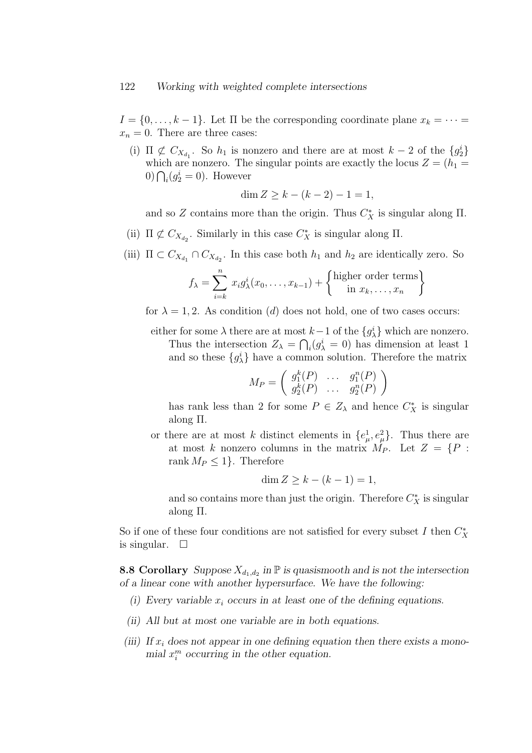#### 122 Working with weighted complete intersections

 $I = \{0, \ldots, k-1\}$ . Let  $\Pi$  be the corresponding coordinate plane  $x_k = \cdots =$  $x_n = 0$ . There are three cases:

(i)  $\Pi \not\subset C_{X_{d_1}}$ . So  $h_1$  is nonzero and there are at most  $k-2$  of the  ${g_2^i}$ which are nonzero. The singular points are exactly the locus  $Z = (h_1 =$  $0) \bigcap_i (g_2^i = 0)$ . However

$$
\dim Z \ge k - (k - 2) - 1 = 1,
$$

and so Z contains more than the origin. Thus  $C_X^*$  is singular along  $\Pi$ .

- (ii)  $\Pi \not\subset C_{X_{d_2}}$ . Similarly in this case  $C^*_X$  is singular along  $\Pi$ .
- (iii)  $\Pi \subset C_{X_{d_1}} \cap C_{X_{d_2}}$ . In this case both  $h_1$  and  $h_2$  are identically zero. So

$$
f_{\lambda} = \sum_{i=k}^{n} x_i g_{\lambda}^{i}(x_0, \dots, x_{k-1}) + \left\{ \begin{matrix} \text{higher order terms} \\ \text{in } x_k, \dots, x_n \end{matrix} \right\}
$$

for  $\lambda = 1, 2$ . As condition (d) does not hold, one of two cases occurs:

either for some  $\lambda$  there are at most  $k-1$  of the  $\{g_{\lambda}^{i}\}\$  which are nonzero. Thus the intersection  $Z_{\lambda} = \bigcap_i (g_{\lambda}^i = 0)$  has dimension at least 1 and so these  $\{g_{\lambda}^{i}\}\$  have a common solution. Therefore the matrix

$$
M_P = \left( \begin{array}{ccc} g_1^k(P) & \dots & g_1^n(P) \\ g_2^k(P) & \dots & g_2^n(P) \end{array} \right)
$$

has rank less than 2 for some  $P \in Z_{\lambda}$  and hence  $C_X^*$  is singular along Π.

or there are at most k distinct elements in  $\{e^1_\mu, e^2_\mu\}$ . Thus there are at most k nonzero columns in the matrix  $M_P$ . Let  $Z = \{P :$ rank  $M_P \leq 1$ . Therefore

$$
\dim Z \ge k - (k - 1) = 1,
$$

and so contains more than just the origin. Therefore  $C_X^*$  is singular along Π.

So if one of these four conditions are not satisfied for every subset  $I$  then  $C^*_X$ is singular.  $\square$ 

**8.8 Corollary** Suppose  $X_{d_1,d_2}$  in  $\mathbb P$  is quasismooth and is not the intersection of a linear cone with another hypersurface. We have the following:

- (i) Every variable  $x_i$  occurs in at least one of the defining equations.
- (ii) All but at most one variable are in both equations.
- (iii) If  $x_i$  does not appear in one defining equation then there exists a monomial  $x_i^m$  occurring in the other equation.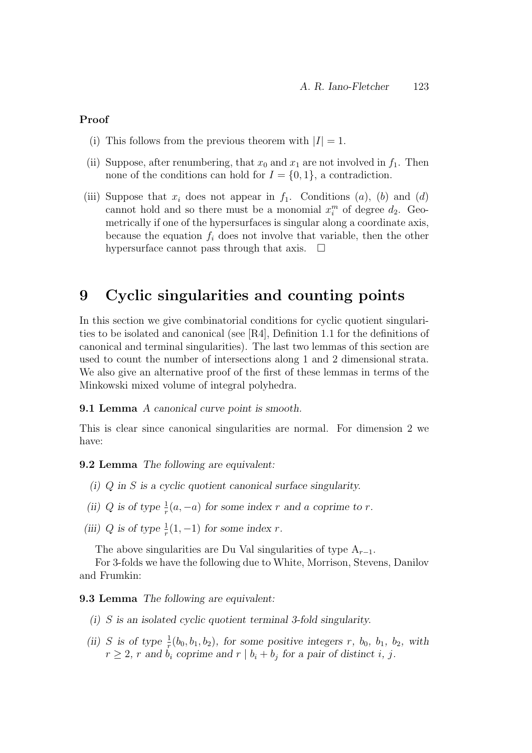#### Proof

- (i) This follows from the previous theorem with  $|I| = 1$ .
- (ii) Suppose, after renumbering, that  $x_0$  and  $x_1$  are not involved in  $f_1$ . Then none of the conditions can hold for  $I = \{0, 1\}$ , a contradiction.
- (iii) Suppose that  $x_i$  does not appear in  $f_1$ . Conditions  $(a)$ ,  $(b)$  and  $(d)$ cannot hold and so there must be a monomial  $x_i^m$  of degree  $d_2$ . Geometrically if one of the hypersurfaces is singular along a coordinate axis, because the equation  $f_i$  does not involve that variable, then the other hypersurface cannot pass through that axis.  $\Box$

## 9 Cyclic singularities and counting points

In this section we give combinatorial conditions for cyclic quotient singularities to be isolated and canonical (see [R4], Definition 1.1 for the definitions of canonical and terminal singularities). The last two lemmas of this section are used to count the number of intersections along 1 and 2 dimensional strata. We also give an alternative proof of the first of these lemmas in terms of the Minkowski mixed volume of integral polyhedra.

#### 9.1 Lemma A canonical curve point is smooth.

This is clear since canonical singularities are normal. For dimension 2 we have:

#### 9.2 Lemma The following are equivalent:

- (i) Q in S is a cyclic quotient canonical surface singularity.
- (ii) Q is of type  $\frac{1}{r}(a, -a)$  for some index r and a coprime to r.
- (iii) Q is of type  $\frac{1}{r}(1, -1)$  for some index r.

The above singularities are Du Val singularities of type  $A_{r-1}$ .

For 3-folds we have the following due to White, Morrison, Stevens, Danilov and Frumkin:

9.3 Lemma The following are equivalent:

- (i) S is an isolated cyclic quotient terminal 3-fold singularity.
- (ii) S is of type  $\frac{1}{r}(b_0, b_1, b_2)$ , for some positive integers r,  $b_0$ ,  $b_1$ ,  $b_2$ , with  $r \geq 2$ , r and  $b_i$  coprime and  $r \mid b_i + b_j$  for a pair of distinct i, j.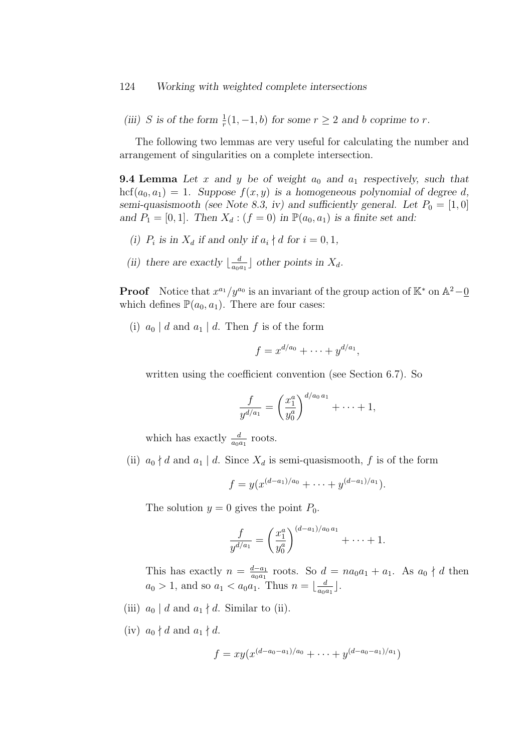(iii) S is of the form  $\frac{1}{r}(1, -1, b)$  for some  $r \ge 2$  and b coprime to r.

The following two lemmas are very useful for calculating the number and arrangement of singularities on a complete intersection.

**9.4 Lemma** Let x and y be of weight  $a_0$  and  $a_1$  respectively, such that hcf $(a_0, a_1) = 1$ . Suppose  $f(x, y)$  is a homogeneous polynomial of degree d, semi-quasismooth (see Note 8.3, iv) and sufficiently general. Let  $P_0 = [1, 0]$ and  $P_1 = [0, 1]$ . Then  $X_d : (f = 0)$  in  $\mathbb{P}(a_0, a_1)$  is a finite set and:

- (i)  $P_i$  is in  $X_d$  if and only if  $a_i \nmid d$  for  $i = 0, 1$ ,
- (ii) there are exactly  $\lfloor \frac{d}{\alpha} \rfloor$  $\frac{d}{a_0 a_1}$  other points in  $X_d$ .

**Proof** Notice that  $x^{a_1}/y^{a_0}$  is an invariant of the group action of  $\mathbb{K}^*$  on  $\mathbb{A}^2-\underline{0}$ which defines  $\mathbb{P}(a_0, a_1)$ . There are four cases:

(i)  $a_0 | d$  and  $a_1 | d$ . Then f is of the form

$$
f = x^{d/a_0} + \cdots + y^{d/a_1},
$$

written using the coefficient convention (see Section 6.7). So

$$
\frac{f}{y^{d/a_1}} = \left(\frac{x_1^a}{y_0^a}\right)^{d/a_0 a_1} + \dots + 1,
$$

which has exactly  $\frac{d}{a_0 a_1}$  roots.

(ii)  $a_0 \nmid d$  and  $a_1 \mid d$ . Since  $X_d$  is semi-quasismooth, f is of the form

$$
f = y(x^{(d-a_1)/a_0} + \cdots + y^{(d-a_1)/a_1}).
$$

The solution  $y = 0$  gives the point  $P_0$ .

$$
\frac{f}{y^{d/a_1}} = \left(\frac{x_1^a}{y_0^a}\right)^{(d-a_1)/a_0 a_1} + \cdots + 1.
$$

This has exactly  $n = \frac{d-a_1}{a_2 a_1}$  $\frac{d-a_1}{a_0a_1}$  roots. So  $d = na_0a_1 + a_1$ . As  $a_0 \nmid d$  then  $a_0 > 1$ , and so  $a_1 < a_0 a_1$ . Thus  $n = \lfloor \frac{d}{a_0} \rfloor$  $\frac{d}{a_0a_1}$ .

- (iii)  $a_0 \mid d$  and  $a_1 \nmid d$ . Similar to (ii).
- (iv)  $a_0 \nmid d$  and  $a_1 \nmid d$ .

$$
f = xy(x^{(d-a_0-a_1)/a_0} + \cdots + y^{(d-a_0-a_1)/a_1})
$$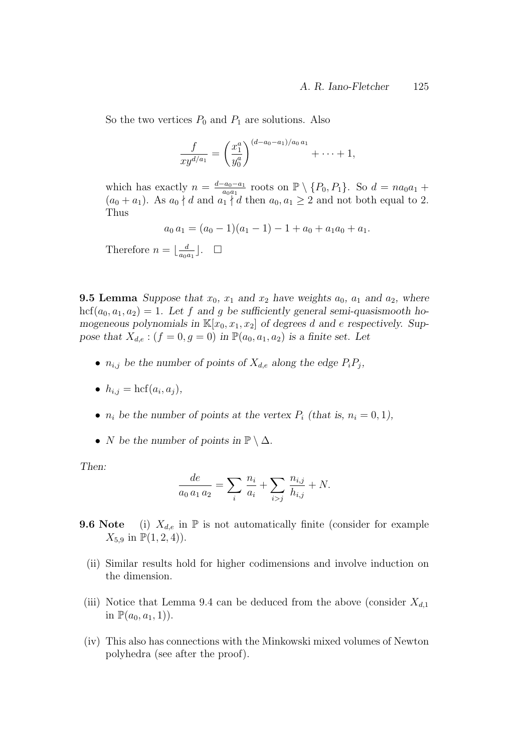So the two vertices  $P_0$  and  $P_1$  are solutions. Also

$$
\frac{f}{xy^{d/a_1}} = \left(\frac{x_1^a}{y_0^a}\right)^{(d-a_0-a_1)/a_0 a_1} + \cdots + 1,
$$

which has exactly  $n = \frac{d-a_0-a_1}{d}$  $rac{a_0 - a_1}{a_0 a_1}$  roots on  $\mathbb{P} \setminus \{P_0, P_1\}$ . So  $d = na_0 a_1 +$  $(a_0 + a_1)$ . As  $a_0 \nmid d$  and  $a_1 \nmid d$  then  $a_0, a_1 \geq 2$  and not both equal to 2. Thus

$$
a_0 a_1 = (a_0 - 1)(a_1 - 1) - 1 + a_0 + a_1 a_0 + a_1.
$$

Therefore  $n = \frac{d}{d\alpha}$  $\frac{d}{a_0 a_1}$ .  $\Box$ 

**9.5 Lemma** Suppose that  $x_0$ ,  $x_1$  and  $x_2$  have weights  $a_0$ ,  $a_1$  and  $a_2$ , where hcf( $a_0, a_1, a_2$ ) = 1. Let f and g be sufficiently general semi-quasismooth homogeneous polynomials in  $\mathbb{K}[x_0, x_1, x_2]$  of degrees d and e respectively. Suppose that  $X_{d,e}$ :  $(f = 0, g = 0)$  in  $\mathbb{P}(a_0, a_1, a_2)$  is a finite set. Let

- $n_{i,j}$  be the number of points of  $X_{d,e}$  along the edge  $P_iP_j$ ,
- $h_{i,j} = \text{hcf}(a_i, a_j),$
- $n_i$  be the number of points at the vertex  $P_i$  (that is,  $n_i = 0, 1$ ),
- N be the number of points in  $\mathbb{P} \setminus \Delta$ .

Then:

$$
\frac{de}{a_0 a_1 a_2} = \sum_i \frac{n_i}{a_i} + \sum_{i > j} \frac{n_{i,j}}{h_{i,j}} + N.
$$

- **9.6 Note** (i)  $X_{d,e}$  in  $\mathbb P$  is not automatically finite (consider for example  $X_{5,9}$  in  $\mathbb{P}(1,2,4)$ .
	- (ii) Similar results hold for higher codimensions and involve induction on the dimension.
- (iii) Notice that Lemma 9.4 can be deduced from the above (consider  $X_{d,1}$ ) in  $\mathbb{P}(a_0, a_1, 1)$ .
- (iv) This also has connections with the Minkowski mixed volumes of Newton polyhedra (see after the proof).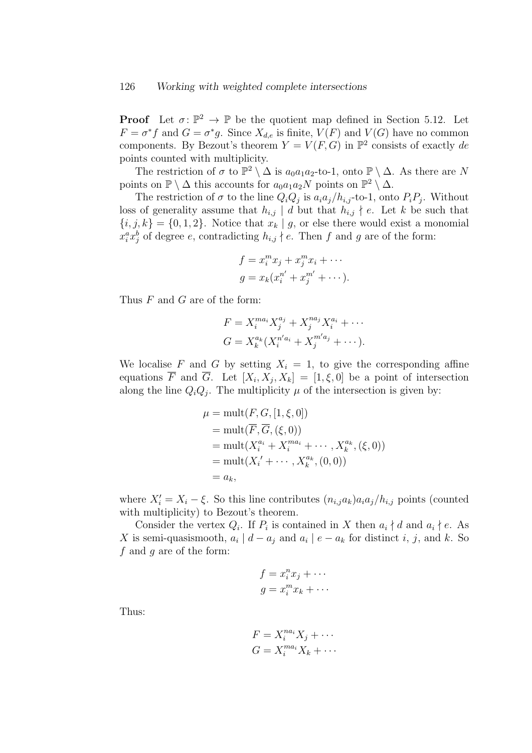**Proof** Let  $\sigma: \mathbb{P}^2 \to \mathbb{P}$  be the quotient map defined in Section 5.12. Let  $F = \sigma^* f$  and  $G = \sigma^* g$ . Since  $X_{d,e}$  is finite,  $V(F)$  and  $V(G)$  have no common components. By Bezout's theorem  $Y = V(F, G)$  in  $\mathbb{P}^2$  consists of exactly de points counted with multiplicity.

The restriction of  $\sigma$  to  $\mathbb{P}^2 \setminus \Delta$  is  $a_0a_1a_2$ -to-1, onto  $\mathbb{P} \setminus \Delta$ . As there are N points on  $\mathbb{P} \setminus \Delta$  this accounts for  $a_0a_1a_2N$  points on  $\mathbb{P}^2 \setminus \Delta$ .

The restriction of  $\sigma$  to the line  $Q_i Q_j$  is  $a_i a_j / h_{i,j}$ -to-1, onto  $P_i P_j$ . Without loss of generality assume that  $h_{i,j} \mid d$  but that  $h_{i,j} \nmid e$ . Let k be such that  $\{i, j, k\} = \{0, 1, 2\}$ . Notice that  $x_k | g$ , or else there would exist a monomial  $x_i^a x_j^b$  of degree e, contradicting  $h_{i,j} \nmid e$ . Then f and g are of the form:

$$
f = x_i^m x_j + x_j^m x_i + \cdots
$$
  

$$
g = x_k (x_i^{n'} + x_j^{m'} + \cdots).
$$

Thus F and G are of the form:

$$
F = X_i^{ma_i} X_j^{a_j} + X_j^{na_j} X_i^{a_i} + \cdots
$$
  
\n
$$
G = X_k^{a_k} (X_i^{n'a_i} + X_j^{m'a_j} + \cdots).
$$

We localise F and G by setting  $X_i = 1$ , to give the corresponding affine equations F and G. Let  $[X_i, X_j, X_k] = [1, \xi, 0]$  be a point of intersection along the line  $Q_iQ_j$ . The multiplicity  $\mu$  of the intersection is given by:

$$
\mu = \text{mult}(F, G, [1, \xi, 0])
$$
  
=  $\text{mult}(\overline{F}, \overline{G}, (\xi, 0))$   
=  $\text{mult}(X_i^{a_i} + X_i^{ma_i} + \cdots, X_k^{a_k}, (\xi, 0))$   
=  $\text{mult}(X_i' + \cdots, X_k^{a_k}, (0, 0))$   
=  $a_k$ ,

where  $X_i' = X_i - \xi$ . So this line contributes  $(n_{i,j}a_k)a_i a_j/h_{i,j}$  points (counted with multiplicity) to Bezout's theorem.

Consider the vertex  $Q_i$ . If  $P_i$  is contained in X then  $a_i \nmid d$  and  $a_i \nmid e$ . As X is semi-quasismooth,  $a_i | d - a_j$  and  $a_i | e - a_k$  for distinct i, j, and k. So  $f$  and  $g$  are of the form:

$$
f = x_i^n x_j + \cdots
$$

$$
g = x_i^m x_k + \cdots
$$

Thus:

$$
F = X_i^{na_i} X_j + \cdots
$$
  

$$
G = X_i^{ma_i} X_k + \cdots
$$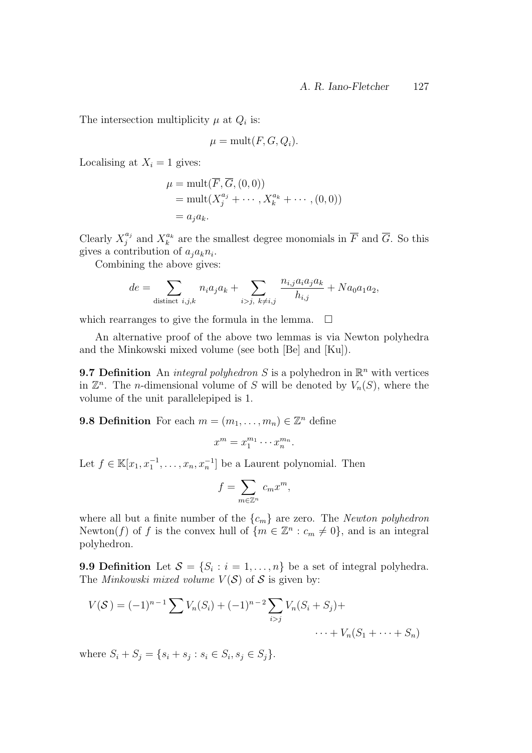The intersection multiplicity  $\mu$  at  $Q_i$  is:

$$
\mu = \text{mult}(F, G, Q_i).
$$

Localising at  $X_i = 1$  gives:

$$
\mu = \text{mult}(\overline{F}, \overline{G}, (0,0))
$$
  
= 
$$
\text{mult}(X_j^{a_j} + \cdots, X_k^{a_k} + \cdots, (0,0))
$$
  
= 
$$
a_j a_k.
$$

Clearly  $X_i^{a_j}$  $j^{a_j}$  and  $X_k^{a_k}$  are the smallest degree monomials in  $\overline{F}$  and  $\overline{G}$ . So this gives a contribution of  $a_j a_k n_i$ .

Combining the above gives:

$$
de = \sum_{\text{distinct } i,j,k} n_i a_j a_k + \sum_{i>j, \ k \neq i,j} \frac{n_{i,j} a_i a_j a_k}{h_{i,j}} + N a_0 a_1 a_2,
$$

which rearranges to give the formula in the lemma.  $\Box$ 

An alternative proof of the above two lemmas is via Newton polyhedra and the Minkowski mixed volume (see both [Be] and [Ku]).

**9.7 Definition** An *integral polyhedron* S is a polyhedron in  $\mathbb{R}^n$  with vertices in  $\mathbb{Z}^n$ . The *n*-dimensional volume of S will be denoted by  $V_n(S)$ , where the volume of the unit parallelepiped is 1.

**9.8 Definition** For each  $m = (m_1, \ldots, m_n) \in \mathbb{Z}^n$  define

$$
x^m = x_1^{m_1} \cdots x_n^{m_n}.
$$

Let  $f \in \mathbb{K}[x_1, x_1^{-1}, \ldots, x_n, x_n^{-1}]$  be a Laurent polynomial. Then

$$
f = \sum_{m \in \mathbb{Z}^n} c_m x^m,
$$

where all but a finite number of the  $\{c_m\}$  are zero. The *Newton polyhedron* Newton(f) of f is the convex hull of  $\{m \in \mathbb{Z}^n : c_m \neq 0\}$ , and is an integral polyhedron.

**9.9 Definition** Let  $S = \{S_i : i = 1, \ldots, n\}$  be a set of integral polyhedra. The Minkowski mixed volume  $V(S)$  of S is given by:

$$
V(S) = (-1)^{n-1} \sum V_n(S_i) + (-1)^{n-2} \sum_{i>j} V_n(S_i + S_j) + \cdots + V_n(S_1 + \cdots + S_n)
$$

where  $S_i + S_j = \{s_i + s_j : s_i \in S_i, s_j \in S_j\}.$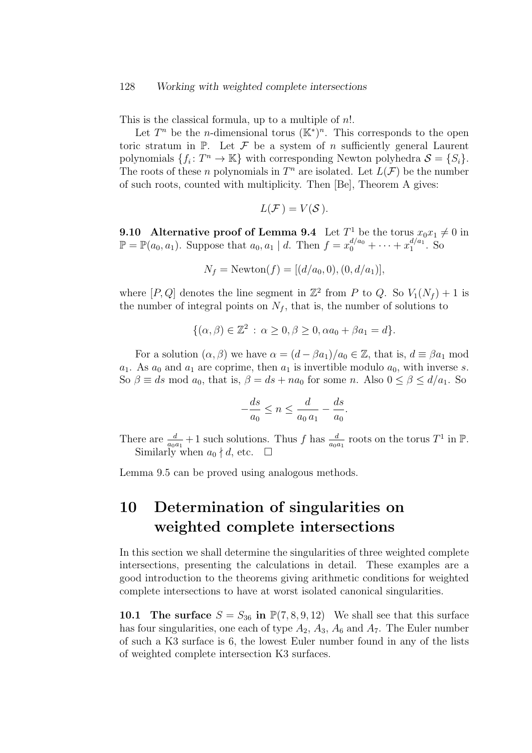#### 128 Working with weighted complete intersections

This is the classical formula, up to a multiple of n!.

Let  $T^n$  be the *n*-dimensional torus  $(\mathbb{K}^*)^n$ . This corresponds to the open toric stratum in  $\mathbb{P}$ . Let  $\mathcal F$  be a system of n sufficiently general Laurent polynomials  $\{f_i: T^n \to \mathbb{K}\}\$  with corresponding Newton polyhedra  $\mathcal{S} = \{S_i\}.$ The roots of these *n* polynomials in  $T^n$  are isolated. Let  $L(\mathcal{F})$  be the number of such roots, counted with multiplicity. Then [Be], Theorem A gives:

$$
L(\mathcal{F})=V(\mathcal{S}).
$$

**9.10** Alternative proof of Lemma 9.4 Let  $T^1$  be the torus  $x_0x_1 \neq 0$  in  $\mathbb{P} = \mathbb{P}(a_0, a_1)$ . Suppose that  $a_0, a_1 | d$ . Then  $f = x_0^{d/a_0} + \cdots + x_1^{d/a_1}$  $j_1^{a/a_1}$ . So

$$
N_f = \text{Newton}(f) = [(d/a_0, 0), (0, d/a_1)],
$$

where  $[P,Q]$  denotes the line segment in  $\mathbb{Z}^2$  from P to Q. So  $V_1(N_f) + 1$  is the number of integral points on  $N_f$ , that is, the number of solutions to

$$
\{(\alpha,\beta)\in\mathbb{Z}^2\,:\,\alpha\geq 0,\beta\geq 0,\alpha a_0+\beta a_1=d\}.
$$

For a solution  $(\alpha, \beta)$  we have  $\alpha = (d - \beta a_1)/a_0 \in \mathbb{Z}$ , that is,  $d \equiv \beta a_1 \mod$  $a_1$ . As  $a_0$  and  $a_1$  are coprime, then  $a_1$  is invertible modulo  $a_0$ , with inverse s. So  $\beta \equiv ds \mod a_0$ , that is,  $\beta = ds + na_0$  for some n. Also  $0 \le \beta \le d/a_1$ . So

$$
-\frac{ds}{a_0} \le n \le \frac{d}{a_0 a_1} - \frac{ds}{a_0}.
$$

There are  $\frac{d}{a_0a_1}+1$  such solutions. Thus f has  $\frac{d}{a_0a_1}$  roots on the torus  $T^1$  in  $\mathbb P$ . Similarly when  $a_0 \nmid d$ , etc.  $\Box$ 

Lemma 9.5 can be proved using analogous methods.

## 10 Determination of singularities on weighted complete intersections

In this section we shall determine the singularities of three weighted complete intersections, presenting the calculations in detail. These examples are a good introduction to the theorems giving arithmetic conditions for weighted complete intersections to have at worst isolated canonical singularities.

10.1 The surface  $S = S_{36}$  in  $\mathbb{P}(7, 8, 9, 12)$  We shall see that this surface has four singularities, one each of type  $A_2$ ,  $A_3$ ,  $A_6$  and  $A_7$ . The Euler number of such a K3 surface is 6, the lowest Euler number found in any of the lists of weighted complete intersection K3 surfaces.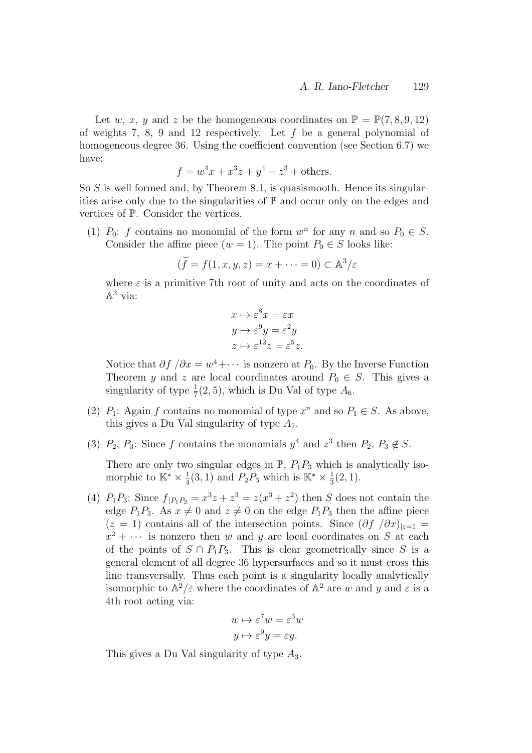Let w, x, y and z be the homogeneous coordinates on  $\mathbb{P} = \mathbb{P}(7, 8, 9, 12)$ of weights 7, 8, 9 and 12 respectively. Let f be a general polynomial of homogeneous degree 36. Using the coefficient convention (see Section 6.7) we have:

$$
f = w^4x + x^3z + y^4 + z^3 + \text{others.}
$$

So  $S$  is well formed and, by Theorem 8.1, is quasismooth. Hence its singularities arise only due to the singularities of  $\mathbb P$  and occur only on the edges and vertices of P. Consider the vertices.

(1)  $P_0$ : f contains no monomial of the form  $w^n$  for any n and so  $P_0 \in S$ . Consider the affine piece  $(w = 1)$ . The point  $P_0 \in S$  looks like:

$$
(\widetilde{f} = f(1, x, y, z) = x + \dots = 0) \subset \mathbb{A}^3/\varepsilon
$$

where  $\varepsilon$  is a primitive 7th root of unity and acts on the coordinates of  $\mathbb{A}^3$  via:

$$
x \mapsto \varepsilon^8 x = \varepsilon x
$$
  
\n
$$
y \mapsto \varepsilon^9 y = \varepsilon^2 y
$$
  
\n
$$
z \mapsto \varepsilon^{12} z = \varepsilon^5 z.
$$

Notice that  $\partial f / \partial x = w^4 + \cdots$  is nonzero at  $P_0$ . By the Inverse Function Theorem y and z are local coordinates around  $P_0 \in S$ . This gives a singularity of type  $\frac{1}{7}(2, 5)$ , which is Du Val of type  $A_6$ .

- (2)  $P_1$ : Again f contains no monomial of type  $x^n$  and so  $P_1 \in S$ . As above, this gives a Du Val singularity of type  $A_7$ .
- (3)  $P_2$ ,  $P_3$ : Since f contains the monomials  $y^4$  and  $z^3$  then  $P_2$ ,  $P_3 \notin S$ .

There are only two singular edges in  $\mathbb{P}, P_1P_3$  which is analytically isomorphic to  $\mathbb{K}^* \times \frac{1}{4}$  $\frac{1}{4}(3,1)$  and  $P_2P_3$  which is  $\mathbb{K}^* \times \frac{1}{3}$  $\frac{1}{3}(2,1).$ 

(4)  $P_1 P_3$ : Since  $f_{|P_1 P_2} = x^3 z + z^3 = z(x^3 + z^2)$  then S does not contain the edge  $P_1P_3$ . As  $x \neq 0$  and  $z \neq 0$  on the edge  $P_1P_3$  then the affine piece  $(z = 1)$  contains all of the intersection points. Since  $(\partial f / \partial x)_{z=1}$  $x^2 + \cdots$  is nonzero then w and y are local coordinates on S at each of the points of  $S \cap P_1P_3$ . This is clear geometrically since S is a general element of all degree 36 hypersurfaces and so it must cross this line transversally. Thus each point is a singularity locally analytically isomorphic to  $\mathbb{A}^2/\varepsilon$  where the coordinates of  $\mathbb{A}^2$  are w and y and  $\varepsilon$  is a 4th root acting via:

$$
w \mapsto \varepsilon^7 w = \varepsilon^3 w
$$

$$
y \mapsto \varepsilon^9 y = \varepsilon y.
$$

This gives a Du Val singularity of type  $A_3$ .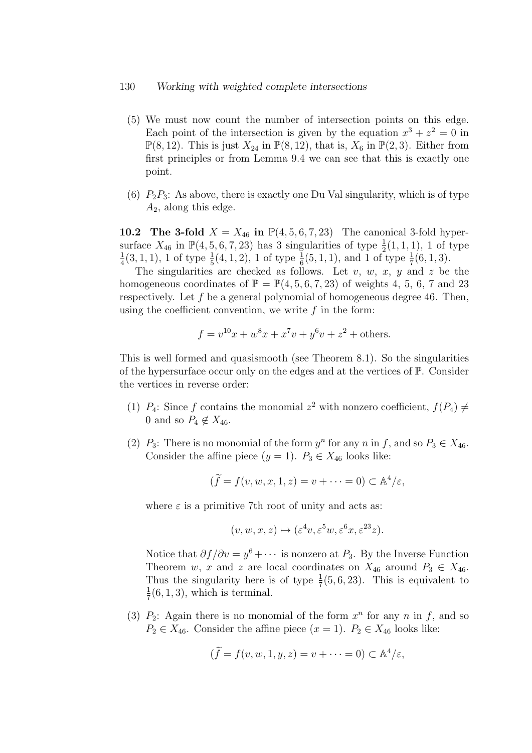#### 130 Working with weighted complete intersections

- (5) We must now count the number of intersection points on this edge. Each point of the intersection is given by the equation  $x^3 + z^2 = 0$  in  $\mathbb{P}(8, 12)$ . This is just  $X_{24}$  in  $\mathbb{P}(8, 12)$ , that is,  $X_6$  in  $\mathbb{P}(2, 3)$ . Either from first principles or from Lemma 9.4 we can see that this is exactly one point.
- (6)  $P_2P_3$ : As above, there is exactly one Du Val singularity, which is of type  $A_2$ , along this edge.

10.2 The 3-fold  $X = X_{46}$  in  $\mathbb{P}(4, 5, 6, 7, 23)$  The canonical 3-fold hypersurface  $X_{46}$  in  $\mathbb{P}(4, 5, 6, 7, 23)$  has 3 singularities of type  $\frac{1}{2}(1, 1, 1)$ , 1 of type 1  $\frac{1}{4}(3,1,1)$ , 1 of type  $\frac{1}{5}(4,1,2)$ , 1 of type  $\frac{1}{6}(5,1,1)$ , and 1 of type  $\frac{1}{7}(6,1,3)$ .

The singularities are checked as follows. Let  $v, w, x, y$  and  $z$  be the homogeneous coordinates of  $\mathbb{P} = \mathbb{P}(4, 5, 6, 7, 23)$  of weights 4, 5, 6, 7 and 23 respectively. Let f be a general polynomial of homogeneous degree 46. Then, using the coefficient convention, we write  $f$  in the form:

$$
f = v^{10}x + w^8x + x^7v + y^6v + z^2
$$
 + others.

This is well formed and quasismooth (see Theorem 8.1). So the singularities of the hypersurface occur only on the edges and at the vertices of  $\mathbb{P}$ . Consider the vertices in reverse order:

- (1)  $P_4$ : Since f contains the monomial  $z^2$  with nonzero coefficient,  $f(P_4) \neq$ 0 and so  $P_4 \notin X_{46}$ .
- (2)  $P_3$ : There is no monomial of the form  $y^n$  for any n in f, and so  $P_3 \in X_{46}$ . Consider the affine piece  $(y = 1)$ .  $P_3 \in X_{46}$  looks like:

$$
(\widetilde{f} = f(v, w, x, 1, z) = v + \dots = 0) \subset \mathbb{A}^4/\varepsilon,
$$

where  $\varepsilon$  is a primitive 7th root of unity and acts as:

$$
(v, w, x, z) \mapsto (\varepsilon^4 v, \varepsilon^5 w, \varepsilon^6 x, \varepsilon^{23} z).
$$

Notice that  $\partial f/\partial v = y^6 + \cdots$  is nonzero at  $P_3$ . By the Inverse Function Theorem w, x and z are local coordinates on  $X_{46}$  around  $P_3 \in X_{46}$ . Thus the singularity here is of type  $\frac{1}{7}(5,6,23)$ . This is equivalent to 1  $\frac{1}{7}(6,1,3)$ , which is terminal.

(3)  $P_2$ : Again there is no monomial of the form  $x^n$  for any n in f, and so  $P_2 \in X_{46}$ . Consider the affine piece  $(x = 1)$ .  $P_2 \in X_{46}$  looks like:

$$
(\widetilde{f} = f(v, w, 1, y, z) = v + \dots = 0) \subset \mathbb{A}^4/\varepsilon,
$$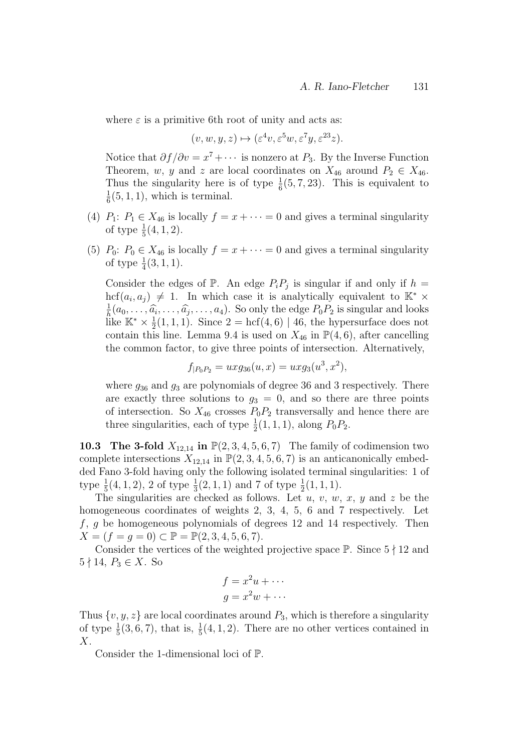where  $\varepsilon$  is a primitive 6th root of unity and acts as:

$$
(v, w, y, z) \mapsto (\varepsilon^4 v, \varepsilon^5 w, \varepsilon^7 y, \varepsilon^{23} z).
$$

Notice that  $\partial f/\partial v = x^7 + \cdots$  is nonzero at  $P_3$ . By the Inverse Function Theorem, w, y and z are local coordinates on  $X_{46}$  around  $P_2 \in X_{46}$ . Thus the singularity here is of type  $\frac{1}{6}(5, 7, 23)$ . This is equivalent to 1  $\frac{1}{6}(5,1,1)$ , which is terminal.

- (4)  $P_1: P_1 \in X_{46}$  is locally  $f = x + \cdots = 0$  and gives a terminal singularity of type  $\frac{1}{5}(4, 1, 2)$ .
- (5)  $P_0: P_0 \in X_{46}$  is locally  $f = x + \cdots = 0$  and gives a terminal singularity of type  $\frac{1}{4}(3, 1, 1)$ .

Consider the edges of  $\mathbb{P}$ . An edge  $P_i P_j$  is singular if and only if  $h =$  $\text{hcf}(a_i, a_j) \neq 1$ . In which case it is analytically equivalent to  $\mathbb{K}^* \times$ 1  $\frac{1}{h}(a_0, \ldots, \hat{a_i}, \ldots, \hat{a_j}, \ldots, a_4)$ . So only the edge  $P_0P_2$  is singular and looks is singular and looks like  $\mathbb{K}^* \times \frac{1}{2}$  $\frac{1}{2}(1,1,1)$ . Since  $2 = \text{hcf}(4,6) | 46$ , the hypersurface does not contain this line. Lemma 9.4 is used on  $X_{46}$  in  $\mathbb{P}(4,6)$ , after cancelling the common factor, to give three points of intersection. Alternatively,

$$
f_{|P_0P_2} = u x g_{36}(u, x) = u x g_3(u^3, x^2),
$$

where  $g_{36}$  and  $g_3$  are polynomials of degree 36 and 3 respectively. There are exactly three solutions to  $g_3 = 0$ , and so there are three points of intersection. So  $X_{46}$  crosses  $P_0P_2$  transversally and hence there are three singularities, each of type  $\frac{1}{2}(1, 1, 1)$ , along  $P_0P_2$ .

**10.3** The 3-fold  $X_{12,14}$  in  $\mathbb{P}(2,3,4,5,6,7)$  The family of codimension two complete intersections  $X_{12,14}$  in  $\mathbb{P}(2,3,4,5,6,7)$  is an anticanonically embedded Fano 3-fold having only the following isolated terminal singularities: 1 of type  $\frac{1}{5}(4,1,2)$ , 2 of type  $\frac{1}{3}(2,1,1)$  and 7 of type  $\frac{1}{2}(1,1,1)$ .

The singularities are checked as follows. Let  $u, v, w, x, y$  and z be the homogeneous coordinates of weights 2, 3, 4, 5, 6 and 7 respectively. Let  $f, g$  be homogeneous polynomials of degrees 12 and 14 respectively. Then  $X = (f = g = 0) \subset \mathbb{P} = \mathbb{P}(2, 3, 4, 5, 6, 7).$ 

Consider the vertices of the weighted projective space  $\mathbb{P}$ . Since  $5 \nmid 12$  and  $5 \nmid 14, P_3 \in X$ . So

$$
f = x^2u + \cdots
$$

$$
g = x^2w + \cdots
$$

Thus  $\{v, y, z\}$  are local coordinates around  $P_3$ , which is therefore a singularity of type  $\frac{1}{5}(3,6,7)$ , that is,  $\frac{1}{5}(4,1,2)$ . There are no other vertices contained in X.

Consider the 1-dimensional loci of P.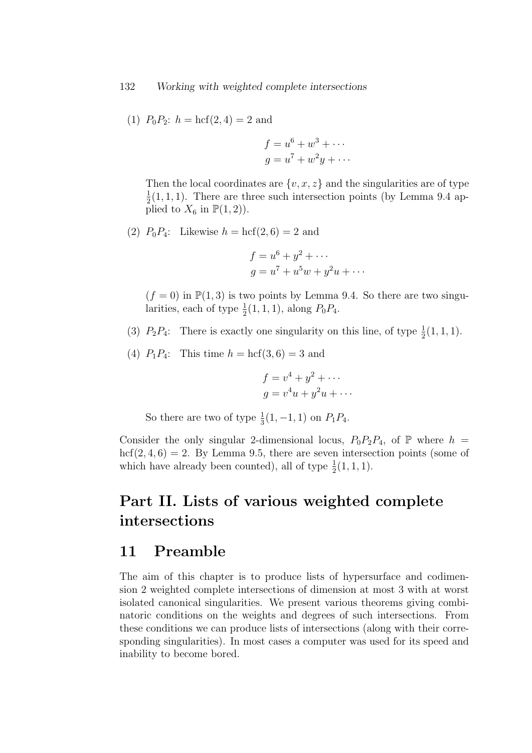(1)  $P_0P_2$ :  $h = \text{hcf}(2, 4) = 2$  and

$$
f = u6 + w3 + \cdots
$$

$$
g = u7 + w2y + \cdots
$$

Then the local coordinates are  $\{v, x, z\}$  and the singularities are of type 1  $\frac{1}{2}(1,1,1)$ . There are three such intersection points (by Lemma 9.4 applied to  $X_6$  in  $\mathbb{P}(1,2)$ ).

(2)  $P_0P_4$ : Likewise  $h = \text{hcf}(2, 6) = 2$  and

$$
f = u6 + y2 + \cdots
$$
  
\n
$$
g = u7 + u5w + y2u + \cdots
$$

 $(f = 0)$  in  $\mathbb{P}(1,3)$  is two points by Lemma 9.4. So there are two singularities, each of type  $\frac{1}{2}(1,1,1)$ , along  $P_0P_4$ .

- (3)  $P_2P_4$ : There is exactly one singularity on this line, of type  $\frac{1}{2}(1,1,1)$ .
- (4)  $P_1P_4$ : This time  $h = \text{hcf}(3, 6) = 3$  and

$$
f = v4 + y2 + \cdots
$$

$$
g = v4u + y2u + \cdots
$$

So there are two of type  $\frac{1}{3}(1, -1, 1)$  on  $P_1P_4$ .

Consider the only singular 2-dimensional locus,  $P_0P_2P_4$ , of  $\mathbb P$  where  $h =$  $hcf(2, 4, 6) = 2$ . By Lemma 9.5, there are seven intersection points (some of which have already been counted), all of type  $\frac{1}{2}(1, 1, 1)$ .

## Part II. Lists of various weighted complete intersections

### 11 Preamble

The aim of this chapter is to produce lists of hypersurface and codimension 2 weighted complete intersections of dimension at most 3 with at worst isolated canonical singularities. We present various theorems giving combinatoric conditions on the weights and degrees of such intersections. From these conditions we can produce lists of intersections (along with their corresponding singularities). In most cases a computer was used for its speed and inability to become bored.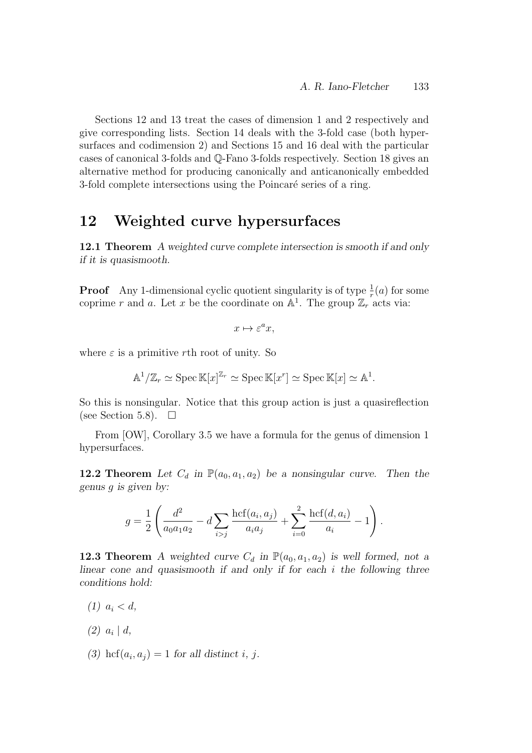Sections 12 and 13 treat the cases of dimension 1 and 2 respectively and give corresponding lists. Section 14 deals with the 3-fold case (both hypersurfaces and codimension 2) and Sections 15 and 16 deal with the particular cases of canonical 3-folds and Q-Fano 3-folds respectively. Section 18 gives an alternative method for producing canonically and anticanonically embedded 3-fold complete intersections using the Poincaré series of a ring.

### 12 Weighted curve hypersurfaces

12.1 Theorem A weighted curve complete intersection is smooth if and only if it is quasismooth.

**Proof** Any 1-dimensional cyclic quotient singularity is of type  $\frac{1}{r}(a)$  for some coprime r and a. Let x be the coordinate on  $\mathbb{A}^1$ . The group  $\mathbb{Z}_r$  acts via:

$$
x \mapsto \varepsilon^a x,
$$

where  $\varepsilon$  is a primitive rth root of unity. So

$$
\mathbb{A}^1/\mathbb{Z}_r \simeq \operatorname{Spec} \mathbb{K}[x]^{\mathbb{Z}_r} \simeq \operatorname{Spec} \mathbb{K}[x]^{\sim} \operatorname{Spec} \mathbb{K}[x] \simeq \mathbb{A}^1.
$$

So this is nonsingular. Notice that this group action is just a quasireflection (see Section 5.8).  $\Box$ 

From [OW], Corollary 3.5 we have a formula for the genus of dimension 1 hypersurfaces.

12.2 Theorem Let  $C_d$  in  $\mathbb{P}(a_0, a_1, a_2)$  be a nonsingular curve. Then the genus g is given by:

$$
g = \frac{1}{2} \left( \frac{d^2}{a_0 a_1 a_2} - d \sum_{i > j} \frac{\text{hcf}(a_i, a_j)}{a_i a_j} + \sum_{i=0}^2 \frac{\text{hcf}(d, a_i)}{a_i} - 1 \right).
$$

**12.3 Theorem** A weighted curve  $C_d$  in  $\mathbb{P}(a_0, a_1, a_2)$  is well formed, not a linear cone and quasismooth if and only if for each  $i$  the following three conditions hold:

- (1)  $a_i < d$ ,
- $(2)$   $a_i | d$ ,
- (3) hcf $(a_i, a_j) = 1$  for all distinct i, j.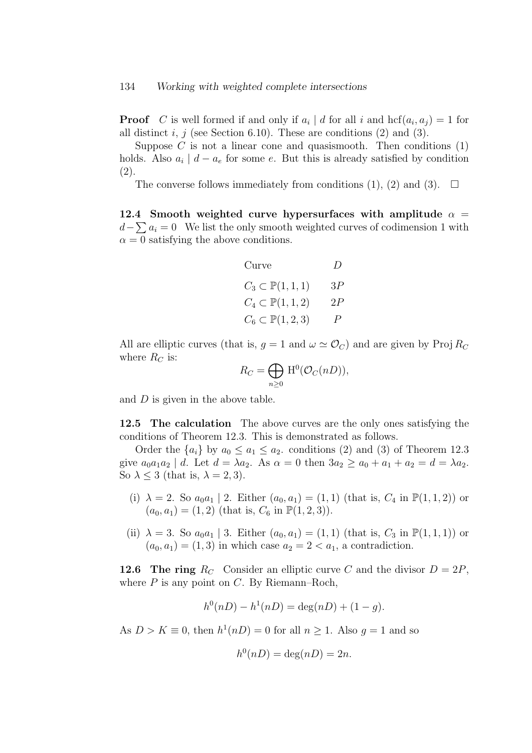**Proof** C is well formed if and only if  $a_i | d$  for all i and  $hcf(a_i, a_j) = 1$  for all distinct i, j (see Section 6.10). These are conditions  $(2)$  and  $(3)$ .

Suppose  $C$  is not a linear cone and quasismooth. Then conditions  $(1)$ holds. Also  $a_i \mid d - a_e$  for some e. But this is already satisfied by condition (2).

The converse follows immediately from conditions (1), (2) and (3).  $\Box$ 

12.4 Smooth weighted curve hypersurfaces with amplitude  $\alpha =$  $d-\sum a_i = 0$  We list the only smooth weighted curves of codimension 1 with  $\alpha = 0$  satisfying the above conditions.

| Curve)                          | $\overline{D}$   |
|---------------------------------|------------------|
| $C_3 \subset \mathbb{P}(1,1,1)$ | 3P               |
| $C_4 \subset \mathbb{P}(1,1,2)$ | 2P               |
| $C_6 \subset \mathbb{P}(1,2,3)$ | $\boldsymbol{P}$ |

All are elliptic curves (that is,  $g = 1$  and  $\omega \simeq \mathcal{O}_C$ ) and are given by Proj  $R_C$ where  $R_C$  is:

$$
R_C = \bigoplus_{n \ge 0} \mathrm{H}^0(\mathcal{O}_C(nD)),
$$

and  $D$  is given in the above table.

**12.5** The calculation The above curves are the only ones satisfying the conditions of Theorem 12.3. This is demonstrated as follows.

Order the  $\{a_i\}$  by  $a_0 \le a_1 \le a_2$ . conditions (2) and (3) of Theorem 12.3 give  $a_0a_1a_2 \mid d$ . Let  $d = \lambda a_2$ . As  $\alpha = 0$  then  $3a_2 \ge a_0 + a_1 + a_2 = d = \lambda a_2$ . So  $\lambda \leq 3$  (that is,  $\lambda = 2, 3$ ).

- (i)  $\lambda = 2$ . So  $a_0a_1 \mid 2$ . Either  $(a_0, a_1) = (1, 1)$  (that is,  $C_4$  in  $\mathbb{P}(1, 1, 2)$ ) or  $(a_0, a_1) = (1, 2)$  (that is,  $C_6$  in  $\mathbb{P}(1, 2, 3)$ ).
- (ii)  $\lambda = 3$ . So  $a_0 a_1 | 3$ . Either  $(a_0, a_1) = (1, 1)$  (that is,  $C_3$  in  $\mathbb{P}(1, 1, 1)$ ) or  $(a_0, a_1) = (1, 3)$  in which case  $a_2 = 2 < a_1$ , a contradiction.

**12.6** The ring  $R_C$  Consider an elliptic curve C and the divisor  $D = 2P$ , where  $P$  is any point on  $C$ . By Riemann–Roch,

$$
h^{0}(nD) - h^{1}(nD) = \deg(nD) + (1 - g).
$$

As  $D > K \equiv 0$ , then  $h^1(nD) = 0$  for all  $n \ge 1$ . Also  $g = 1$  and so

$$
h^0(nD) = \deg(nD) = 2n.
$$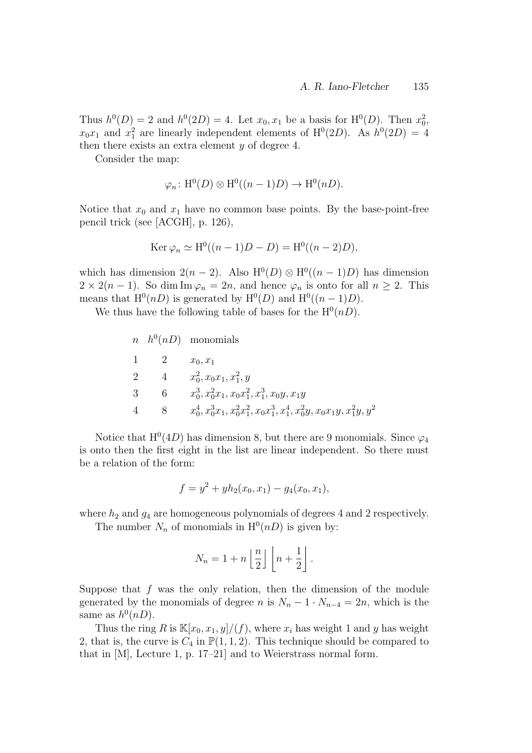Thus  $h^0(D) = 2$  and  $h^0(2D) = 4$ . Let  $x_0, x_1$  be a basis for  $\mathrm{H}^0(D)$ . Then  $x_0^2$ ,  $x_0x_1$  and  $x_1^2$  are linearly independent elements of  $H^0(2D)$ . As  $h^0(2D) = 4$ then there exists an extra element  $y$  of degree 4.

Consider the map:

$$
\varphi_n \colon \mathrm{H}^0(D) \otimes \mathrm{H}^0((n-1)D) \to \mathrm{H}^0(nD).
$$

Notice that  $x_0$  and  $x_1$  have no common base points. By the base-point-free pencil trick (see [ACGH], p. 126),

$$
Ker \varphi_n \simeq H^0((n-1)D - D) = H^0((n-2)D),
$$

which has dimension  $2(n-2)$ . Also  $H^0(D) \otimes H^0((n-1)D)$  has dimension  $2 \times 2(n-1)$ . So dim Im  $\varphi_n = 2n$ , and hence  $\varphi_n$  is onto for all  $n \geq 2$ . This means that  $H^0(nD)$  is generated by  $H^0(D)$  and  $H^0((n-1)D)$ .

We thus have the following table of bases for the  $H^0(nD)$ .

 $n \quad h^0(nD)$  monomials 1 2  $x_0, x_1$ 2 4  $x_0^2, x_0x_1, x_1^2, y$ 3 6  $x_0^3, x_0^2x_1, x_0x_1^2, x_1^3, x_0y, x_1y$ 4 8  $x_0^4, x_0^3x_1, x_0^2x_1^2, x_0x_1^3, x_1^4, x_0^2y, x_0x_1y, x_1^2y, y^2$ 

Notice that  $H^0(4D)$  has dimension 8, but there are 9 monomials. Since  $\varphi_4$ is onto then the first eight in the list are linear independent. So there must be a relation of the form:

$$
f = y^2 + yh_2(x_0, x_1) - g_4(x_0, x_1),
$$

where  $h_2$  and  $g_4$  are homogeneous polynomials of degrees 4 and 2 respectively.

The number  $N_n$  of monomials in  $H^0(nD)$  is given by:

$$
N_n = 1 + n \left\lfloor \frac{n}{2} \right\rfloor \left\lfloor n + \frac{1}{2} \right\rfloor.
$$

Suppose that  $f$  was the only relation, then the dimension of the module generated by the monomials of degree n is  $N_n - 1 \cdot N_{n-4} = 2n$ , which is the same as  $h^0(nD)$ .

Thus the ring R is  $\mathbb{K}[x_0, x_1, y]/(f)$ , where  $x_i$  has weight 1 and y has weight 2, that is, the curve is  $C_4$  in  $\mathbb{P}(1,1,2)$ . This technique should be compared to that in [M], Lecture 1, p. 17–21] and to Weierstrass normal form.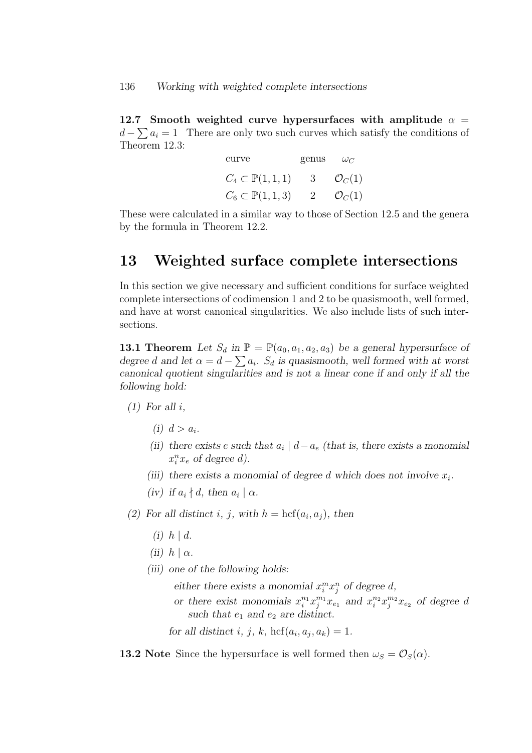12.7 Smooth weighted curve hypersurfaces with amplitude  $\alpha =$  $d - \sum a_i = 1$  There are only two such curves which satisfy the conditions of Theorem 12.3:

| curve                           | genus          | $\omega_C$         |
|---------------------------------|----------------|--------------------|
| $C_4 \subset \mathbb{P}(1,1,1)$ | 3 <sup>3</sup> | $\mathcal{O}_C(1)$ |
| $C_6 \subset \mathbb{P}(1,1,3)$ | $2 -$          | $\mathcal{O}_C(1)$ |

These were calculated in a similar way to those of Section 12.5 and the genera by the formula in Theorem 12.2.

### 13 Weighted surface complete intersections

In this section we give necessary and sufficient conditions for surface weighted complete intersections of codimension 1 and 2 to be quasismooth, well formed, and have at worst canonical singularities. We also include lists of such intersections.

**13.1 Theorem** Let  $S_d$  in  $\mathbb{P} = \mathbb{P}(a_0, a_1, a_2, a_3)$  be a general hypersurface of degree d and let  $\alpha = d - \sum a_i$ . S<sub>d</sub> is quasismooth, well formed with at worst canonical quotient singularities and is not a linear cone if and only if all the following hold:

- $(1)$  For all i.
	- (i)  $d > a_i$ .
	- (ii) there exists e such that  $a_i | d a_e$  (that is, there exists a monomial  $x_i^n x_e$  of degree d).
	- (iii) there exists a monomial of degree d which does not involve  $x_i$ .
	- (iv) if  $a_i \nmid d$ , then  $a_i \mid \alpha$ .
- (2) For all distinct i, j, with  $h = \text{hcf}(a_i, a_j)$ , then
	- $(i)$   $h \mid d$ .
	- (ii)  $h | \alpha$ .
	- (iii) one of the following holds:

either there exists a monomial  $x_i^m x_j^n$  of degree d,

or there exist monomials  $x_i^{n_1} x_j^{m_1} x_{e_1}$  and  $x_i^{n_2} x_j^{m_2} x_{e_2}$  of degree d such that  $e_1$  and  $e_2$  are distinct.

for all distinct i, j, k, hcf $(a_i, a_j, a_k) = 1$ .

**13.2** Note Since the hypersurface is well formed then  $\omega_S = \mathcal{O}_S(\alpha)$ .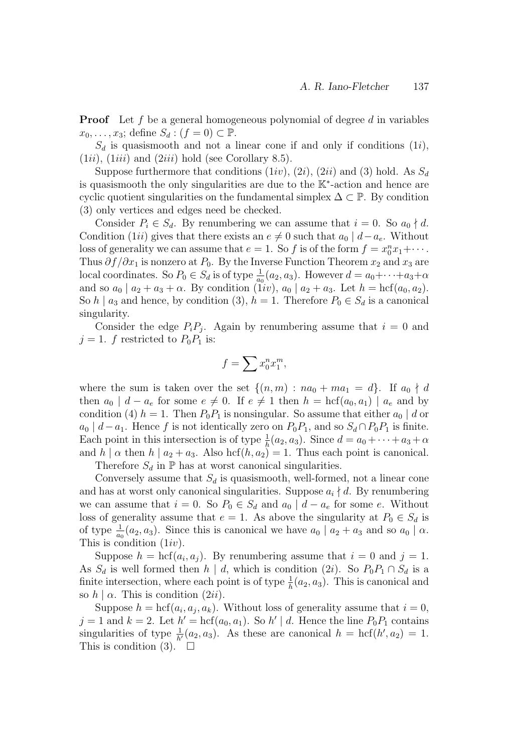**Proof** Let f be a general homogeneous polynomial of degree d in variables  $x_0, \ldots, x_3$ ; define  $S_d : (f = 0) \subset \mathbb{P}$ .

 $S_d$  is quasismooth and not a linear cone if and only if conditions  $(1i)$ ,  $(1ii)$ ,  $(1iii)$  and  $(2iii)$  hold (see Corollary 8.5).

Suppose furthermore that conditions  $(1iv)$ ,  $(2i)$ ,  $(2ii)$  and  $(3)$  hold. As  $S_d$ is quasismooth the only singularities are due to the K<sup>∗</sup> -action and hence are cyclic quotient singularities on the fundamental simplex  $\Delta \subset \mathbb{P}$ . By condition (3) only vertices and edges need be checked.

Consider  $P_i \in S_d$ . By renumbering we can assume that  $i = 0$ . So  $a_0 \nmid d$ . Condition (1ii) gives that there exists an  $e \neq 0$  such that  $a_0 | d-a_e$ . Without loss of generality we can assume that  $e = 1$ . So f is of the form  $f = x_0^n x_1 + \cdots$ . Thus  $\partial f/\partial x_1$  is nonzero at  $P_0$ . By the Inverse Function Theorem  $x_2$  and  $x_3$  are local coordinates. So  $P_0 \in S_d$  is of type  $\frac{1}{a_0}(a_2, a_3)$ . However  $d = a_0 + \cdots + a_3 + \alpha$ and so  $a_0 | a_2 + a_3 + \alpha$ . By condition (1*iv*),  $a_0 | a_2 + a_3$ . Let  $h = \text{hcf}(a_0, a_2)$ . So  $h \mid a_3$  and hence, by condition (3),  $h = 1$ . Therefore  $P_0 \in S_d$  is a canonical singularity.

Consider the edge  $P_i P_j$ . Again by renumbering assume that  $i = 0$  and  $j = 1$ . f restricted to  $P_0P_1$  is:

$$
f = \sum x_0^n x_1^m,
$$

where the sum is taken over the set  $\{(n,m): na_0 + ma_1 = d\}$ . If  $a_0 \nmid d$ then  $a_0 \mid d - a_e$  for some  $e \neq 0$ . If  $e \neq 1$  then  $h = \text{hcf}(a_0, a_1) \mid a_e$  and by condition (4)  $h = 1$ . Then  $P_0P_1$  is nonsingular. So assume that either  $a_0 | d$  or  $a_0 | d-a_1$ . Hence f is not identically zero on  $P_0P_1$ , and so  $S_d \cap P_0P_1$  is finite. Each point in this intersection is of type  $\frac{1}{h}(a_2, a_3)$ . Since  $d = a_0 + \cdots + a_3 + \alpha$ and  $h | \alpha$  then  $h | a_2 + a_3$ . Also hcf $(h, a_2) = 1$ . Thus each point is canonical.

Therefore  $S_d$  in  $\mathbb P$  has at worst canonical singularities.

Conversely assume that  $S_d$  is quasismooth, well-formed, not a linear cone and has at worst only canonical singularities. Suppose  $a_i \nmid d$ . By renumbering we can assume that  $i = 0$ . So  $P_0 \in S_d$  and  $a_0 \mid d - a_e$  for some e. Without loss of generality assume that  $e = 1$ . As above the singularity at  $P_0 \in S_d$  is of type  $\frac{1}{a_0}(a_2, a_3)$ . Since this is canonical we have  $a_0 \mid a_2 + a_3$  and so  $a_0 \mid \alpha$ . This is condition  $(1iv)$ .

Suppose  $h = \text{hcf}(a_i, a_j)$ . By renumbering assume that  $i = 0$  and  $j = 1$ . As  $S_d$  is well formed then  $h | d$ , which is condition  $(2i)$ . So  $P_0P_1 \cap S_d$  is a finite intersection, where each point is of type  $\frac{1}{h}(a_2, a_3)$ . This is canonical and so  $h | \alpha$ . This is condition  $(2ii)$ .

Suppose  $h = \text{hcf}(a_i, a_j, a_k)$ . Without loss of generality assume that  $i = 0$ ,  $j = 1$  and  $k = 2$ . Let  $h' = \text{hcf}(a_0, a_1)$ . So  $h' \mid d$ . Hence the line  $P_0P_1$  contains singularities of type  $\frac{1}{h}(a_2, a_3)$ . As these are canonical  $h = \text{hcf}(h', a_2) = 1$ . This is condition (3).  $\square$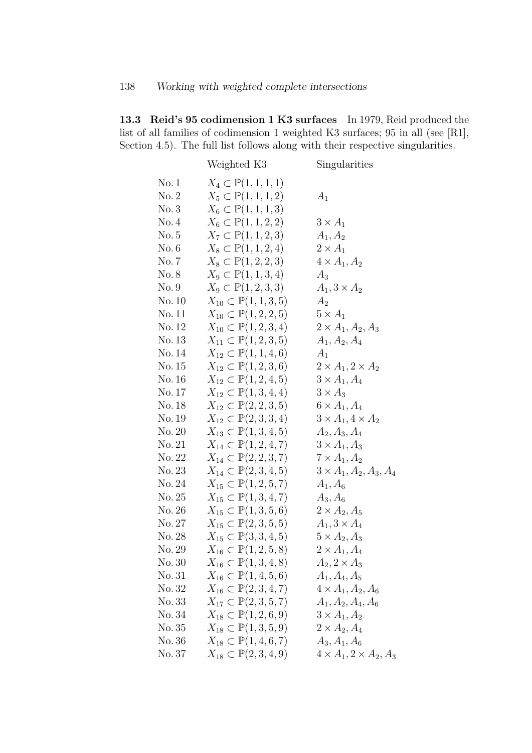13.3 Reid's 95 codimension 1 K3 surfaces In 1979, Reid produced the list of all families of codimension 1 weighted K3 surfaces; 95 in all (see [R1], Section 4.5). The full list follows along with their respective singularities.

|        | Weighted K3                             | Singularities                           |
|--------|-----------------------------------------|-----------------------------------------|
| No. 1  | $X_4 \subset \mathbb{P}(1,1,1,1)$       |                                         |
| No. 2  | $X_5 \subset \mathbb{P}(1,1,1,2)$       | $A_1$                                   |
| No.3   | $X_6 \subset \mathbb{P}(1,1,1,3)$       |                                         |
| No.4   | $X_6 \subset \mathbb{P}(1,1,2,2)$       | $3 \times A_1$                          |
| No. 5  | $X_7 \subset \mathbb{P}(1, 1, 2, 3)$    | $A_1, A_2$                              |
| No. 6  | $X_8 \subset \mathbb{P}(1, 1, 2, 4)$    | $2 \times A_1$                          |
| No. 7  | $X_8 \subset \mathbb{P}(1, 2, 2, 3)$    | $4 \times A_1, A_2$                     |
| No. 8  | $X_9 \subset \mathbb{P}(1,1,3,4)$       | $A_3$                                   |
| No.9   | $X_9 \subset \mathbb{P}(1,2,3,3)$       | $A_1$ , $3 \times A_2$                  |
| No. 10 | $X_{10} \subset \mathbb{P}(1, 1, 3, 5)$ | A <sub>2</sub>                          |
| No. 11 | $X_{10} \subset \mathbb{P}(1, 2, 2, 5)$ | $5 \times A_1$                          |
| No. 12 | $X_{10} \subset \mathbb{P}(1, 2, 3, 4)$ | $2 \times A_1, A_2, A_3$                |
| No. 13 | $X_{11} \subset \mathbb{P}(1, 2, 3, 5)$ | $A_1, A_2, A_4$                         |
| No. 14 | $X_{12} \subset \mathbb{P}(1, 1, 4, 6)$ | $A_1$                                   |
| No. 15 | $X_{12} \subset \mathbb{P}(1, 2, 3, 6)$ | $2 \times A_1$ , $2 \times A_2$         |
| No. 16 | $X_{12} \subset \mathbb{P}(1, 2, 4, 5)$ | $3 \times A_1, A_4$                     |
| No. 17 | $X_{12} \subset \mathbb{P}(1, 3, 4, 4)$ | $3 \times A_3$                          |
| No. 18 | $X_{12} \subset \mathbb{P}(2, 2, 3, 5)$ | $6 \times A_1, A_4$                     |
| No. 19 | $X_{12} \subset \mathbb{P}(2,3,3,4)$    | $3 \times A_1$ , $4 \times A_2$         |
| No. 20 | $X_{13} \subset \mathbb{P}(1, 3, 4, 5)$ | $A_2, A_3, A_4$                         |
| No. 21 | $X_{14} \subset \mathbb{P}(1, 2, 4, 7)$ | $3 \times A_1, A_3$                     |
| No. 22 | $X_{14} \subset \mathbb{P}(2, 2, 3, 7)$ | $7 \times A_1, A_2$                     |
| No. 23 | $X_{14} \subset \mathbb{P}(2, 3, 4, 5)$ | $3 \times A_1, A_2, A_3, A_4$           |
| No. 24 | $X_{15} \subset \mathbb{P}(1, 2, 5, 7)$ | $A_1, A_6$                              |
| No. 25 | $X_{15} \subset \mathbb{P}(1, 3, 4, 7)$ | $A_3, A_6$                              |
| No. 26 | $X_{15} \subset \mathbb{P}(1, 3, 5, 6)$ | $2 \times A_2, A_5$                     |
| No. 27 | $X_{15} \subset \mathbb{P}(2,3,5,5)$    | $A_1, 3 \times A_4$                     |
| No. 28 | $X_{15} \subset \mathbb{P}(3,3,4,5)$    | $5 \times A_2, A_3$                     |
| No. 29 | $X_{16} \subset \mathbb{P}(1, 2, 5, 8)$ | $2 \times A_1, A_4$                     |
| No. 30 | $X_{16} \subset \mathbb{P}(1, 3, 4, 8)$ | $A_2, 2 \times A_3$                     |
| No. 31 | $X_{16} \subset \mathbb{P}(1, 4, 5, 6)$ | $A_1, A_4, A_5$                         |
| No. 32 | $X_{16} \subset \mathbb{P}(2,3,4,7)$    | $4 \times A_1, A_2, A_6$                |
| No. 33 | $X_{17} \subset \mathbb{P}(2,3,5,7)$    | $A_1, A_2, A_4, A_6$                    |
| No. 34 | $X_{18} \subset \mathbb{P}(1, 2, 6, 9)$ | $3 \times A_1, A_2$                     |
| No. 35 | $X_{18} \subset \mathbb{P}(1, 3, 5, 9)$ | $2 \times A_2, A_4$                     |
| No. 36 | $X_{18} \subset \mathbb{P}(1, 4, 6, 7)$ | $A_3, A_1, A_6$                         |
| No. 37 | $X_{18} \subset \mathbb{P}(2,3,4,9)$    | $4 \times A_1$ , $2 \times A_2$ , $A_3$ |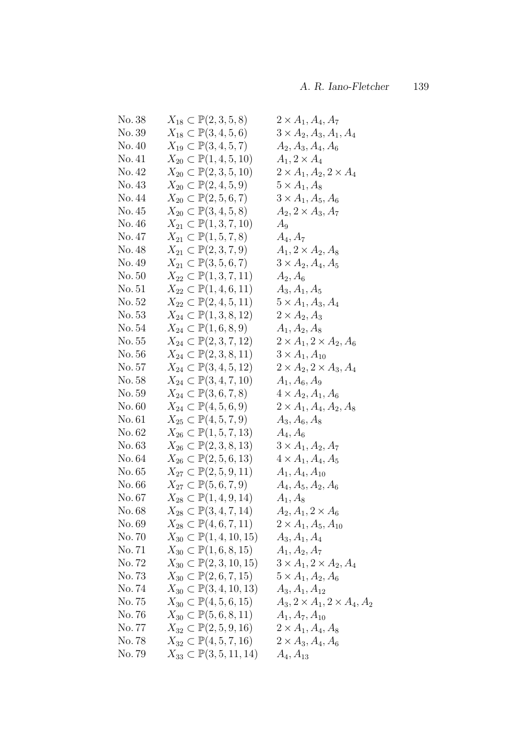| No. 38 | $X_{18} \subset \mathbb{P}(2,3,5,8)$      | $2 \times A_1, A_4, A_7$                |
|--------|-------------------------------------------|-----------------------------------------|
| No. 39 | $X_{18} \subset \mathbb{P}(3, 4, 5, 6)$   | $3 \times A_2, A_3, A_1, A_4$           |
| No. 40 | $X_{19} \subset \mathbb{P}(3, 4, 5, 7)$   | $A_2, A_3, A_4, A_6$                    |
| No. 41 | $X_{20} \subset \mathbb{P}(1,4,5,10)$     | $A_1, 2 \times A_4$                     |
| No. 42 | $X_{20} \subset \mathbb{P}(2,3,5,10)$     | $2 \times A_1, A_2, 2 \times A_4$       |
| No. 43 | $X_{20} \subset \mathbb{P}(2, 4, 5, 9)$   | $5 \times A_1, A_8$                     |
| No. 44 | $X_{20} \subset \mathbb{P}(2, 5, 6, 7)$   | $3 \times A_1, A_5, A_6$                |
| No. 45 | $X_{20} \subset \mathbb{P}(3,4,5,8)$      | $A_2, 2 \times A_3, A_7$                |
| No. 46 | $X_{21} \subset \mathbb{P}(1,3,7,10)$     | $A_9$                                   |
| No. 47 | $X_{21} \subset \mathbb{P}(1, 5, 7, 8)$   | $A_4, A_7$                              |
| No. 48 | $X_{21} \subset \mathbb{P}(2, 3, 7, 9)$   | $A_1, 2 \times A_2, A_8$                |
| No. 49 | $X_{21} \subset \mathbb{P}(3, 5, 6, 7)$   | $3 \times A_2, A_4, A_5$                |
| No. 50 | $X_{22} \subset \mathbb{P}(1,3,7,11)$     | $A_2, A_6$                              |
| No. 51 | $X_{22} \subset \mathbb{P}(1,4,6,11)$     | $A_3, A_1, A_5$                         |
| No. 52 | $X_{22} \subset \mathbb{P}(2,4,5,11)$     | $5 \times A_1, A_3, A_4$                |
| No. 53 | $X_{24} \subset \mathbb{P}(1,3,8,12)$     | $2 \times A_2, A_3$                     |
| No. 54 | $X_{24} \subset \mathbb{P}(1,6,8,9)$      | $A_1, A_2, A_8$                         |
| No. 55 | $X_{24} \subset \mathbb{P}(2,3,7,12)$     | $2 \times A_1$ , $2 \times A_2$ , $A_6$ |
| No. 56 | $X_{24} \subset \mathbb{P}(2,3,8,11)$     | $3 \times A_1, A_{10}$                  |
| No. 57 | $X_{24} \subset \mathbb{P}(3, 4, 5, 12)$  | $2 \times A_2$ , $2 \times A_3$ , $A_4$ |
| No. 58 | $X_{24} \subset \mathbb{P}(3, 4, 7, 10)$  | $A_1, A_6, A_9$                         |
| No. 59 | $X_{24} \subset \mathbb{P}(3,6,7,8)$      | $4 \times A_2, A_1, A_6$                |
| No. 60 | $X_{24} \subset \mathbb{P}(4, 5, 6, 9)$   | $2 \times A_1, A_4, A_2, A_8$           |
| No. 61 | $X_{25} \subset \mathbb{P}(4, 5, 7, 9)$   | $A_3, A_6, A_8$                         |
| No. 62 | $X_{26} \subset \mathbb{P}(1, 5, 7, 13)$  | $A_4, A_6$                              |
| No. 63 | $X_{26} \subset \mathbb{P}(2,3,8,13)$     | $3 \times A_1, A_2, A_7$                |
| No. 64 | $X_{26} \subset \mathbb{P}(2, 5, 6, 13)$  | $4 \times A_1, A_4, A_5$                |
| No. 65 | $X_{27} \subset \mathbb{P}(2, 5, 9, 11)$  | $A_1, A_4, A_{10}$                      |
| No. 66 | $X_{27} \subset \mathbb{P}(5,6,7,9)$      | $A_4, A_5, A_2, A_6$                    |
| No. 67 | $X_{28} \subset \mathbb{P}(1,4,9,14)$     | $A_1, A_8$                              |
| No.68  | $X_{28} \subset \mathbb{P}(3, 4, 7, 14)$  | $A_2, A_1, 2 \times A_6$                |
| No. 69 | $X_{28} \subset \mathbb{P}(4,6,7,11)$     | $2 \times A_1, A_5, A_{10}$             |
| No. 70 | $X_{30} \subset \mathbb{P}(1, 4, 10, 15)$ | $A_3, A_1, A_4$                         |
| No. 71 | $X_{30} \subset \mathbb{P}(1,6,8,15)$     | $A_1, A_2, A_7$                         |
| No. 72 | $X_{30} \subset \mathbb{P}(2,3,10,15)$    | $3 \times A_1$ , $2 \times A_2$ , $A_4$ |
| No. 73 | $X_{30} \subset \mathbb{P}(2,6,7,15)$     | $5 \times A_1, A_2, A_6$                |
| No. 74 | $X_{30} \subset \mathbb{P}(3,4,10,13)$    | $A_3, A_1, A_{12}$                      |
| No.75  | $X_{30} \subset \mathbb{P}(4, 5, 6, 15)$  | $A_3, 2 \times A_1, 2 \times A_4, A_2$  |
| No.76  | $X_{30} \subset \mathbb{P}(5,6,8,11)$     | $A_1, A_7, A_{10}$                      |
| No. 77 | $X_{32} \subset \mathbb{P}(2, 5, 9, 16)$  | $2\times A_1, A_4, A_8$                 |
| No. 78 | $X_{32} \subset \mathbb{P}(4, 5, 7, 16)$  | $2 \times A_3, A_4, A_6$                |
| No.79  | $X_{33} \subset \mathbb{P}(3, 5, 11, 14)$ | $A_4, A_{13}$                           |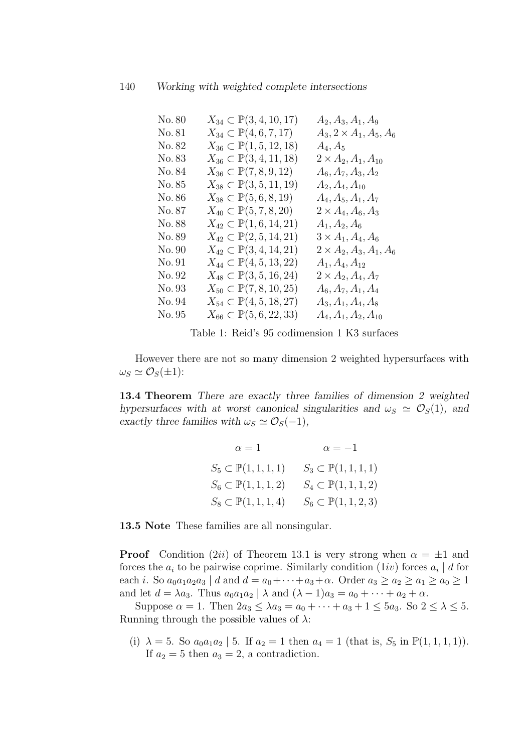| No. 80 | $X_{34} \subset \mathbb{P}(3, 4, 10, 17)$ | $A_2, A_3, A_1, A_9$                   |
|--------|-------------------------------------------|----------------------------------------|
| No. 81 | $X_{34} \subset \mathbb{P}(4,6,7,17)$     | $A_3$ , $2 \times A_1$ , $A_5$ , $A_6$ |
| No. 82 | $X_{36} \subset \mathbb{P}(1, 5, 12, 18)$ | $A_4, A_5$                             |
| No. 83 | $X_{36} \subset \mathbb{P}(3,4,11,18)$    | $2 \times A_2, A_1, A_{10}$            |
| No. 84 | $X_{36} \subset \mathbb{P}(7,8,9,12)$     | $A_6, A_7, A_3, A_2$                   |
| No. 85 | $X_{38} \subset \mathbb{P}(3, 5, 11, 19)$ | $A_2, A_4, A_{10}$                     |
| No. 86 | $X_{38} \subset \mathbb{P}(5,6,8,19)$     | $A_4, A_5, A_1, A_7$                   |
| No. 87 | $X_{40} \subset \mathbb{P}(5, 7, 8, 20)$  | $2 \times A_4, A_6, A_3$               |
| No. 88 | $X_{42} \subset \mathbb{P}(1,6,14,21)$    | $A_1, A_2, A_6$                        |
| No. 89 | $X_{42} \subset \mathbb{P}(2, 5, 14, 21)$ | $3 \times A_1, A_4, A_6$               |
| No. 90 | $X_{42} \subset \mathbb{P}(3,4,14,21)$    | $2 \times A_2, A_3, A_1, A_6$          |
| No. 91 | $X_{44} \subset \mathbb{P}(4, 5, 13, 22)$ | $A_1, A_4, A_{12}$                     |
| No. 92 | $X_{48} \subset \mathbb{P}(3, 5, 16, 24)$ | $2 \times A_2, A_4, A_7$               |
| No. 93 | $X_{50} \subset \mathbb{P}(7,8,10,25)$    | $A_6, A_7, A_1, A_4$                   |
| No. 94 | $X_{54} \subset \mathbb{P}(4, 5, 18, 27)$ | $A_3, A_1, A_4, A_8$                   |
| No. 95 | $X_{66} \subset \mathbb{P}(5,6,22,33)$    | $A_4, A_1, A_2, A_{10}$                |

Table 1: Reid's 95 codimension 1 K3 surfaces

However there are not so many dimension 2 weighted hypersurfaces with  $\omega_S \simeq \mathcal{O}_S(\pm 1)$ :

13.4 Theorem There are exactly three families of dimension 2 weighted hypersurfaces with at worst canonical singularities and  $\omega_s \simeq \mathcal{O}_S(1)$ , and exactly three families with  $\omega_S \simeq \mathcal{O}_S(-1)$ ,

> $\alpha = 1$   $\alpha = -1$  $S_5 \subset \mathbb{P}(1, 1, 1, 1)$   $S_3 \subset \mathbb{P}(1, 1, 1, 1)$  $S_6 \subset \mathbb{P}(1, 1, 1, 2)$   $S_4 \subset \mathbb{P}(1, 1, 1, 2)$  $S_8 \subset \mathbb{P}(1, 1, 1, 4)$   $S_6 \subset \mathbb{P}(1, 1, 2, 3)$

13.5 Note These families are all nonsingular.

**Proof** Condition (2*ii*) of Theorem 13.1 is very strong when  $\alpha = \pm 1$  and forces the  $a_i$  to be pairwise coprime. Similarly condition  $(1iv)$  forces  $a_i | d$  for each *i*. So  $a_0a_1a_2a_3 \mid d$  and  $d = a_0 + \cdots + a_3 + \alpha$ . Order  $a_3 \ge a_2 \ge a_1 \ge a_0 \ge 1$ and let  $d = \lambda a_3$ . Thus  $a_0 a_1 a_2 \mid \lambda$  and  $(\lambda - 1)a_3 = a_0 + \cdots + a_2 + \alpha$ .

Suppose  $\alpha = 1$ . Then  $2a_3 \leq \lambda a_3 = a_0 + \cdots + a_3 + 1 \leq 5a_3$ . So  $2 \leq \lambda \leq 5$ . Running through the possible values of  $\lambda$ :

(i)  $\lambda = 5$ . So  $a_0a_1a_2$  | 5. If  $a_2 = 1$  then  $a_4 = 1$  (that is,  $S_5$  in  $\mathbb{P}(1,1,1,1)$ ). If  $a_2 = 5$  then  $a_3 = 2$ , a contradiction.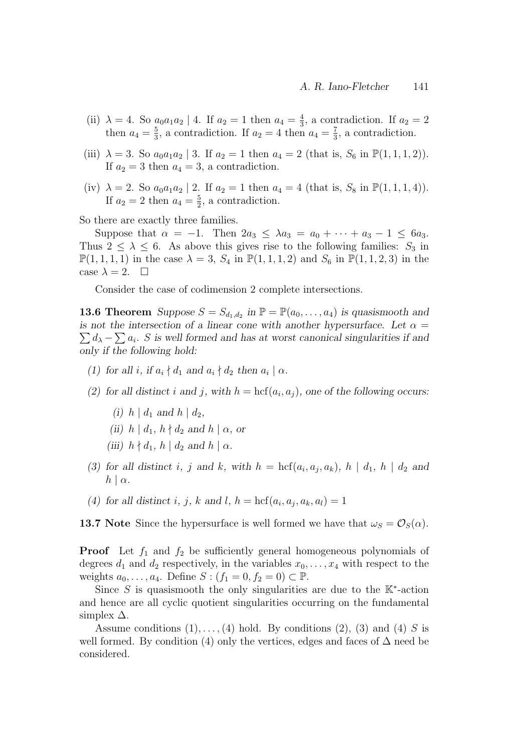- (ii)  $\lambda = 4$ . So  $a_0 a_1 a_2 \mid 4$ . If  $a_2 = 1$  then  $a_4 = \frac{4}{3}$  $\frac{4}{3}$ , a contradiction. If  $a_2 = 2$ then  $a_4 = \frac{5}{3}$  $\frac{5}{3}$ , a contradiction. If  $a_2 = 4$  then  $a_4 = \frac{7}{3}$  $\frac{7}{3}$ , a contradiction.
- (iii)  $\lambda = 3$ . So  $a_0 a_1 a_2 | 3$ . If  $a_2 = 1$  then  $a_4 = 2$  (that is,  $S_6$  in  $\mathbb{P}(1,1,1,2)$ ). If  $a_2 = 3$  then  $a_4 = 3$ , a contradiction.
- (iv)  $\lambda = 2$ . So  $a_0 a_1 a_2 | 2$ . If  $a_2 = 1$  then  $a_4 = 4$  (that is,  $S_8$  in  $\mathbb{P}(1,1,1,4)$ ). If  $a_2 = 2$  then  $a_4 = \frac{5}{2}$  $\frac{5}{2}$ , a contradiction.

So there are exactly three families.

Suppose that  $\alpha = -1$ . Then  $2a_3 \leq \lambda a_3 = a_0 + \cdots + a_3 - 1 \leq 6a_3$ . Thus  $2 \leq \lambda \leq 6$ . As above this gives rise to the following families:  $S_3$  in  $\mathbb{P}(1, 1, 1, 1)$  in the case  $\lambda = 3$ ,  $S_4$  in  $\mathbb{P}(1, 1, 1, 2)$  and  $S_6$  in  $\mathbb{P}(1, 1, 2, 3)$  in the case  $\lambda = 2$ .  $\Box$ 

Consider the case of codimension 2 complete intersections.

**13.6 Theorem** Suppose  $S = S_{d_1, d_2}$  in  $\mathbb{P} = \mathbb{P}(a_0, \ldots, a_4)$  is quasismooth and is not the intersection of a linear cone with another hypersurface. Let  $\alpha =$  $\sum d_{\lambda} - \sum a_i$ . S is well formed and has at worst canonical singularities if and only if the following hold:

- (1) for all i, if  $a_i \nmid d_1$  and  $a_i \nmid d_2$  then  $a_i \mid \alpha$ .
- (2) for all distinct i and j, with  $h = \text{hcf}(a_i, a_j)$ , one of the following occurs:
	- (i)  $h \mid d_1$  and  $h \mid d_2$ ,
	- (ii)  $h \mid d_1, h \nmid d_2$  and  $h \mid \alpha$ , or
	- (iii)  $h \nmid d_1, h \mid d_2$  and  $h \mid \alpha$ .
- (3) for all distinct i, j and k, with  $h = \text{hcf}(a_i, a_j, a_k)$ ,  $h | d_1, h | d_2$  and  $h \mid \alpha$ .
- (4) for all distinct i, j, k and l,  $h = \text{hcf}(a_i, a_j, a_k, a_l) = 1$

**13.7** Note Since the hypersurface is well formed we have that  $\omega_S = \mathcal{O}_S(\alpha)$ .

**Proof** Let  $f_1$  and  $f_2$  be sufficiently general homogeneous polynomials of degrees  $d_1$  and  $d_2$  respectively, in the variables  $x_0, \ldots, x_4$  with respect to the weights  $a_0, \ldots, a_4$ . Define  $S : (f_1 = 0, f_2 = 0) \subset \mathbb{P}$ .

Since S is quasismooth the only singularities are due to the  $K^*$ -action and hence are all cyclic quotient singularities occurring on the fundamental simplex  $\Delta$ .

Assume conditions  $(1), \ldots, (4)$  hold. By conditions  $(2), (3)$  and  $(4)$  S is well formed. By condition (4) only the vertices, edges and faces of  $\Delta$  need be considered.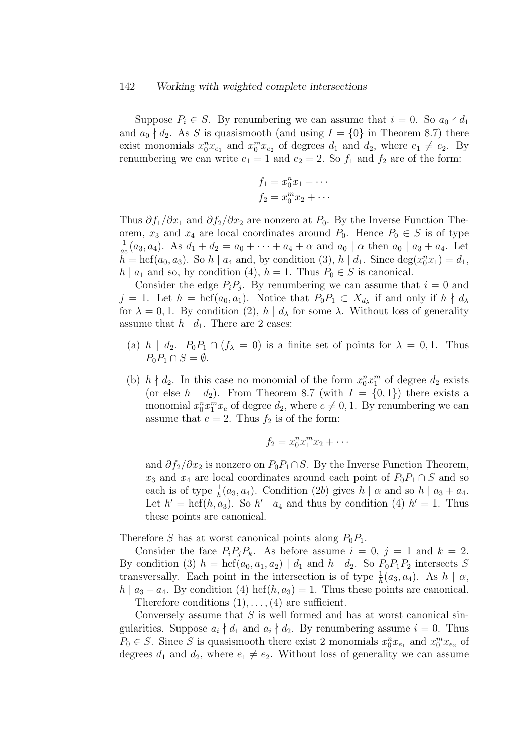#### 142 Working with weighted complete intersections

Suppose  $P_i \in S$ . By renumbering we can assume that  $i = 0$ . So  $a_0 \nmid d_1$ and  $a_0 \nmid d_2$ . As S is quasismooth (and using  $I = \{0\}$  in Theorem 8.7) there exist monomials  $x_0^n x_{e_1}$  and  $x_0^m x_{e_2}$  of degrees  $d_1$  and  $d_2$ , where  $e_1 \neq e_2$ . By renumbering we can write  $e_1 = 1$  and  $e_2 = 2$ . So  $f_1$  and  $f_2$  are of the form:

$$
f_1 = x_0^n x_1 + \cdots
$$
  

$$
f_2 = x_0^m x_2 + \cdots
$$

Thus  $\partial f_1/\partial x_1$  and  $\partial f_2/\partial x_2$  are nonzero at  $P_0$ . By the Inverse Function Theorem,  $x_3$  and  $x_4$  are local coordinates around  $P_0$ . Hence  $P_0 \in S$  is of type 1  $\frac{1}{a_0}(a_3, a_4)$ . As  $d_1 + d_2 = a_0 + \cdots + a_4 + \alpha$  and  $a_0 \mid \alpha$  then  $a_0 \mid a_3 + a_4$ . Let  $\tilde{h}$  = hcf( $a_0, a_3$ ). So  $h \mid a_4$  and, by condition (3),  $h \mid d_1$ . Since  $\deg(x_0^n x_1) = d_1$ ,  $h \mid a_1$  and so, by condition (4),  $h = 1$ . Thus  $P_0 \in S$  is canonical.

Consider the edge  $P_i P_j$ . By renumbering we can assume that  $i = 0$  and  $j = 1$ . Let  $h = \text{hcf}(a_0, a_1)$ . Notice that  $P_0P_1 \subset X_{d_\lambda}$  if and only if  $h \nmid d_\lambda$ for  $\lambda = 0, 1$ . By condition (2),  $h | d_\lambda$  for some  $\lambda$ . Without loss of generality assume that  $h | d_1$ . There are 2 cases:

- (a) h |  $d_2$ .  $P_0P_1 \cap (f_{\lambda} = 0)$  is a finite set of points for  $\lambda = 0, 1$ . Thus  $P_0P_1 \cap S = \emptyset.$
- (b)  $h \nmid d_2$ . In this case no monomial of the form  $x_0^n x_1^m$  of degree  $d_2$  exists (or else  $h | d_2$ ). From Theorem 8.7 (with  $I = \{0, 1\}$ ) there exists a monomial  $x_0^n x_1^m x_e$  of degree  $d_2$ , where  $e \neq 0, 1$ . By renumbering we can assume that  $e = 2$ . Thus  $f_2$  is of the form:

$$
f_2=x_0^nx_1^mx_2+\cdots
$$

and  $\partial f_2/\partial x_2$  is nonzero on  $P_0P_1\cap S$ . By the Inverse Function Theorem,  $x_3$  and  $x_4$  are local coordinates around each point of  $P_0P_1 \cap S$  and so each is of type  $\frac{1}{h}(a_3, a_4)$ . Condition (2b) gives  $h | \alpha$  and so  $h | a_3 + a_4$ . Let  $h' = \text{hcf}(h, a_3)$ . So  $h' \mid a_4$  and thus by condition (4)  $h' = 1$ . Thus these points are canonical.

Therefore S has at worst canonical points along  $P_0P_1$ .

Consider the face  $P_i P_j P_k$ . As before assume  $i = 0, j = 1$  and  $k = 2$ . By condition (3)  $h = \text{hcf}(a_0, a_1, a_2) | d_1$  and  $h | d_2$ . So  $P_0P_1P_2$  intersects S transversally. Each point in the intersection is of type  $\frac{1}{h}(a_3, a_4)$ . As  $h | \alpha$ ,  $h \mid a_3 + a_4$ . By condition (4) hcf( $h, a_3$ ) = 1. Thus these points are canonical.

Therefore conditions  $(1), \ldots, (4)$  are sufficient.

Conversely assume that  $S$  is well formed and has at worst canonical singularities. Suppose  $a_i \nmid d_1$  and  $a_i \nmid d_2$ . By renumbering assume  $i = 0$ . Thus  $P_0 \in S$ . Since S is quasismooth there exist 2 monomials  $x_0^n x_{e_1}$  and  $x_0^m x_{e_2}$  of degrees  $d_1$  and  $d_2$ , where  $e_1 \neq e_2$ . Without loss of generality we can assume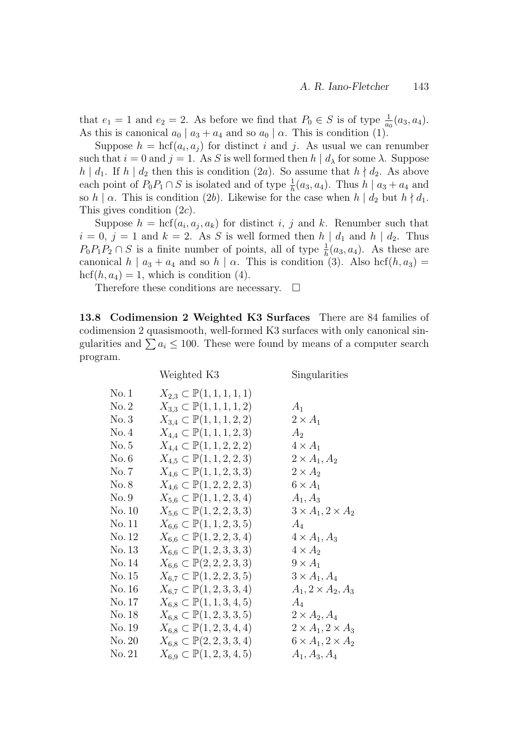that  $e_1 = 1$  and  $e_2 = 2$ . As before we find that  $P_0 \in S$  is of type  $\frac{1}{a_0}(a_3, a_4)$ . As this is canonical  $a_0 | a_3 + a_4$  and so  $a_0 | \alpha$ . This is condition (1).

Suppose  $h = \text{hcf}(a_i, a_j)$  for distinct i and j. As usual we can renumber such that  $i = 0$  and  $j = 1$ . As S is well formed then  $h | d_\lambda$  for some  $\lambda$ . Suppose h |  $d_1$ . If h |  $d_2$  then this is condition (2a). So assume that  $h \nmid d_2$ . As above each point of  $P_0P_1 \cap S$  is isolated and of type  $\frac{1}{h}(a_3, a_4)$ . Thus  $h | a_3 + a_4$  and so h |  $\alpha$ . This is condition (2b). Likewise for the case when h |  $d_2$  but  $h \nmid d_1$ . This gives condition (2c).

Suppose  $h = \text{hcf}(a_i, a_j, a_k)$  for distinct i, j and k. Renumber such that  $i = 0, j = 1$  and  $k = 2$ . As S is well formed then  $h | d_1$  and  $h | d_2$ . Thus  $P_0P_1P_2 \cap S$  is a finite number of points, all of type  $\frac{1}{h}(a_3, a_4)$ . As these are canonical  $h | a_3 + a_4$  and so  $h | \alpha$ . This is condition (3). Also hcf(h, a<sub>3</sub>) =  $\mathrm{hcf}(h, a_4) = 1$ , which is condition (4).

Therefore these conditions are necessary.  $\Box$ 

13.8 Codimension 2 Weighted K3 Surfaces There are 84 families of codimension 2 quasismooth, well-formed K3 surfaces with only canonical singularities and  $\sum a_i \leq 100$ . These were found by means of a computer search program.

|        | Weighted K3                             | Singularities                   |
|--------|-----------------------------------------|---------------------------------|
| No. 1  | $X_{2,3} \subset \mathbb{P}(1,1,1,1,1)$ |                                 |
| No. 2  | $X_{3,3} \subset \mathbb{P}(1,1,1,1,2)$ | $A_1$                           |
| No.3   | $X_{3,4} \subset \mathbb{P}(1,1,1,2,2)$ | $2 \times A_1$                  |
| No.4   | $X_{4,4} \subset \mathbb{P}(1,1,1,2,3)$ | A <sub>2</sub>                  |
| No. 5  | $X_{4,4} \subset \mathbb{P}(1,1,2,2,2)$ | $4 \times A_1$                  |
| No. 6  | $X_{4,5} \subset \mathbb{P}(1,1,2,2,3)$ | $2 \times A_1, A_2$             |
| No. 7  | $X_{4,6} \subset \mathbb{P}(1,1,2,3,3)$ | $2 \times A_2$                  |
| No. 8  | $X_{4,6} \subset \mathbb{P}(1,2,2,2,3)$ | $6 \times A_1$                  |
| No. 9  | $X_{5,6} \subset \mathbb{P}(1,1,2,3,4)$ | $A_1, A_3$                      |
| No. 10 | $X_{5,6} \subset \mathbb{P}(1,2,2,3,3)$ | $3 \times A_1$ , $2 \times A_2$ |
| No. 11 | $X_{6,6} \subset \mathbb{P}(1,1,2,3,5)$ | $A_4$                           |
| No. 12 | $X_{6,6} \subset \mathbb{P}(1,2,2,3,4)$ | $4 \times A_1, A_3$             |
| No. 13 | $X_{6,6} \subset \mathbb{P}(1,2,3,3,3)$ | $4 \times A_2$                  |
| No. 14 | $X_{6,6} \subset \mathbb{P}(2,2,2,3,3)$ | $9 \times A_1$                  |
| No. 15 | $X_{6,7} \subset \mathbb{P}(1,2,2,3,5)$ | $3 \times A_1, A_4$             |
| No. 16 | $X_{6,7} \subset \mathbb{P}(1,2,3,3,4)$ | $A_1, 2 \times A_2, A_3$        |
| No. 17 | $X_{6,8} \subset \mathbb{P}(1,1,3,4,5)$ | $A_4$                           |
| No. 18 | $X_{6,8} \subset \mathbb{P}(1,2,3,3,5)$ | $2 \times A_2, A_4$             |
| No. 19 | $X_{6,8} \subset \mathbb{P}(1,2,3,4,4)$ | $2 \times A_1$ , $2 \times A_3$ |
| No. 20 | $X_{6,8} \subset \mathbb{P}(2,2,3,3,4)$ | $6 \times A_1$ , $2 \times A_2$ |
| No. 21 | $X_{6,9} \subset \mathbb{P}(1,2,3,4,5)$ | $A_1, A_3, A_4$                 |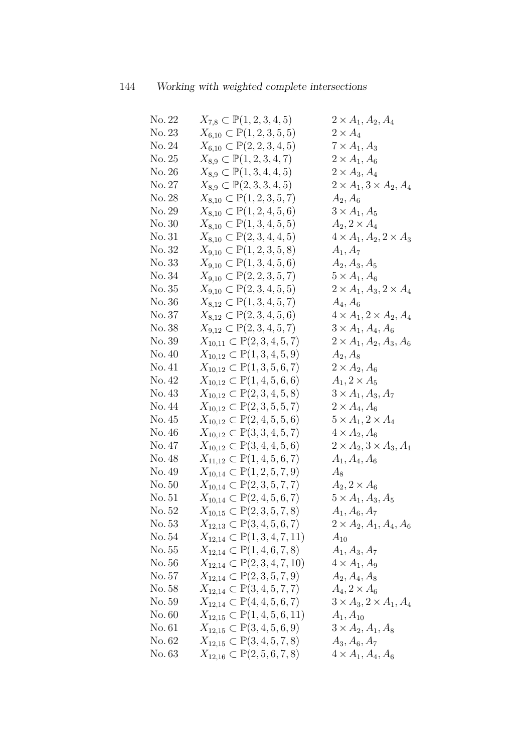| No. 22 | $X_{7,8} \subset \mathbb{P}(1,2,3,4,5)$    | $2\times A_1, A_2, A_4$                 |
|--------|--------------------------------------------|-----------------------------------------|
| No. 23 | $X_{6,10} \subset \mathbb{P}(1,2,3,5,5)$   | $2 \times A_4$                          |
| No. 24 | $X_{6,10} \subset \mathbb{P}(2,2,3,4,5)$   | $7 \times A_1, A_3$                     |
| No. 25 | $X_{8,9} \subset \mathbb{P}(1,2,3,4,7)$    | $2 \times A_1, A_6$                     |
| No. 26 | $X_{8,9} \subset \mathbb{P}(1,3,4,4,5)$    | $2 \times A_3, A_4$                     |
| No. 27 | $X_{8,9} \subset \mathbb{P}(2,3,3,4,5)$    | $2 \times A_1$ , $3 \times A_2$ , $A_4$ |
| No. 28 | $X_{8,10} \subset \mathbb{P}(1,2,3,5,7)$   | $A_2, A_6$                              |
| No. 29 | $X_{8,10} \subset \mathbb{P}(1,2,4,5,6)$   | $3 \times A_1, A_5$                     |
| No. 30 | $X_{8,10} \subset \mathbb{P}(1,3,4,5,5)$   | $A_2, 2 \times A_4$                     |
| No. 31 | $X_{8,10} \subset \mathbb{P}(2,3,4,4,5)$   | $4 \times A_1, A_2, 2 \times A_3$       |
| No. 32 | $X_{9,10} \subset \mathbb{P}(1,2,3,5,8)$   | $A_1, A_7$                              |
| No. 33 | $X_{9,10} \subset \mathbb{P}(1,3,4,5,6)$   | $A_2, A_3, A_5$                         |
| No. 34 | $X_{9,10} \subset \mathbb{P}(2,2,3,5,7)$   | $5 \times A_1, A_6$                     |
| No. 35 | $X_{9,10} \subset \mathbb{P}(2,3,4,5,5)$   | $2 \times A_1, A_3, 2 \times A_4$       |
| No. 36 | $X_{8,12} \subset \mathbb{P}(1,3,4,5,7)$   | $A_4, A_6$                              |
| No. 37 | $X_{8,12} \subset \mathbb{P}(2,3,4,5,6)$   | $4 \times A_1$ , $2 \times A_2$ , $A_4$ |
| No. 38 | $X_{9,12} \subset \mathbb{P}(2,3,4,5,7)$   | $3 \times A_1, A_4, A_6$                |
| No. 39 | $X_{10,11} \subset \mathbb{P}(2,3,4,5,7)$  | $2 \times A_1, A_2, A_3, A_6$           |
| No. 40 | $X_{10,12} \subset \mathbb{P}(1,3,4,5,9)$  | $A_2, A_8$                              |
| No. 41 | $X_{10,12} \subset \mathbb{P}(1,3,5,6,7)$  | $2 \times A_2, A_6$                     |
| No. 42 | $X_{10,12} \subset \mathbb{P}(1,4,5,6,6)$  | $A_1, 2 \times A_5$                     |
| No. 43 | $X_{10,12} \subset \mathbb{P}(2,3,4,5,8)$  | $3 \times A_1, A_3, A_7$                |
| No. 44 | $X_{10,12} \subset \mathbb{P}(2,3,5,5,7)$  | $2 \times A_4, A_6$                     |
| No. 45 | $X_{10,12} \subset \mathbb{P}(2,4,5,5,6)$  | $5 \times A_1$ , $2 \times A_4$         |
| No. 46 | $X_{10,12} \subset \mathbb{P}(3,3,4,5,7)$  | $4 \times A_2, A_6$                     |
| No. 47 | $X_{10,12} \subset \mathbb{P}(3,4,4,5,6)$  | $2 \times A_2$ , $3 \times A_3$ , $A_1$ |
| No. 48 | $X_{11,12} \subset \mathbb{P}(1,4,5,6,7)$  | $A_1, A_4, A_6$                         |
| No. 49 | $X_{10,14} \subset \mathbb{P}(1,2,5,7,9)$  | $A_8$                                   |
| No.50  | $X_{10,14} \subset \mathbb{P}(2,3,5,7,7)$  | $A_2, 2 \times A_6$                     |
| No. 51 | $X_{10,14} \subset \mathbb{P}(2,4,5,6,7)$  | $5 \times A_1, A_3, A_5$                |
| No. 52 | $X_{10,15} \subset \mathbb{P}(2,3,5,7,8)$  | $A_1, A_6, A_7$                         |
| No.53  | $X_{12,13} \subset \mathbb{P}(3,4,5,6,7)$  | $2 \times A_2, A_1, A_4, A_6$           |
| No. 54 | $X_{12,14} \subset \mathbb{P}(1,3,4,7,11)$ | $A_{10}$                                |
| No. 55 | $X_{12,14} \subset \mathbb{P}(1,4,6,7,8)$  | $A_1, A_3, A_7$                         |
| No.56  | $X_{12,14} \subset \mathbb{P}(2,3,4,7,10)$ | $4 \times A_1, A_9$                     |
| No. 57 | $X_{12,14} \subset \mathbb{P}(2,3,5,7,9)$  | $A_2, A_4, A_8$                         |
| No. 58 | $X_{12,14} \subset \mathbb{P}(3,4,5,7,7)$  | $A_4, 2 \times A_6$                     |
| No. 59 | $X_{12,14} \subset \mathbb{P}(4,4,5,6,7)$  | $3 \times A_3$ , $2 \times A_1$ , $A_4$ |
| No. 60 | $X_{12,15} \subset \mathbb{P}(1,4,5,6,11)$ | $A_1, A_{10}$                           |
| No.61  | $X_{12,15} \subset \mathbb{P}(3,4,5,6,9)$  | $3 \times A_2, A_1, A_8$                |
| No. 62 | $X_{12,15} \subset \mathbb{P}(3,4,5,7,8)$  | $A_3, A_6, A_7$                         |
| No. 63 | $X_{12,16} \subset \mathbb{P}(2,5,6,7,8)$  | $4 \times A_1, A_4, A_6$                |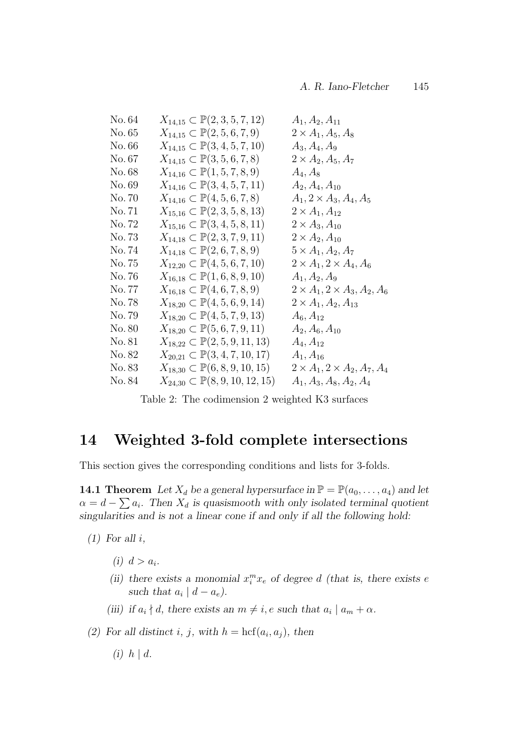| No. 64 | $X_{14,15} \subset \mathbb{P}(2,3,5,7,12)$     | $A_1, A_2, A_{11}$                              |
|--------|------------------------------------------------|-------------------------------------------------|
| No. 65 | $X_{14,15} \subset \mathbb{P}(2,5,6,7,9)$      | $2 \times A_1, A_5, A_8$                        |
| No. 66 | $X_{14,15} \subset \mathbb{P}(3,4,5,7,10)$     | $A_3, A_4, A_9$                                 |
| No. 67 | $X_{14,15} \subset \mathbb{P}(3,5,6,7,8)$      | $2 \times A_2, A_5, A_7$                        |
| No. 68 | $X_{14,16} \subset \mathbb{P}(1,5,7,8,9)$      | $A_4, A_8$                                      |
| No. 69 | $X_{14,16} \subset \mathbb{P}(3,4,5,7,11)$     | $A_2, A_4, A_{10}$                              |
| No. 70 | $X_{14,16} \subset \mathbb{P}(4,5,6,7,8)$      | $A_1, 2 \times A_3, A_4, A_5$                   |
| No. 71 | $X_{15,16} \subset \mathbb{P}(2,3,5,8,13)$     | $2 \times A_1, A_{12}$                          |
| No. 72 | $X_{15,16} \subset \mathbb{P}(3,4,5,8,11)$     | $2 \times A_3, A_{10}$                          |
| No. 73 | $X_{14,18} \subset \mathbb{P}(2,3,7,9,11)$     | $2\times A_2, A_{10}$                           |
| No. 74 | $X_{14,18} \subset \mathbb{P}(2,6,7,8,9)$      | $5 \times A_1, A_2, A_7$                        |
| No. 75 | $X_{12,20} \subset \mathbb{P}(4, 5, 6, 7, 10)$ | $2 \times A_1$ , $2 \times A_4$ , $A_6$         |
| No. 76 | $X_{16,18} \subset \mathbb{P}(1,6,8,9,10)$     | $A_1, A_2, A_9$                                 |
| No. 77 | $X_{16,18} \subset \mathbb{P}(4,6,7,8,9)$      | $2 \times A_1$ , $2 \times A_3$ , $A_2$ , $A_6$ |
| No. 78 | $X_{18,20} \subset \mathbb{P}(4,5,6,9,14)$     | $2 \times A_1, A_2, A_{13}$                     |
| No. 79 | $X_{18,20} \subset \mathbb{P}(4, 5, 7, 9, 13)$ | $A_6, A_{12}$                                   |
| No. 80 | $X_{18,20} \subset \mathbb{P}(5,6,7,9,11)$     | $A_2, A_6, A_{10}$                              |
| No. 81 | $X_{18,22} \subset \mathbb{P}(2,5,9,11,13)$    | $A_4, A_{12}$                                   |
| No. 82 | $X_{20,21} \subset \mathbb{P}(3,4,7,10,17)$    | $A_1, A_{16}$                                   |
| No. 83 | $X_{18,30} \subset \mathbb{P}(6,8,9,10,15)$    | $2\times A_1$ , $2\times A_2$ , $A_7$ , $A_4$   |
| No. 84 | $X_{24,30} \subset \mathbb{P}(8,9,10,12,15)$   | $A_1, A_3, A_8, A_2, A_4$                       |

Table 2: The codimension 2 weighted K3 surfaces

# 14 Weighted 3-fold complete intersections

This section gives the corresponding conditions and lists for 3-folds.

**14.1 Theorem** Let  $X_d$  be a general hypersurface in  $\mathbb{P} = \mathbb{P}(a_0, \ldots, a_4)$  and let  $\alpha = d - \sum a_i$ . Then  $X_d$  is quasismooth with only isolated terminal quotient singularities and is not a linear cone if and only if all the following hold:

 $(1)$  For all i,

(i)  $d > a_i$ .

- (ii) there exists a monomial  $x_i^m x_e$  of degree d (that is, there exists e such that  $a_i | d - a_e$ ).
- (iii) if  $a_i \nmid d$ , there exists an  $m \neq i$ , e such that  $a_i \mid a_m + \alpha$ .

(2) For all distinct i, j, with  $h = \text{hcf}(a_i, a_j)$ , then

(i)  $h \mid d$ .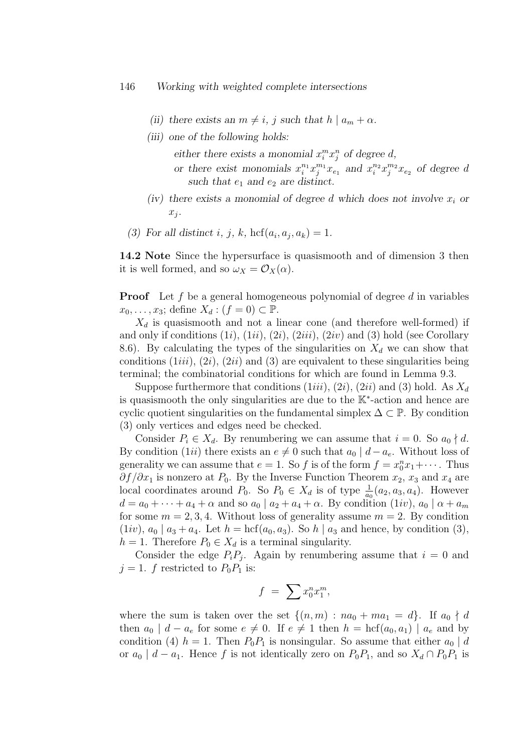- (ii) there exists an  $m \neq i$ , j such that  $h | a_m + \alpha$ .
- (iii) one of the following holds:

either there exists a monomial  $x_i^m x_j^n$  of degree d,

- or there exist monomials  $x_i^{n_1} x_j^{m_1} x_{e_1}$  and  $x_i^{n_2} x_j^{m_2} x_{e_2}$  of degree d such that  $e_1$  and  $e_2$  are distinct.
- (iv) there exists a monomial of degree d which does not involve  $x_i$  or  $x_j$ .
- (3) For all distinct i, j, k, hcf $(a_i, a_j, a_k) = 1$ .

14.2 Note Since the hypersurface is quasismooth and of dimension 3 then it is well formed, and so  $\omega_X = \mathcal{O}_X(\alpha)$ .

**Proof** Let f be a general homogeneous polynomial of degree d in variables  $x_0, \ldots, x_3$ ; define  $X_d : (f = 0) \subset \mathbb{P}$ .

 $X_d$  is quasismooth and not a linear cone (and therefore well-formed) if and only if conditions  $(1i)$ ,  $(1ii)$ ,  $(2i)$ ,  $(2iii)$ ,  $(2iv)$  and  $(3)$  hold (see Corollary 8.6). By calculating the types of the singularities on  $X_d$  we can show that conditions  $(1iii)$ ,  $(2i)$ ,  $(2ii)$  and  $(3)$  are equivalent to these singularities being terminal; the combinatorial conditions for which are found in Lemma 9.3.

Suppose furthermore that conditions  $(1iii)$ ,  $(2i)$ ,  $(2ii)$  and (3) hold. As  $X_d$ is quasismooth the only singularities are due to the K<sup>∗</sup> -action and hence are cyclic quotient singularities on the fundamental simplex  $\Delta \subset \mathbb{P}$ . By condition (3) only vertices and edges need be checked.

Consider  $P_i \in X_d$ . By renumbering we can assume that  $i = 0$ . So  $a_0 \nmid d$ . By condition (1ii) there exists an  $e \neq 0$  such that  $a_0 | d - a_e$ . Without loss of generality we can assume that  $e = 1$ . So f is of the form  $f = x_0^n x_1 + \cdots$ . Thus  $\partial f/\partial x_1$  is nonzero at  $P_0$ . By the Inverse Function Theorem  $x_2, x_3$  and  $x_4$  are local coordinates around  $P_0$ . So  $P_0 \in X_d$  is of type  $\frac{1}{a_0}(a_2, a_3, a_4)$ . However  $d = a_0 + \cdots + a_4 + \alpha$  and so  $a_0 \mid a_2 + a_4 + \alpha$ . By condition  $(1iv)$ ,  $a_0 \mid \alpha + a_m$ for some  $m = 2, 3, 4$ . Without loss of generality assume  $m = 2$ . By condition  $(1iv)$ ,  $a_0 \mid a_3 + a_4$ . Let  $h = \text{hcf}(a_0, a_3)$ . So  $h \mid a_3$  and hence, by condition (3),  $h = 1$ . Therefore  $P_0 \in X_d$  is a terminal singularity.

Consider the edge  $P_iP_j$ . Again by renumbering assume that  $i=0$  and  $j = 1$ . f restricted to  $P_0P_1$  is:

$$
f = \sum x_0^n x_1^m,
$$

where the sum is taken over the set  $\{(n,m): na_0 + ma_1 = d\}$ . If  $a_0 \nmid d$ then  $a_0 \mid d - a_e$  for some  $e \neq 0$ . If  $e \neq 1$  then  $h = \text{hcf}(a_0, a_1) \mid a_e$  and by condition (4)  $h = 1$ . Then  $P_0P_1$  is nonsingular. So assume that either  $a_0 | d$ or  $a_0 \mid d - a_1$ . Hence f is not identically zero on  $P_0P_1$ , and so  $X_d \cap P_0P_1$  is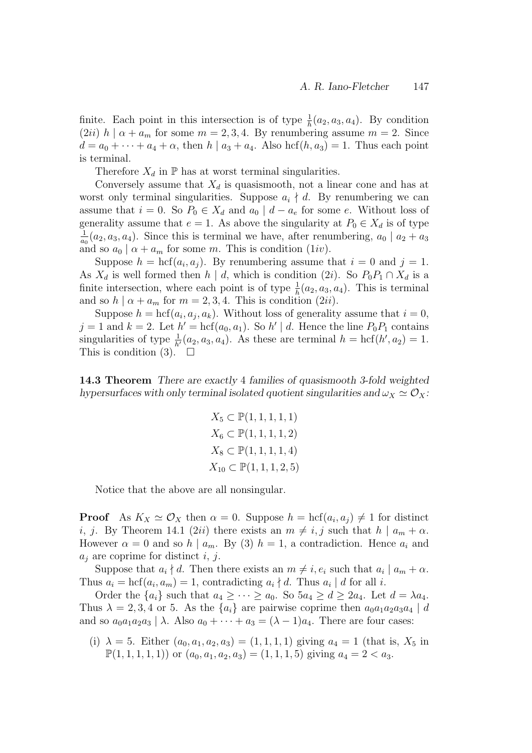finite. Each point in this intersection is of type  $\frac{1}{h}(a_2, a_3, a_4)$ . By condition  $(2ii)$  h |  $\alpha + a_m$  for some  $m = 2, 3, 4$ . By renumbering assume  $m = 2$ . Since  $d = a_0 + \cdots + a_4 + \alpha$ , then  $h | a_3 + a_4$ . Also hcf $(h, a_3) = 1$ . Thus each point is terminal.

Therefore  $X_d$  in  $\mathbb P$  has at worst terminal singularities.

Conversely assume that  $X_d$  is quasismooth, not a linear cone and has at worst only terminal singularities. Suppose  $a_i \nmid d$ . By renumbering we can assume that  $i = 0$ . So  $P_0 \in X_d$  and  $a_0 \mid d - a_e$  for some e. Without loss of generality assume that  $e = 1$ . As above the singularity at  $P_0 \in X_d$  is of type 1  $\frac{1}{a_0}(a_2, a_3, a_4)$ . Since this is terminal we have, after renumbering,  $a_0 \mid a_2 + a_3$ and so  $a_0 | \alpha + a_m$  for some m. This is condition (1*iv*).

Suppose  $h = \text{hcf}(a_i, a_j)$ . By renumbering assume that  $i = 0$  and  $j = 1$ . As  $X_d$  is well formed then  $h | d$ , which is condition (2i). So  $P_0P_1 \cap X_d$  is a finite intersection, where each point is of type  $\frac{1}{h}(a_2, a_3, a_4)$ . This is terminal and so  $h | \alpha + a_m$  for  $m = 2, 3, 4$ . This is condition (2*ii*).

Suppose  $h = \text{hcf}(a_i, a_j, a_k)$ . Without loss of generality assume that  $i = 0$ ,  $j = 1$  and  $k = 2$ . Let  $h' = \text{hcf}(a_0, a_1)$ . So  $h' \mid d$ . Hence the line  $P_0P_1$  contains singularities of type  $\frac{1}{h'}(a_2, a_3, a_4)$ . As these are terminal  $h = \text{hcf}(h', a_2) = 1$ . This is condition (3).  $\Box$ 

14.3 Theorem There are exactly 4 families of quasismooth 3-fold weighted hypersurfaces with only terminal isolated quotient singularities and  $\omega_X \simeq \mathcal{O}_X$ :

$$
X_5 \subset \mathbb{P}(1, 1, 1, 1, 1)
$$
  
\n
$$
X_6 \subset \mathbb{P}(1, 1, 1, 1, 2)
$$
  
\n
$$
X_8 \subset \mathbb{P}(1, 1, 1, 1, 4)
$$
  
\n
$$
X_{10} \subset \mathbb{P}(1, 1, 1, 2, 5)
$$

Notice that the above are all nonsingular.

**Proof** As  $K_X \simeq \mathcal{O}_X$  then  $\alpha = 0$ . Suppose  $h = \text{hcf}(a_i, a_j) \neq 1$  for distinct *i*, *j*. By Theorem 14.1 (2*ii*) there exists an  $m \neq i, j$  such that  $h | a_m + \alpha$ . However  $\alpha = 0$  and so  $h \mid a_m$ . By (3)  $h = 1$ , a contradiction. Hence  $a_i$  and  $a_i$  are coprime for distinct i, j.

Suppose that  $a_i \nmid d$ . Then there exists an  $m \neq i, e_i$  such that  $a_i \mid a_m + \alpha$ . Thus  $a_i = \text{hcf}(a_i, a_m) = 1$ , contradicting  $a_i \nmid d$ . Thus  $a_i \mid d$  for all i.

Order the  $\{a_i\}$  such that  $a_4 \geq \cdots \geq a_0$ . So  $5a_4 \geq d \geq 2a_4$ . Let  $d = \lambda a_4$ . Thus  $\lambda = 2, 3, 4$  or 5. As the  $\{a_i\}$  are pairwise coprime then  $a_0a_1a_2a_3a_4 \mid d$ and so  $a_0a_1a_2a_3 \mid \lambda$ . Also  $a_0 + \cdots + a_3 = (\lambda - 1)a_4$ . There are four cases:

(i)  $\lambda = 5$ . Either  $(a_0, a_1, a_2, a_3) = (1, 1, 1, 1)$  giving  $a_4 = 1$  (that is,  $X_5$  in  $\mathbb{P}(1, 1, 1, 1, 1)$  or  $(a_0, a_1, a_2, a_3) = (1, 1, 1, 5)$  giving  $a_4 = 2 < a_3$ .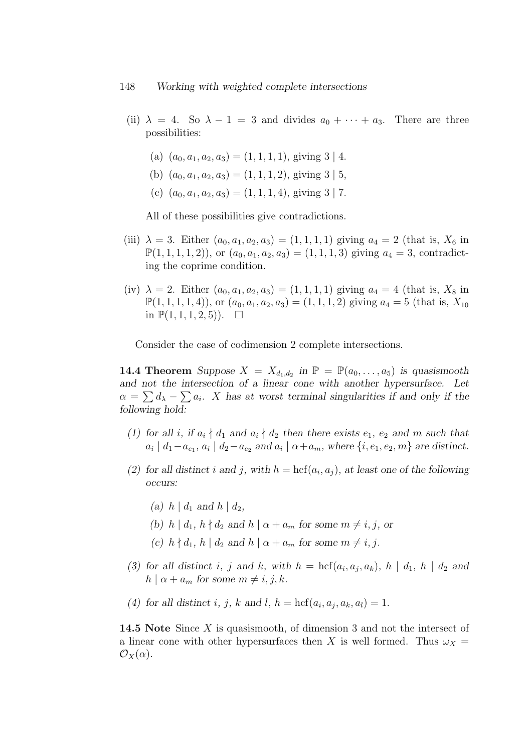- (ii)  $\lambda = 4$ . So  $\lambda 1 = 3$  and divides  $a_0 + \cdots + a_3$ . There are three possibilities:
	- (a)  $(a_0, a_1, a_2, a_3) = (1, 1, 1, 1)$ , giving  $3 \mid 4$ .
	- (b)  $(a_0, a_1, a_2, a_3) = (1, 1, 1, 2)$ , giving  $3 \mid 5$ ,
	- (c)  $(a_0, a_1, a_2, a_3) = (1, 1, 1, 4)$ , giving  $3 \mid 7$ .

All of these possibilities give contradictions.

- (iii)  $\lambda = 3$ . Either  $(a_0, a_1, a_2, a_3) = (1, 1, 1, 1)$  giving  $a_4 = 2$  (that is,  $X_6$  in  $\mathbb{P}(1, 1, 1, 1, 2)$ , or  $(a_0, a_1, a_2, a_3) = (1, 1, 1, 3)$  giving  $a_4 = 3$ , contradicting the coprime condition.
- (iv)  $\lambda = 2$ . Either  $(a_0, a_1, a_2, a_3) = (1, 1, 1, 1)$  giving  $a_4 = 4$  (that is,  $X_8$  in  $\mathbb{P}(1, 1, 1, 1, 4)$ , or  $(a_0, a_1, a_2, a_3) = (1, 1, 1, 2)$  giving  $a_4 = 5$  (that is,  $X_{10}$ ) in  $\mathbb{P}(1, 1, 1, 2, 5)$ ).  $\Box$

Consider the case of codimension 2 complete intersections.

**14.4 Theorem** Suppose  $X = X_{d_1, d_2}$  in  $\mathbb{P} = \mathbb{P}(a_0, \ldots, a_5)$  is quasismooth and not the intersection of a linear cone with another hypersurface. Let  $\alpha = \sum d_{\lambda} - \sum a_i$ . X has at worst terminal singularities if and only if the following hold:

- (1) for all i, if  $a_i \nmid d_1$  and  $a_i \nmid d_2$  then there exists  $e_1, e_2$  and m such that  $a_i | d_1 - a_{e_1}, a_i | d_2 - a_{e_2}$  and  $a_i | \alpha + a_m$ , where  $\{i, e_1, e_2, m\}$  are distinct.
- (2) for all distinct i and j, with  $h = \text{hcf}(a_i, a_j)$ , at least one of the following occurs:
	- (a)  $h \mid d_1$  and  $h \mid d_2$ ,
	- (b) h |  $d_1$ ,  $h \nmid d_2$  and  $h \mid \alpha + a_m$  for some  $m \neq i, j$ , or
	- (c)  $h \nmid d_1, h \mid d_2$  and  $h \mid \alpha + a_m$  for some  $m \neq i, j$ .
- (3) for all distinct i, j and k, with  $h = \text{hcf}(a_i, a_j, a_k)$ ,  $h | d_1, h | d_2$  and  $h | \alpha + a_m$  for some  $m \neq i, j, k$ .
- (4) for all distinct i, j, k and l,  $h = \text{hcf}(a_i, a_j, a_k, a_l) = 1$ .

**14.5** Note Since X is quasismooth, of dimension 3 and not the intersect of a linear cone with other hypersurfaces then X is well formed. Thus  $\omega_X =$  $\mathcal{O}_X(\alpha)$ .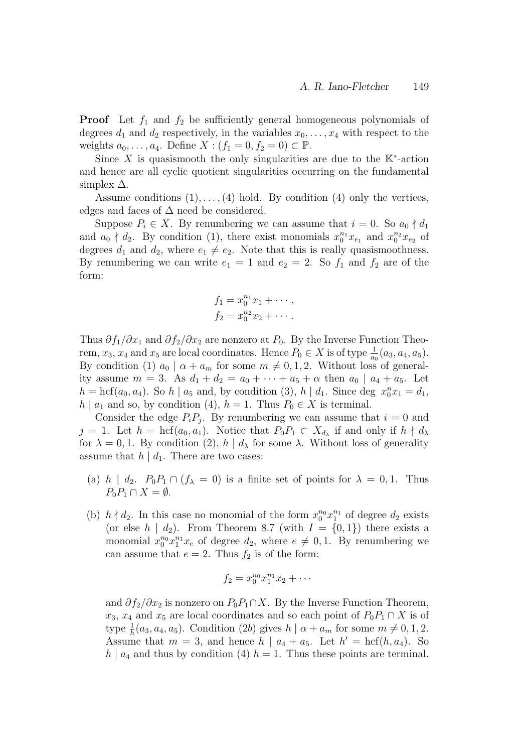**Proof** Let  $f_1$  and  $f_2$  be sufficiently general homogeneous polynomials of degrees  $d_1$  and  $d_2$  respectively, in the variables  $x_0, \ldots, x_4$  with respect to the weights  $a_0, \ldots, a_4$ . Define  $X : (f_1 = 0, f_2 = 0) \subset \mathbb{P}$ .

Since X is quasismooth the only singularities are due to the  $K^*$ -action and hence are all cyclic quotient singularities occurring on the fundamental simplex  $\Delta$ .

Assume conditions  $(1), \ldots, (4)$  hold. By condition  $(4)$  only the vertices, edges and faces of  $\Delta$  need be considered.

Suppose  $P_i \in X$ . By renumbering we can assume that  $i = 0$ . So  $a_0 \nmid d_1$ and  $a_0 \nmid d_2$ . By condition (1), there exist monomials  $x_0^{n_1}x_{e_1}$  and  $x_0^{n_2}x_{e_2}$  of degrees  $d_1$  and  $d_2$ , where  $e_1 \neq e_2$ . Note that this is really quasismoothness. By renumbering we can write  $e_1 = 1$  and  $e_2 = 2$ . So  $f_1$  and  $f_2$  are of the form:

$$
f_1 = x_0^{n_1} x_1 + \cdots ,
$$
  
\n
$$
f_2 = x_0^{n_2} x_2 + \cdots .
$$

Thus  $\partial f_1/\partial x_1$  and  $\partial f_2/\partial x_2$  are nonzero at  $P_0$ . By the Inverse Function Theorem,  $x_3$ ,  $x_4$  and  $x_5$  are local coordinates. Hence  $P_0 \in X$  is of type  $\frac{1}{a_0}(a_3, a_4, a_5)$ . By condition (1)  $a_0 \mid \alpha + a_m$  for some  $m \neq 0, 1, 2$ . Without loss of generality assume  $m = 3$ . As  $d_1 + d_2 = a_0 + \cdots + a_5 + \alpha$  then  $a_0 \mid a_4 + a_5$ . Let  $h = \text{hcf}(a_0, a_4)$ . So  $h | a_5$  and, by condition (3),  $h | d_1$ . Since deg  $x_0^n x_1 = d_1$ ,  $h \mid a_1$  and so, by condition (4),  $h = 1$ . Thus  $P_0 \in X$  is terminal.

Consider the edge  $P_i P_j$ . By renumbering we can assume that  $i = 0$  and  $j = 1$ . Let  $h = \text{hcf}(a_0, a_1)$ . Notice that  $P_0P_1 \subset X_{d_\lambda}$  if and only if  $h \nmid d_\lambda$ for  $\lambda = 0, 1$ . By condition (2),  $h | d_\lambda$  for some  $\lambda$ . Without loss of generality assume that  $h | d_1$ . There are two cases:

- (a) h |  $d_2$ .  $P_0P_1 \cap (f_{\lambda} = 0)$  is a finite set of points for  $\lambda = 0, 1$ . Thus  $P_0P_1 \cap X = \emptyset.$
- (b)  $h \nmid d_2$ . In this case no monomial of the form  $x_0^{n_0} x_1^{n_1}$  of degree  $d_2$  exists (or else  $h | d_2$ ). From Theorem 8.7 (with  $I = \{0,1\}$ ) there exists a monomial  $x_0^{n_0}x_1^{n_1}x_e$  of degree  $d_2$ , where  $e \neq 0, 1$ . By renumbering we can assume that  $e = 2$ . Thus  $f_2$  is of the form:

$$
f_2 = x_0^{n_0} x_1^{n_1} x_2 + \cdots
$$

and  $\partial f_2/\partial x_2$  is nonzero on  $P_0P_1 \cap X$ . By the Inverse Function Theorem,  $x_3, x_4$  and  $x_5$  are local coordinates and so each point of  $P_0P_1 \cap X$  is of type  $\frac{1}{h}(a_3, a_4, a_5)$ . Condition (2b) gives  $h | \alpha + a_m$  for some  $m \neq 0, 1, 2$ . Assume that  $m = 3$ , and hence  $h | a_4 + a_5$ . Let  $h' = \text{hcf}(h, a_4)$ . So  $h \mid a_4$  and thus by condition (4)  $h = 1$ . Thus these points are terminal.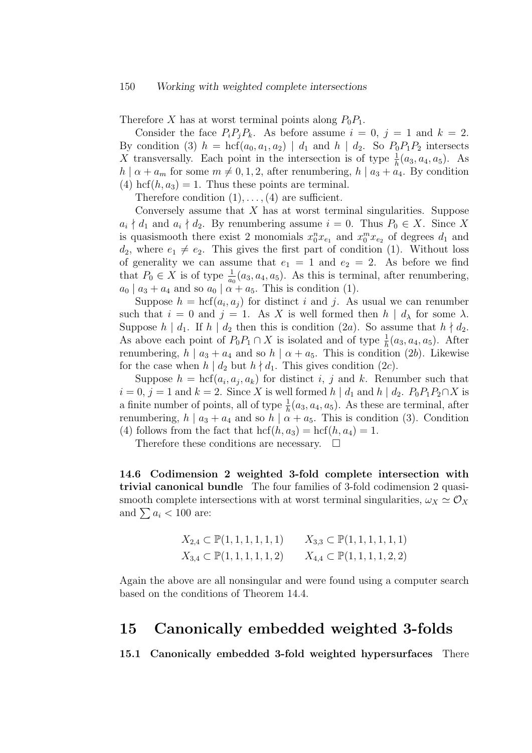Therefore X has at worst terminal points along  $P_0P_1$ .

Consider the face  $P_i P_j P_k$ . As before assume  $i = 0, j = 1$  and  $k = 2$ . By condition (3)  $h = \text{hcf}(a_0, a_1, a_2) | d_1$  and  $h | d_2$ . So  $P_0P_1P_2$  intersects X transversally. Each point in the intersection is of type  $\frac{1}{h}(a_3, a_4, a_5)$ . As  $h | \alpha + a_m$  for some  $m \neq 0, 1, 2$ , after renumbering,  $h | a_3 + a_4$ . By condition (4) hcf $(h, a_3) = 1$ . Thus these points are terminal.

Therefore condition  $(1), \ldots, (4)$  are sufficient.

Conversely assume that  $X$  has at worst terminal singularities. Suppose  $a_i \nmid d_1$  and  $a_i \nmid d_2$ . By renumbering assume  $i = 0$ . Thus  $P_0 \in X$ . Since X is quasismooth there exist 2 monomials  $x_0^n x_{e_1}$  and  $x_0^m x_{e_2}$  of degrees  $d_1$  and  $d_2$ , where  $e_1 \neq e_2$ . This gives the first part of condition (1). Without loss of generality we can assume that  $e_1 = 1$  and  $e_2 = 2$ . As before we find that  $P_0 \in X$  is of type  $\frac{1}{a_0}(a_3, a_4, a_5)$ . As this is terminal, after renumbering,  $a_0 \mid a_3 + a_4$  and so  $a_0 \mid \alpha + a_5$ . This is condition (1).

Suppose  $h = \text{hcf}(a_i, a_j)$  for distinct i and j. As usual we can renumber such that  $i = 0$  and  $j = 1$ . As X is well formed then  $h | d<sub>\lambda</sub>$  for some  $\lambda$ . Suppose  $h \mid d_1$ . If  $h \mid d_2$  then this is condition (2a). So assume that  $h \nmid d_2$ . As above each point of  $P_0P_1 \cap X$  is isolated and of type  $\frac{1}{h}(a_3, a_4, a_5)$ . After renumbering,  $h \mid a_3 + a_4$  and so  $h \mid \alpha + a_5$ . This is condition (2b). Likewise for the case when  $h | d_2$  but  $h | d_1$ . This gives condition (2c).

Suppose  $h = \text{hcf}(a_i, a_j, a_k)$  for distinct i, j and k. Renumber such that  $i = 0, j = 1$  and  $k = 2$ . Since X is well formed  $h | d_1$  and  $h | d_2$ .  $P_0 P_1 P_2 \cap X$  is a finite number of points, all of type  $\frac{1}{h}(a_3, a_4, a_5)$ . As these are terminal, after renumbering,  $h \mid a_3 + a_4$  and so  $h \mid \alpha + a_5$ . This is condition (3). Condition (4) follows from the fact that  $\mathrm{hcf}(h, a_3) = \mathrm{hcf}(h, a_4) = 1$ .

Therefore these conditions are necessary.  $\Box$ 

14.6 Codimension 2 weighted 3-fold complete intersection with trivial canonical bundle The four families of 3-fold codimension 2 quasismooth complete intersections with at worst terminal singularities,  $\omega_X \simeq \mathcal{O}_X$ and  $\sum a_i < 100$  are:

$$
X_{2,4} \subset \mathbb{P}(1,1,1,1,1,1) \qquad X_{3,3} \subset \mathbb{P}(1,1,1,1,1,1)
$$
  

$$
X_{3,4} \subset \mathbb{P}(1,1,1,1,1,2) \qquad X_{4,4} \subset \mathbb{P}(1,1,1,1,2,2)
$$

Again the above are all nonsingular and were found using a computer search based on the conditions of Theorem 14.4.

## 15 Canonically embedded weighted 3-folds

15.1 Canonically embedded 3-fold weighted hypersurfaces There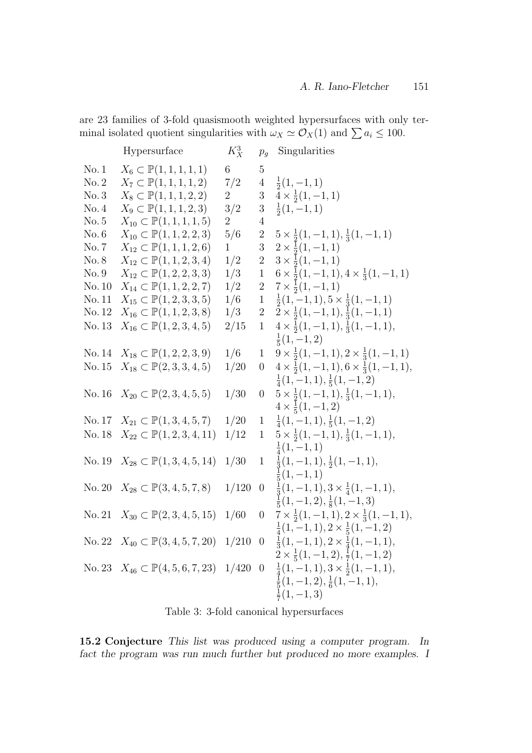are 23 families of 3-fold quasismooth weighted hypersurfaces with only terminal isolated quotient singularities with  $\omega_X \simeq \mathcal{O}_X(1)$  and  $\sum a_i \leq 100$ .

|        | Hypersurface                                       | $K_X^3$        | $p_q$            | Singularities                                                                                               |
|--------|----------------------------------------------------|----------------|------------------|-------------------------------------------------------------------------------------------------------------|
| No.1   | $X_6 \subset \mathbb{P}(1, 1, 1, 1, 1)$            | $6\phantom{.}$ | $\overline{5}$   |                                                                                                             |
| No. 2  | $X_7 \subset \mathbb{P}(1,1,1,1,2)$                | 7/2            | $\overline{4}$   | $\frac{1}{2}(1,-1,1)$                                                                                       |
| No.3   | $X_8 \subset \mathbb{P}(1, 1, 1, 2, 2)$            | $\overline{2}$ | 3                | $4 \times \frac{1}{2}(1,-1,1)$                                                                              |
| No.4   | $X_9 \subset \mathbb{P}(1, 1, 1, 2, 3)$            | 3/2            | 3                | $\frac{1}{2}(1,-1,1)$                                                                                       |
| No. 5  | $X_{10} \subset \mathbb{P}(1,1,1,1,5)$             | $\overline{2}$ | $\overline{4}$   |                                                                                                             |
| No. 6  | $X_{10} \subset \mathbb{P}(1, 1, 2, 2, 3)$         | 5/6            | $\overline{2}$   | $5 \times \frac{1}{2}(1, -1, 1), \frac{1}{3}(1, -1, 1)$                                                     |
| No.7   | $X_{12} \subset \mathbb{P}(1,1,1,2,6)$             | $\mathbf{1}$   | 3                | $2 \times \frac{1}{2}(1, -1, 1)$                                                                            |
| No. 8  | $X_{12} \subset \mathbb{P}(1,1,2,3,4)$             | 1/2            | $\overline{2}$   | $3 \times \frac{1}{2}(1,-1,1)$                                                                              |
| No.9   | $X_{12} \subset \mathbb{P}(1,2,2,3,3)$             | 1/3            | $\,1$            | $6 \times \frac{1}{2}(1,-1,1), 4 \times \frac{1}{3}(1,-1,1)$                                                |
| No. 10 | $X_{14} \subset \mathbb{P}(1,1,2,2,7)$             | 1/2            | $\sqrt{2}$       | $7 \times \frac{1}{2}(1,-1,1)$                                                                              |
| No. 11 | $X_{15} \subset \mathbb{P}(1,2,3,3,5)$             | 1/6            | $\mathbf{1}$     | $\frac{1}{2}(1,-1,1), 5 \times \frac{1}{3}(1,-1,1)$                                                         |
| No. 12 | $X_{16} \subset \mathbb{P}(1,1,2,3,8)$             | 1/3            | $\overline{2}$   | $2 \times \frac{1}{2}(1,-1,1), \frac{1}{3}(1,-1,1)$                                                         |
| No. 13 | $X_{16} \subset \mathbb{P}(1,2,3,4,5)$             | 2/15           | $\mathbf{1}$     | $4 \times \frac{1}{2}(1, -1, 1), \frac{1}{3}(1, -1, 1),$                                                    |
|        |                                                    |                |                  | $\frac{1}{5}(1,-1,2)$                                                                                       |
| No. 14 | $X_{18} \subset \mathbb{P}(1, 2, 2, 3, 9)$         | 1/6            | $\mathbf{1}$     | $9 \times \frac{1}{2}(1, -1, 1), 2 \times \frac{1}{3}(1, -1, 1)$                                            |
| No. 15 | $X_{18} \subset \mathbb{P}(2,3,3,4,5)$             | 1/20           | $\boldsymbol{0}$ | $4 \times \frac{1}{2}(1,-1,1), 6 \times \frac{1}{3}(1,-1,1),$                                               |
|        |                                                    |                |                  | $\frac{1}{4}(1,-1,1), \frac{1}{5}(1,-1,2)$                                                                  |
| No. 16 | $X_{20} \subset \mathbb{P}(2,3,4,5,5)$             | 1/30           | $\boldsymbol{0}$ | $5 \times \frac{1}{2}(1, -1, 1), \frac{1}{3}(1, -1, 1),$                                                    |
|        |                                                    |                |                  | $4 \times \frac{1}{5}(1,-1,2)$                                                                              |
|        | No. 17 $X_{21} \subset \mathbb{P}(1,3,4,5,7)$      | 1/20           | $\mathbf{1}$     | $\frac{1}{4}(1,-1,1), \frac{1}{5}(1,-1,2)$                                                                  |
| No. 18 | $X_{22} \subset \mathbb{P}(1,2,3,4,11)$            | 1/12           | $\mathbf{1}$     | $5 \times \frac{1}{2}(1, -1, 1), \frac{1}{3}(1, -1, 1),$                                                    |
|        |                                                    |                |                  | $\frac{1}{4}(1,-1,1)$                                                                                       |
| No. 19 | $X_{28} \subset \mathbb{P}(1,3,4,5,14)$            | 1/30           | $\mathbf{1}$     | $\frac{1}{3}(1,-1,1), \frac{1}{2}(1,-1,1),$                                                                 |
|        |                                                    |                |                  | $\frac{1}{5}(1,-1,1)$                                                                                       |
| No. 20 | $X_{28} \subset \mathbb{P}(3,4,5,7,8)$             | 1/120          | $\overline{0}$   | $\frac{1}{3}(1,-1,1), 3 \times \frac{1}{4}(1,-1,1),$                                                        |
|        |                                                    |                |                  | $\frac{1}{5}(1,-1,2), \frac{1}{8}(1,-1,3)$                                                                  |
| No. 21 | $X_{30} \subset \mathbb{P}(2,3,4,5,15)$            | 1/60           | $\boldsymbol{0}$ | $7 \times \frac{1}{2}(1, -1, 1), 2 \times \frac{1}{3}(1, -1, 1),$                                           |
|        |                                                    |                | $\theta$         | $\frac{1}{4}(1,-1,1), 2 \times \frac{1}{5}(1,-1,2)$                                                         |
|        | No. 22 $X_{40} \subset \mathbb{P}(3, 4, 5, 7, 20)$ | 1/210          |                  | $\frac{1}{3}(1,-1,1), 2 \times \frac{1}{4}(1,-1,1),$<br>$2 \times \frac{1}{5}(1,-1,2), \frac{1}{7}(1,-1,2)$ |
|        |                                                    | 1/420          | $\overline{0}$   |                                                                                                             |
|        | No. 23 $X_{46} \subset \mathbb{P}(4, 5, 6, 7, 23)$ |                |                  | $\frac{1}{4}(1,-1,1), 3 \times \frac{1}{2}(1,-1,1),$<br>$\frac{1}{5}(1,-1,2), \frac{1}{6}(1,-1,1),$         |
|        |                                                    |                |                  | $\frac{1}{7}(1,-1,3)$                                                                                       |
|        |                                                    |                |                  |                                                                                                             |

Table 3: 3-fold canonical hypersurfaces

15.2 Conjecture This list was produced using a computer program. In fact the program was run much further but produced no more examples. I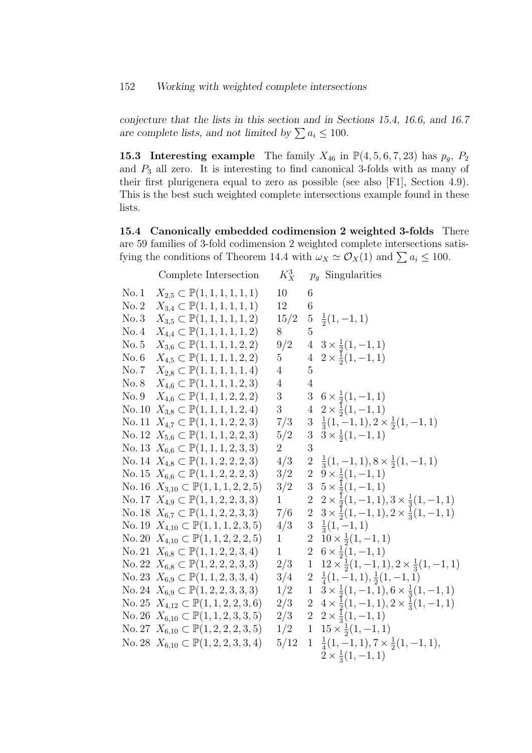### 152 Working with weighted complete intersections

conjecture that the lists in this section and in Sections 15.4, 16.6, and 16.7 are complete lists, and not limited by  $\sum a_i \leq 100$ .

15.3 Interesting example The family  $X_{46}$  in  $\mathbb{P}(4,5,6,7,23)$  has  $p_g$ ,  $P_2$ and  $P_3$  all zero. It is interesting to find canonical 3-folds with as many of their first plurigenera equal to zero as possible (see also [F1], Section 4.9). This is the best such weighted complete intersections example found in these lists.

15.4 Canonically embedded codimension 2 weighted 3-folds There are 59 families of 3-fold codimension 2 weighted complete intersections satisfying the conditions of Theorem 14.4 with  $\omega_X \simeq \mathcal{O}_X(1)$  and  $\sum a_i \leq 100$ .

|       | Complete Intersection                                  | $K_{X}^{3}$    |                 | $p_q$ Singularities                                                 |
|-------|--------------------------------------------------------|----------------|-----------------|---------------------------------------------------------------------|
| No.1  | $X_{2,5} \subset \mathbb{P}(1,1,1,1,1,1)$              | 10             | 6               |                                                                     |
| No. 2 | $X_{3,4} \subset \mathbb{P}(1,1,1,1,1,1)$              | 12             | 6               |                                                                     |
| No.3  | $X_{3,5} \subset \mathbb{P}(1,1,1,1,1,2)$              | 15/2           | $5\phantom{.0}$ | $\frac{1}{2}(1,-1,1)$                                               |
| No. 4 | $X_{4,4} \subset \mathbb{P}(1,1,1,1,1,2)$              | 8              | 5               |                                                                     |
| No. 5 | $X_{3,6} \subset \mathbb{P}(1,1,1,1,2,2)$              | 9/2            |                 | $4\quad 3\times \frac{1}{2}(1,-1,1)$                                |
| No. 6 | $X_{4,5} \subset \mathbb{P}(1,1,1,1,2,2)$              | $5^{\circ}$    |                 | $4\quad 2 \times \frac{1}{2}(1,-1,1)$                               |
| No. 7 | $X_{2,8} \subset \mathbb{P}(1,1,1,1,1,4)$              | $\overline{4}$ | $\overline{5}$  |                                                                     |
| No. 8 | $X_{4,6} \subset \mathbb{P}(1,1,1,1,2,3)$              | $\overline{4}$ | $\overline{4}$  |                                                                     |
| No. 9 | $X_{4,6} \subset \mathbb{P}(1,1,1,2,2,2)$              | 3 <sup>1</sup> |                 | 3 $6 \times \frac{1}{2}(1,-1,1)$                                    |
|       | No. 10 $X_{3,8} \subset \mathbb{P}(1,1,1,1,2,4)$       | 3 <sup>1</sup> |                 | $4\quad 2 \times \frac{1}{2}(1,-1,1)$                               |
|       | No. 11 $X_{4,7} \subset \mathbb{P}(1,1,1,2,2,3)$       | 7/3            |                 | $3\frac{1}{3}(1,-1,1), 2 \times \frac{1}{2}(1,-1,1)$                |
|       | No. 12 $X_{5,6} \subset \mathbb{P}(1,1,1,2,2,3)$       | 5/2            | $3\overline{)}$ | $3 \times \frac{1}{2}(1,-1,1)$                                      |
|       | No. 13 $X_{6,6} \subset \mathbb{P}(1,1,1,2,3,3)$       | $\overline{2}$ | 3               |                                                                     |
|       | No. 14 $X_{4,8} \subset \mathbb{P}(1,1,2,2,2,3)$       | 4/3            |                 | 2 $\frac{1}{3}(1,-1,1), 8 \times \frac{1}{2}(1,-1,1)$               |
|       | No. 15 $X_{6,6} \subset \mathbb{P}(1,1,2,2,2,3)$       | 3/2            |                 | 2 $9 \times \frac{1}{2}(1,-1,1)$                                    |
|       | No. 16 $X_{3,10} \subset \mathbb{P}(1,1,1,2,2,5)$      | 3/2            |                 | $3\quad 5 \times \frac{1}{2}(1,-1,1)$                               |
|       | No. 17 $X_{4,9} \subset \mathbb{P}(1,1,2,2,3,3)$       | $\mathbf{1}$   |                 | 2 $2 \times \frac{1}{2}(1,-1,1), 3 \times \frac{1}{3}(1,-1,1)$      |
|       | No. 18 $X_{6,7} \subset \mathbb{P}(1,1,2,2,3,3)$       | 7/6            |                 | 2 $3 \times \frac{1}{2}(1,-1,1), 2 \times \frac{1}{3}(1,-1,1)$      |
|       | No. 19 $X_{4,10} \subset \mathbb{P}(1,1,1,2,3,5)$      | 4/3            |                 | $3\frac{1}{3}(1,-1,1)$                                              |
|       | No. 20 $X_{4,10} \subset \mathbb{P}(1, 1, 2, 2, 2, 5)$ | $\mathbf{1}$   |                 | 2 $10 \times \frac{1}{2}(1,-1,1)$                                   |
|       | No. 21 $X_{6,8} \subset \mathbb{P}(1,1,2,2,3,4)$       | $\mathbf{1}$   |                 | 2 $6 \times \frac{1}{2}(1,-1,1)$                                    |
|       | No. 22 $X_{6,8} \subset \mathbb{P}(1,2,2,2,3,3)$       | 2/3            |                 | 1 $12 \times \frac{1}{2}(1,-1,1), 2 \times \frac{1}{3}(1,-1,1)$     |
|       | No. 23 $X_{6,9} \subset \mathbb{P}(1,1,2,3,3,4)$       | 3/4            |                 | $2\frac{1}{4}(1,-1,1),\frac{1}{2}(1,-1,1)$                          |
|       | No. 24 $X_{6,9} \subset \mathbb{P}(1,2,2,3,3,3)$       | 1/2            |                 | $1\quad 3 \times \frac{1}{2}(1,-1,1), 6 \times \frac{1}{3}(1,-1,1)$ |
|       | No. 25 $X_{4,12} \subset \mathbb{P}(1,1,2,2,3,6)$      | 2/3            |                 | 2 $4 \times \frac{1}{2}(1,-1,1), 2 \times \frac{1}{3}(1,-1,1)$      |
|       | No. 26 $X_{6,10} \subset \mathbb{P}(1,1,2,3,3,5)$      | 2/3            |                 | 2 $2 \times \frac{1}{3}(1,-1,1)$                                    |
|       | No. 27 $X_{6,10} \subset \mathbb{P}(1,2,2,2,3,5)$      | 1/2            |                 | 1 $15 \times \frac{1}{2}(1, -1, 1)$                                 |
|       | No. 28 $X_{6,10} \subset \mathbb{P}(1,2,2,3,3,4)$      | 5/12           |                 | $1\frac{1}{4}(1,-1,1), 7 \times \frac{1}{2}(1,-1,1),$               |
|       |                                                        |                |                 | $2 \times \frac{1}{3}(1,-1,1)$                                      |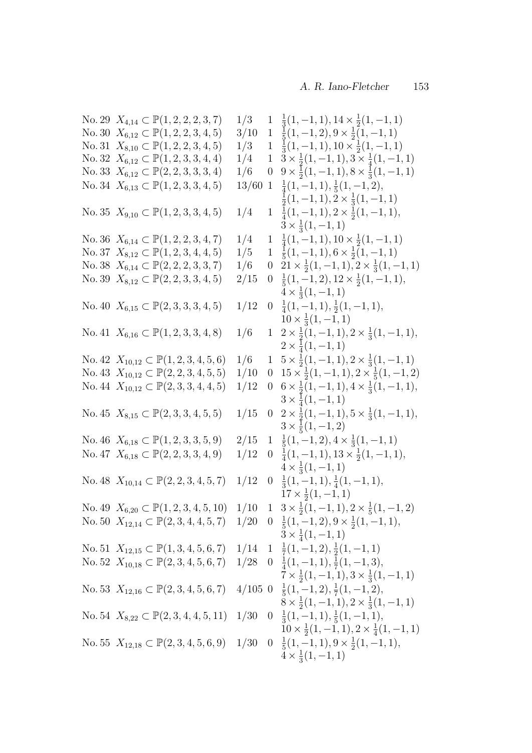| No. 29 $X_{4,14} \subset \mathbb{P}(1,2,2,2,3,7)$            | 1/3   |                | $1\frac{1}{3}(1,-1,1), 14 \times \frac{1}{2}(1,-1,1)$                                   |
|--------------------------------------------------------------|-------|----------------|-----------------------------------------------------------------------------------------|
| No. 30 $X_{6,12} \subset \mathbb{P}(1,2,2,3,4,5)$            | 3/10  | 1              | $\frac{1}{5}(1,-1,2), 9 \times \frac{1}{2}(1,-1,1)$                                     |
| No. 31 $X_{8,10} \subset \mathbb{P}(1,2,2,3,4,5)$            | 1/3   |                | $1\frac{1}{3}(1,-1,1), 10 \times \frac{1}{2}(1,-1,1)$                                   |
| No. 32 $X_{6,12} \subset \mathbb{P}(1,2,3,3,4,4)$            | 1/4   | $\mathbf{1}$   | $3 \times \frac{1}{2}(1,-1,1), 3 \times \frac{1}{4}(1,-1,1)$                            |
| No. 33 $X_{6,12} \subset \mathbb{P}(2, 2, 3, 3, 3, 4)$       | 1/6   | $\overline{0}$ | $9 \times \frac{1}{2}(1, -1, 1), 8 \times \frac{1}{3}(1, -1, 1)$                        |
| No. 34 $X_{6,13} \subset \mathbb{P}(1,2,3,3,4,5)$            | 13/60 |                | $1\frac{1}{4}(1,-1,1),\frac{1}{5}(1,-1,2),$                                             |
|                                                              |       |                | $\frac{1}{2}(1,-1,1), 2 \times \frac{1}{3}(1,-1,1)$                                     |
| No. 35 $X_{9,10} \subset \mathbb{P}(1,2,3,3,4,5)$            | 1/4   |                | $1\frac{1}{4}(1,-1,1), 2 \times \frac{1}{2}(1,-1,1),$<br>$3 \times \frac{1}{3}(1,-1,1)$ |
| No. 36 $X_{6,14} \subset \mathbb{P}(1,2,2,3,4,7)$            | 1/4   |                | $1\frac{1}{4}(1,-1,1), 10 \times \frac{1}{2}(1,-1,1)$                                   |
| No. 37 $X_{8,12} \subset \mathbb{P}(1,2,3,4,4,5)$            | 1/5   |                | $1\frac{1}{5}(1,-1,1), 6 \times \frac{1}{2}(1,-1,1)$                                    |
| No. 38 $X_{6,14} \subset \mathbb{P}(2,2,2,3,3,7)$            | 1/6   | $\overline{0}$ | $21 \times \frac{1}{2}(1,-1,1), 2 \times \frac{1}{3}(1,-1,1)$                           |
| No. 39 $X_{8,12} \subset \mathbb{P}(2, 2, 3, 3, 4, 5)$       | 2/15  |                | $0 \frac{1}{5}(1,-1,2), 12 \times \frac{1}{2}(1,-1,1),$                                 |
|                                                              |       |                | $4 \times \frac{1}{3}(1,-1,1)$                                                          |
| No. 40 $X_{6,15} \subset \mathbb{P}(2,3,3,3,4,5)$            | 1/12  |                | $0 \frac{1}{4}(1,-1,1), \frac{1}{2}(1,-1,1),$                                           |
|                                                              |       |                | $10 \times \frac{1}{3}(1,-1,1)$                                                         |
| No. 41 $X_{6,16} \subset \mathbb{P}(1,2,3,3,4,8)$            | 1/6   |                | $1\quad 2 \times \frac{1}{2}(1,-1,1), 2 \times \frac{1}{3}(1,-1,1),$                    |
|                                                              |       |                | $2 \times \frac{1}{4}(1,-1,1)$                                                          |
| No. 42 $X_{10,12} \subset \mathbb{P}(1, 2, 3, 4, 5, 6)$      | 1/6   | $\mathbf{1}$   | $5 \times \frac{1}{2}(1,-1,1), 2 \times \frac{1}{3}(1,-1,1)$                            |
| No. 43 $X_{10,12} \subset \mathbb{P}(2, 2, 3, 4, 5, 5)$      | 1/10  | $\overline{0}$ | $15 \times \frac{1}{2}(1,-1,1), 2 \times \frac{1}{5}(1,-1,2)$                           |
| No. 44 $X_{10,12} \subset \mathbb{P}(2,3,3,4,4,5)$           | 1/12  | $\overline{0}$ | $6 \times \frac{1}{2}(1,-1,1), 4 \times \frac{1}{3}(1,-1,1),$                           |
|                                                              |       |                | $3 \times \frac{1}{4}(1,-1,1)$                                                          |
| No. 45 $X_{8,15} \subset \mathbb{P}(2,3,3,4,5,5)$            | 1/15  |                | $0 \quad 2 \times \frac{1}{2}(1,-1,1), 5 \times \frac{1}{3}(1,-1,1),$                   |
|                                                              |       |                | $3 \times \frac{1}{5}(1,-1,2)$                                                          |
| No. 46 $X_{6,18} \subset \mathbb{P}(1,2,3,3,5,9)$            | 2/15  |                | $1\frac{1}{5}(1,-1,2), 4 \times \frac{1}{3}(1,-1,1)$                                    |
| No. 47 $X_{6,18} \subset \mathbb{P}(2, 2, 3, 3, 4, 9)$       | 1/12  | $\overline{0}$ | $\frac{1}{4}(1,-1,1), 13 \times \frac{1}{2}(1,-1,1),$                                   |
|                                                              |       |                | $\frac{1}{4} \times \frac{1}{3}(1,-1,1)$                                                |
| No. 48 $X_{10,14} \subset \mathbb{P}(2, 2, 3, 4, 5, 7)$      | 1/12  | $\overline{0}$ | $\frac{1}{3}(1,-1,1), \frac{1}{4}(1,-1,1),$                                             |
|                                                              |       |                | $17 \times \frac{1}{2}(1,-1,1)$                                                         |
| No. 49 $X_{6,20} \subset \mathbb{P}(1, 2, 3, 4, 5, 10)$ 1/10 |       | 1              | $3 \times \frac{1}{2}(1,-1,1), 2 \times \frac{1}{5}(1,-1,2)$                            |
| No. 50 $X_{12,14} \subset \mathbb{P}(2,3,4,4,5,7)$           |       |                | $1/20$ 0 $\frac{1}{5}(1,-1,2), 9 \times \frac{1}{2}(1,-1,1),$                           |
|                                                              |       |                | $3 \times \frac{1}{4}(1,-1,1)$                                                          |
| No. 51 $X_{12,15} \subset \mathbb{P}(1,3,4,5,6,7)$           |       |                | $1/14$ 1 $\frac{1}{7}(1,-1,2), \frac{1}{2}(1,-1,1)$                                     |
| No. 52 $X_{10,18} \subset \mathbb{P}(2,3,4,5,6,7)$           |       |                | $1/28$ 0 $\frac{1}{4}(1,-1,1), \frac{1}{7}(1,-1,3),$                                    |
|                                                              |       |                | $7 \times \frac{1}{2}(1,-1,1), 3 \times \frac{1}{3}(1,-1,1)$                            |
| No. 53 $X_{12,16} \subset \mathbb{P}(2,3,4,5,6,7)$           |       |                | $4/105$ 0 $\frac{1}{5}(1,-1,2), \frac{1}{7}(1,-1,2),$                                   |
|                                                              |       |                | $8 \times \frac{1}{2}(1,-1,1), 2 \times \frac{1}{3}(1,-1,1)$                            |
| No. 54 $X_{8,22} \subset \mathbb{P}(2,3,4,4,5,11)$           | 1/30  |                | $0 \frac{1}{3}(1,-1,1), \frac{1}{5}(1,-1,1),$                                           |
|                                                              |       |                | $10 \times \frac{1}{2}(1,-1,1), 2 \times \frac{1}{4}(1,-1,1)$                           |
| No. 55 $X_{12,18} \subset \mathbb{P}(2,3,4,5,6,9)$           |       |                | $1/30 \quad 0 \quad \frac{1}{5}(1,-1,1), 9 \times \frac{1}{2}(1,-1,1),$                 |
|                                                              |       |                | $4 \times \frac{1}{3}(1,-1,1)$                                                          |
|                                                              |       |                |                                                                                         |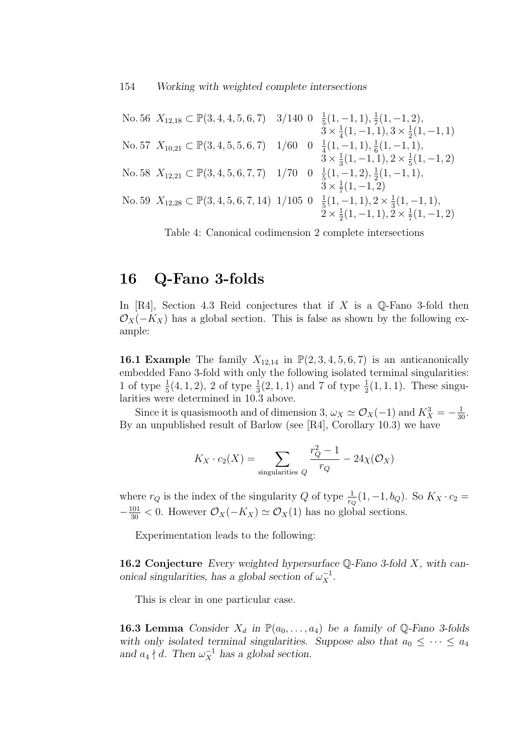No. 56 
$$
X_{12,18} \subset \mathbb{P}(3,4,4,5,6,7)
$$
 3/140 0  $\frac{1}{5}(1,-1,1), \frac{1}{7}(1,-1,2),$   
\n $3 \times \frac{1}{4}(1,-1,1), 3 \times \frac{1}{2}(1,-1,1)$   
\nNo. 57  $X_{10,21} \subset \mathbb{P}(3,4,5,5,6,7)$  1/60 0  $\frac{1}{4}(1,-1,1), \frac{1}{6}(1,-1,1),$   
\n $3 \times \frac{1}{3}(1,-1,1), 2 \times \frac{1}{5}(1,-1,2)$   
\nNo. 58  $X_{12,21} \subset \mathbb{P}(3,4,5,6,7,7)$  1/70 0  $\frac{1}{5}(1,-1,2), \frac{1}{2}(1,-1,1),$   
\n $3 \times \frac{1}{7}(1,-1,2)$   
\nNo. 59  $X_{12,28} \subset \mathbb{P}(3,4,5,6,7,14)$  1/105 0  $\frac{1}{5}(1,-1,1), 2 \times \frac{1}{3}(1,-1,1),$   
\n $2 \times \frac{1}{2}(1,-1,1), 2 \times \frac{1}{7}(1,-1,2)$ 

Table 4: Canonical codimension 2 complete intersections

### 16 Q-Fano 3-folds

In  $[R4]$ , Section 4.3 Reid conjectures that if X is a Q-Fano 3-fold then  $\mathcal{O}_X(-K_X)$  has a global section. This is false as shown by the following example:

**16.1 Example** The family  $X_{12,14}$  in  $\mathbb{P}(2,3,4,5,6,7)$  is an anticanonically embedded Fano 3-fold with only the following isolated terminal singularities: 1 of type  $\frac{1}{5}(4,1,2)$ , 2 of type  $\frac{1}{3}(2,1,1)$  and 7 of type  $\frac{1}{2}(1,1,1)$ . These singularities were determined in 10.3 above.

Since it is quasismooth and of dimension 3,  $\omega_X \simeq \mathcal{O}_X(-1)$  and  $K_X^3 = -\frac{1}{30}$ . By an unpublished result of Barlow (see [R4], Corollary 10.3) we have

$$
K_X \cdot c_2(X) = \sum_{\text{singularities } Q} \frac{r_Q^2 - 1}{r_Q} - 24\chi(\mathcal{O}_X)
$$

where  $r_Q$  is the index of the singularity Q of type  $\frac{1}{r_Q}(1, -1, b_Q)$ . So  $K_X \cdot c_2 =$  $-\frac{101}{30}$  < 0. However  $\mathcal{O}_X(-K_X) \simeq \mathcal{O}_X(1)$  has no global sections.

Experimentation leads to the following:

**16.2 Conjecture** Every weighted hypersurface  $\mathbb{Q}$ -Fano 3-fold X, with canonical singularities, has a global section of  $\omega_X^{-1}$ .

This is clear in one particular case.

**16.3 Lemma** Consider  $X_d$  in  $\mathbb{P}(a_0, \ldots, a_4)$  be a family of Q-Fano 3-folds with only isolated terminal singularities. Suppose also that  $a_0 \leq \cdots \leq a_4$ and  $a_4 \nmid d$ . Then  $\omega_X^{-1}$  has a global section.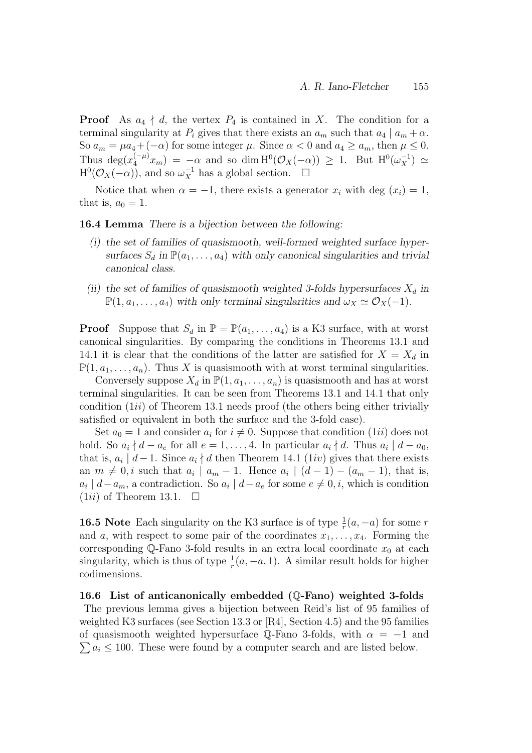**Proof** As  $a_4 \nmid d$ , the vertex  $P_4$  is contained in X. The condition for a terminal singularity at  $P_i$  gives that there exists an  $a_m$  such that  $a_4 | a_m + \alpha$ . So  $a_m = \mu a_4 + (-\alpha)$  for some integer  $\mu$ . Since  $\alpha < 0$  and  $a_4 \ge a_m$ , then  $\mu \le 0$ . Thus  $\deg(x_4^{(-\mu)}x_m) = -\alpha$  and so dim  $H^0(\mathcal{O}_X(-\alpha)) \geq 1$ . But  $H^0(\omega_X^{-1}) \simeq$  $H^0(\mathcal{O}_X(-\alpha))$ , and so  $\omega_X^{-1}$  has a global section.  $\Box$ 

Notice that when  $\alpha = -1$ , there exists a generator  $x_i$  with deg  $(x_i) = 1$ , that is,  $a_0 = 1$ .

16.4 Lemma There is a bijection between the following:

- (i) the set of families of quasismooth, well-formed weighted surface hypersurfaces  $S_d$  in  $\mathbb{P}(a_1, \ldots, a_4)$  with only canonical singularities and trivial canonical class.
- (ii) the set of families of quasismooth weighted 3-folds hypersurfaces  $X_d$  in  $\mathbb{P}(1, a_1, \ldots, a_4)$  with only terminal singularities and  $\omega_X \simeq \mathcal{O}_X(-1)$ .

**Proof** Suppose that  $S_d$  in  $\mathbb{P} = \mathbb{P}(a_1, \ldots, a_4)$  is a K3 surface, with at worst canonical singularities. By comparing the conditions in Theorems 13.1 and 14.1 it is clear that the conditions of the latter are satisfied for  $X = X_d$  in  $\mathbb{P}(1, a_1, \ldots, a_n)$ . Thus X is quasismooth with at worst terminal singularities.

Conversely suppose  $X_d$  in  $\mathbb{P}(1, a_1, \ldots, a_n)$  is quasismooth and has at worst terminal singularities. It can be seen from Theorems 13.1 and 14.1 that only condition  $(1ii)$  of Theorem 13.1 needs proof (the others being either trivially satisfied or equivalent in both the surface and the 3-fold case).

Set  $a_0 = 1$  and consider  $a_i$  for  $i \neq 0$ . Suppose that condition  $(1ii)$  does not hold. So  $a_i \nmid d - a_e$  for all  $e = 1, ..., 4$ . In particular  $a_i \nmid d$ . Thus  $a_i \mid d - a_0$ , that is,  $a_i | d-1$ . Since  $a_i \nmid d$  then Theorem 14.1 (1*iv*) gives that there exists an  $m \neq 0$ , i such that  $a_i \mid a_m - 1$ . Hence  $a_i \mid (d-1) - (a_m - 1)$ , that is,  $a_i | d-a_m$ , a contradiction. So  $a_i | d-a_e$  for some  $e \neq 0, i$ , which is condition  $(1ii)$  of Theorem 13.1.  $\Box$ 

**16.5** Note Each singularity on the K3 surface is of type  $\frac{1}{r}(a, -a)$  for some r and a, with respect to some pair of the coordinates  $x_1, \ldots, x_4$ . Forming the corresponding  $\mathbb{Q}$ -Fano 3-fold results in an extra local coordinate  $x_0$  at each singularity, which is thus of type  $\frac{1}{r}(a, -a, 1)$ . A similar result holds for higher codimensions.

16.6 List of anticanonically embedded (Q-Fano) weighted 3-folds The previous lemma gives a bijection between Reid's list of 95 families of weighted K3 surfaces (see Section 13.3 or [R4], Section 4.5) and the 95 families  $\sum a_i \leq 100$ . These were found by a computer search and are listed below. of quasismooth weighted hypersurface Q-Fano 3-folds, with  $\alpha = -1$  and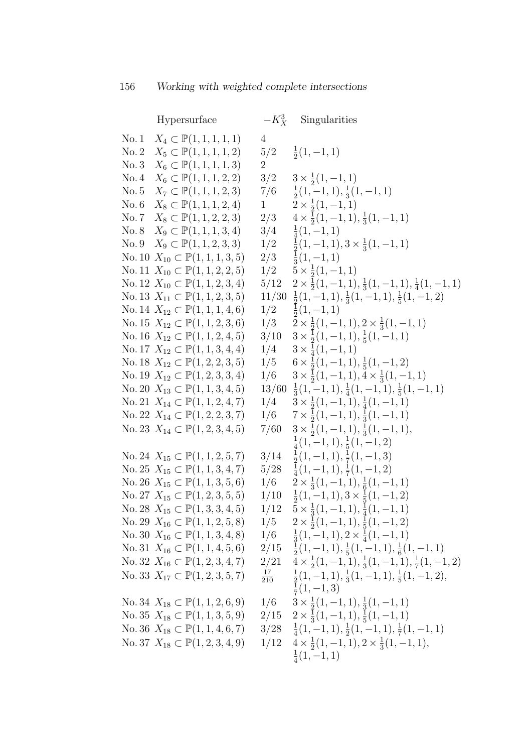| Hypersurface                                                                                           |                  | $-K_X^3$ Singularities                                                                                                                      |
|--------------------------------------------------------------------------------------------------------|------------------|---------------------------------------------------------------------------------------------------------------------------------------------|
| No. 1 $X_4 \subset \mathbb{P}(1,1,1,1,1)$                                                              | 4                |                                                                                                                                             |
| No. 2 $X_5 \subset \mathbb{P}(1,1,1,1,2)$                                                              |                  | $5/2 \frac{1}{2}(1,-1,1)$                                                                                                                   |
| No. 3 $X_6 \subset \mathbb{P}(1, 1, 1, 1, 3)$                                                          | $\overline{2}$   |                                                                                                                                             |
| No. 4 $X_6 \subset \mathbb{P}(1, 1, 1, 2, 2)$                                                          |                  | $3/2$ $3 \times \frac{1}{2}(1,-1,1)$                                                                                                        |
| No. 5 $X_7 \subset \mathbb{P}(1,1,1,2,3)$                                                              |                  | $7/6$ $\frac{1}{2}(1,-1,1),\frac{1}{3}(1,-1,1)$                                                                                             |
| No. 6 $X_8 \subset \mathbb{P}(1, 1, 1, 2, 4)$                                                          |                  | 1 $2 \times \frac{1}{2}(1, -1, 1)$                                                                                                          |
| No. 7 $X_8 \subset \mathbb{P}(1, 1, 2, 2, 3)$                                                          |                  | $2/3$ $4 \times \frac{1}{2}(1,-1,1), \frac{1}{3}(1,-1,1)$                                                                                   |
| No. 8 $X_9 \subset \mathbb{P}(1, 1, 1, 3, 4)$                                                          |                  | $3/4$ $\frac{1}{4}(1,-1,1)$                                                                                                                 |
| No. 9 $X_9 \subset \mathbb{P}(1, 1, 2, 3, 3)$                                                          |                  | $1/2$ $\frac{1}{2}(1,-1,1), 3 \times \frac{1}{3}(1,-1,1)$                                                                                   |
| No. 10 $X_{10} \subset \mathbb{P}(1, 1, 1, 3, 5)$                                                      |                  | $2/3 \frac{1}{3}(1,-1,1)$                                                                                                                   |
| No. 11 $X_{10} \subset \mathbb{P}(1, 1, 2, 2, 5)$                                                      |                  | $1/2$ $5 \times \frac{1}{2}(1,-1,1)$                                                                                                        |
| No. 12 $X_{10} \subset \mathbb{P}(1, 1, 2, 3, 4)$                                                      |                  | $5/12 \quad 2 \times \frac{1}{2}(1,-1,1), \frac{1}{3}(1,-1,1), \frac{1}{4}(1,-1,1)$                                                         |
| No. 13 $X_{11} \subset \mathbb{P}(1, 1, 2, 3, 5)$                                                      |                  | $11/30 \frac{1}{2}(1,-1,1), \frac{1}{3}(1,-1,1), \frac{1}{5}(1,-1,2)$                                                                       |
| No. 14 $X_{12} \subset \mathbb{P}(1, 1, 1, 4, 6)$                                                      |                  | $1/2 \frac{1}{2}(1,-1,1)$                                                                                                                   |
| No. 15 $X_{12} \subset \mathbb{P}(1, 1, 2, 3, 6)$                                                      |                  | $1/3$ $2 \times \frac{1}{2}(1,-1,1), 2 \times \frac{1}{3}(1,-1,1)$                                                                          |
| No. 16 $X_{12} \subset \mathbb{P}(1, 1, 2, 4, 5)$                                                      |                  | $3/10 \quad 3 \times \frac{1}{2}(1,-1,1), \frac{1}{5}(1,-1,1)$                                                                              |
| No. 17 $X_{12} \subset \mathbb{P}(1, 1, 3, 4, 4)$                                                      |                  | $1/4$ $3 \times \frac{1}{4}(1,-1,1)$                                                                                                        |
| No. 18 $X_{12} \subset \mathbb{P}(1, 2, 2, 3, 5)$                                                      |                  | $1/5$ 6 $\times \frac{1}{2}(1,-1,1), \frac{1}{5}(1,-1,2)$                                                                                   |
| No. 19 $X_{12} \subset \mathbb{P}(1, 2, 3, 3, 4)$                                                      |                  | $1/6$ $3 \times \frac{1}{2}(1,-1,1), 4 \times \frac{1}{3}(1,-1,1)$                                                                          |
| No. 20 $X_{13} \subset \mathbb{P}(1, 1, 3, 4, 5)$                                                      |                  | $13/60 \frac{1}{3}(1,-1,1), \frac{1}{4}(1,-1,1), \frac{1}{5}(1,-1,1)$                                                                       |
| No. 21 $X_{14} \subset \mathbb{P}(1, 1, 2, 4, 7)$                                                      |                  | $1/4$ $3 \times \frac{1}{2}(1,-1,1), \frac{1}{4}(1,-1,1)$                                                                                   |
| No. 22 $X_{14} \subset \mathbb{P}(1, 2, 2, 3, 7)$                                                      |                  | $1/6$ $7 \times \frac{1}{2}(1,-1,1), \frac{1}{3}(1,-1,1)$                                                                                   |
| No. 23 $X_{14} \subset \mathbb{P}(1, 2, 3, 4, 5)$                                                      |                  | $7/60$ $3 \times \frac{1}{2}(1,-1,1), \frac{1}{3}(1,-1,1),$                                                                                 |
|                                                                                                        |                  | $\frac{1}{4}(1,-1,1), \frac{1}{5}(1,-1,2)$                                                                                                  |
| No. 24 $X_{15} \subset \mathbb{P}(1, 1, 2, 5, 7)$                                                      |                  | $3/14 \frac{1}{2}(1,-1,1), \frac{1}{7}(1,-1,3)$                                                                                             |
| No. 25 $X_{15} \subset \mathbb{P}(1, 1, 3, 4, 7)$                                                      |                  | $\frac{1}{4}(1,-1,1),\frac{1}{7}(1,-1,2)$                                                                                                   |
| No. 26 $X_{15} \subset \mathbb{P}(1, 1, 3, 5, 6)$                                                      |                  | $1/6$ $2 \times \frac{1}{3}(1,-1,1), \frac{1}{6}(1,-1,1)$                                                                                   |
| No. 27 $X_{15} \subset \mathbb{P}(1, 2, 3, 5, 5)$                                                      |                  | $1/10 \frac{1}{2}(1,-1,1), 3 \times \frac{1}{5}(1,-1,2)$                                                                                    |
| No. 28 $X_{15} \subset \mathbb{P}(1,3,3,4,5)$                                                          | 1/12             | $5 \times \frac{1}{3}(1, -1, 1), \frac{1}{4}(1, -1, 1)$                                                                                     |
| No. 29 $X_{16} \subset \mathbb{P}(1, 1, 2, 5, 8)$<br>No. 30 $X_{16} \subset \mathbb{P}(1, 1, 3, 4, 8)$ | 1/5              | $2 \times \frac{1}{2}(1, -1, 1), \frac{1}{5}(1, -1, 2)$                                                                                     |
| No. 31 $X_{16} \subset \mathbb{P}(1, 1, 4, 5, 6)$                                                      | 2/15             | $1/6$ $\frac{1}{3}(1,-1,1), 2 \times \frac{1}{4}(1,-1,1)$                                                                                   |
| No. 32 $X_{16} \subset \mathbb{P}(1, 2, 3, 4, 7)$                                                      | 2/21             | $\frac{1}{2}(1,-1,1), \frac{1}{5}(1,-1,1), \frac{1}{6}(1,-1,1)$<br>$4 \times \frac{1}{2}(1,-1,1), \frac{1}{3}(1,-1,1), \frac{1}{7}(1,-1,2)$ |
| No. 33 $X_{17} \subset \mathbb{P}(1, 2, 3, 5, 7)$                                                      |                  | $\frac{1}{2}(1,-1,1), \frac{1}{3}(1,-1,1), \frac{1}{5}(1,-1,2),$                                                                            |
|                                                                                                        | $\frac{17}{210}$ | $\frac{1}{7}(1,-1,3)$                                                                                                                       |
|                                                                                                        |                  |                                                                                                                                             |
| No. 34 $X_{18} \subset \mathbb{P}(1, 1, 2, 6, 9)$<br>No. 35 $X_{18} \subset \mathbb{P}(1, 1, 3, 5, 9)$ | 1/6              | $3 \times \frac{1}{2}(1, -1, 1), \frac{1}{3}(1, -1, 1)$                                                                                     |
| No. 36 $X_{18} \subset \mathbb{P}(1, 1, 4, 6, 7)$                                                      |                  | $2/15$ $2 \times \frac{1}{3}(1,-1,1), \frac{1}{5}(1,-1,1)$<br>$3/28 \frac{1}{4}(1,-1,1), \frac{1}{2}(1,-1,1), \frac{1}{7}(1,-1,1)$          |
|                                                                                                        |                  |                                                                                                                                             |
| No. 37 $X_{18} \subset \mathbb{P}(1, 2, 3, 4, 9)$                                                      |                  | $1/12 \quad 4 \times \frac{1}{2}(1,-1,1), 2 \times \frac{1}{3}(1,-1,1),$                                                                    |
|                                                                                                        |                  | $\frac{1}{4}(1,-1,1)$                                                                                                                       |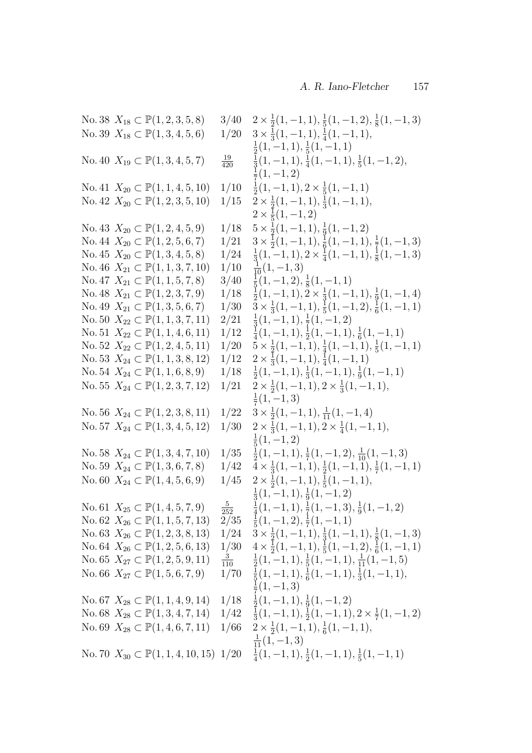No. 38  $X_{18} \subset \mathbb{P}(1, 2, 3, 5, 8)$  3/40 1  $\frac{1}{2}(1,-1,1),\frac{1}{5}$  $\frac{1}{5}(1,-1,2),\frac{1}{8}$  $\frac{1}{8}(1,-1,3)$ No. 39  $X_{18} \subset \mathbb{P}(1, 3, 4, 5, 6)$  1/20 1  $\frac{1}{3}(1, -1, 1), \frac{1}{4}$  $\frac{1}{4}(1,-1,1),$ 1  $\frac{1}{2}(1,-1,1),\frac{1}{5}$  $\frac{1}{5}(1,-1,1)$ No. 40  $X_{19} \subset \mathbb{P}(1, 3, 4, 5, 7)$  $\frac{19}{420}$ 1  $\frac{1}{3}(1,-1,1),\frac{1}{4}$  $\frac{1}{4}(1,-1,1),\frac{1}{5}$  $\frac{1}{5}(1,-1,2),$ 1  $\frac{1}{7}(1,-1,2)$ No. 41  $X_{20} \subset \mathbb{P}(1, 1, 4, 5, 10)$  1/10  $\frac{1}{2}(1,-1,1), 2 \times \frac{1}{5}$  $\frac{1}{5}(1,-1,1)$ No. 42  $X_{20} \subset \mathbb{P}(1, 2, 3, 5, 10)$  1/15 1  $\frac{1}{2}(1,-1,1),\frac{1}{3}$  $\frac{1}{3}(1,-1,1),$  $2\times\frac{1}{5}$  $\frac{1}{5}(1,-1,2)$ No. 43  $X_{20} \subset \mathbb{P}(1, 2, 4, 5, 9)$  1/18 1  $\frac{1}{2}(1,-1,1),\frac{1}{9}$  $\frac{1}{9}(1,-1,2)$ No. 44  $X_{20} \subset \mathbb{P}(1, 2, 5, 6, 7)$  1/21 1  $\frac{1}{2}(1,-1,1),\frac{1}{6}$  $\frac{1}{6}(1,-1,1),\frac{1}{7}$  $\frac{1}{7}(1,-1,3)$ No. 45  $X_{20} \subset \mathbb{P}(1, 3, 4, 5, 8)$  1/24  $\frac{1}{3}(1,-1,1), 2 \times \frac{1}{4}$  $\frac{1}{4}(1,-1,1),\frac{1}{8}$  $\frac{1}{8}(1,-1,3)$ No. 46  $X_{21} \subset \mathbb{P}(1, 1, 3, 7, 10)$  1/10  $\frac{1}{10}(1, -1, 3)$ No. 47  $X_{21} \subset \mathbb{P}(1, 1, 5, 7, 8)$  3/40  $\frac{1}{5}(1,-1,2),\frac{1}{8}$  $\frac{1}{8}(1,-1,1)$ No. 48  $X_{21} \subset \mathbb{P}(1, 2, 3, 7, 9)$  1/18  $\frac{1}{2}(1,-1,1), \frac{1}{2} \times \frac{1}{3}$  $\frac{1}{3}(1, -1, 1), \frac{1}{9}$  $\frac{1}{9}(1,-1,4)$ No. 49  $X_{21} \subset \mathbb{P}(1, 3, 5, 6, 7)$  1/30 1  $\frac{1}{3}(1, -1, 1), \frac{1}{5}$  $\frac{1}{5}(1,-1,2),\frac{1}{6}$  $\frac{1}{6}(1,-1,1)$ No. 50  $X_{22} \subset \mathbb{P}(1, 1, 3, 7, 11)$  2/21  $\frac{1}{3}(1,-1,1),\frac{1}{7}$  $\frac{1}{7}(1,-1,2)$ No. 51  $X_{22} \subset \mathbb{P}(1, 1, 4, 6, 11)$  1/12  $\frac{1}{4}(1,-1,1),\frac{1}{2}$  $\frac{1}{2}(1,-1,1),\frac{1}{6}$  $\frac{1}{6}(1,-1,1)$ No. 52  $X_{22} \subset \mathbb{P}(1, 2, 4, 5, 11)$  1/20 1  $\frac{1}{2}(1,-1,1),\frac{1}{4}$  $\frac{1}{4}(1,-1,1),\frac{1}{5}$  $\frac{1}{5}(1,-1,1)$ No. 53  $X_{24} \subset \mathbb{P}(1, 1, 3, 8, 12)$  1/12 1  $\frac{1}{3}(1,-1,1),\frac{1}{4}$  $\frac{1}{4}(1,-1,1)$ No. 54  $X_{24} \subset \mathbb{P}(1, 1, 6, 8, 9)$  1/18  $\frac{1}{2}(1,-1,1),\frac{1}{3}$  $\frac{1}{3}(1,-1,1),\frac{1}{9}$  $\frac{1}{9}(1,-1,1)$ No. 55  $X_{24} \subset \mathbb{P}(1, 2, 3, 7, 12)$  1/21 1  $\frac{1}{2}(1,-1,1), 2 \times \frac{1}{3}$  $\frac{1}{3}(1,-1,1),$ 1  $\frac{1}{7}(1,-1,3)$ No. 56  $X_{24} \subset \mathbb{P}(1, 2, 3, 8, 11)$  1/22 1  $\frac{1}{2}(1, -1, 1), \frac{1}{11}(1, -1, 4)$ No. 57  $X_{24} \subset \mathbb{P}(1, 3, 4, 5, 12)$  1/30 1  $\frac{1}{3}(1, -1, 1), 2 \times \frac{1}{4}$  $\frac{1}{4}(1,-1,1),$ 1  $\frac{1}{5}(1,-1,2)$ No. 58  $X_{24} \subset \mathbb{P}(1, 3, 4, 7, 10)$  1/35  $\frac{1}{2}(1,-1,1),\frac{1}{7}$  $\frac{1}{7}(1, -1, 2), \frac{1}{10}(1, -1, 3)$ No. 59  $X_{24} \subset \mathbb{P}(1, 3, 6, 7, 8)$  1/42 1  $\frac{1}{3}(1,-1,1),\frac{1}{2}$  $\frac{1}{2}(1,-1,\tilde{1}),\frac{1}{7}$  $\frac{1}{7}(1,-1,1)$ No. 60  $X_{24} \subset \mathbb{P}(1, 4, 5, 6, 9)$  1/45 1  $\frac{1}{2}(1,-1,1),\frac{1}{5}$  $\frac{1}{5}(1,-1,1),$ 1  $\frac{1}{3}(1,-1,1),\frac{1}{9}$  $\frac{1}{9}(1,-1,2)$ No. 61  $X_{25} \subset \mathbb{P}(1, 4, 5, 7, 9)$   $\frac{5}{252}$  $\frac{252}{2/35}$ 1  $\frac{1}{4}(1,-1,1),\frac{1}{7}$  $\frac{1}{7}(1,-1,3),\frac{1}{9}$  $\frac{1}{9}(1,-1,2)$ No. 62  $X_{26} \subset \mathbb{P}(1, 1, 5, 7, 13)$  $\frac{1}{5}(1,-1,2),\frac{1}{7}$  $\frac{1}{7}(1,-1,1)$ No. 63  $X_{26} \subset \mathbb{P}(1, 2, 3, 8, 13)$  1/24 1  $\frac{1}{2}(1,-1,1),\frac{1}{3}$  $\frac{1}{3}(1,-1,1),\frac{1}{8}$  $\frac{1}{8}(1,-1,3)$ No. 64  $X_{26} \subset \mathbb{P}(1, 2, 5, 6, 13)$  1/30 1  $\frac{1}{2}(1,-1,1),\frac{1}{5}$  $\frac{1}{5}(1,-1,2),\frac{1}{6}$  $\frac{1}{6}(1,-1,1)$ No. 65  $X_{27} \subset \mathbb{P}(1, 2, 5, 9, 11)$  $\frac{3}{110}$ <br>1/70 1  $\frac{1}{2}(1,-1,1),\frac{1}{5}$  $\frac{1}{5}(1,-1,1), \frac{1}{11}(1,-1,5)$ No. 66  $X_{27} \subset \mathbb{P}(1, 5, 6, 7, 9)$  $\frac{1}{5}(1,-1,1),\frac{1}{6}$  $\frac{1}{6}(1,-1,1),\frac{1}{3}$  $\frac{1}{3}(1,-1,1),$ 1  $\frac{1}{7}(1,-1,3)$ No. 67  $X_{28} \subset \mathbb{P}(1, 1, 4, 9, 14)$  1/18  $\frac{1}{2}(1,-1,1),\frac{1}{9}$  $\frac{1}{9}(1,-1,2)$ No. 68  $X_{28} \subset \mathbb{P}(1, 3, 4, 7, 14)$  1/42  $\frac{1}{3}(1,-1,1),\frac{1}{2}$  $\frac{1}{2}(1,-1,1), 2 \times \frac{1}{7}$  $\frac{1}{7}(1,-1,2)$ No. 69  $X_{28} \subset \mathbb{P}(1, 4, 6, 7, 11)$  1/66 1  $\frac{1}{2}(1,-1,1),\frac{1}{6}$  $\frac{1}{6}(1,-1,1),$  $\frac{1}{11}(1,-1,3)$ No. 70  $X_{30} \subset \mathbb{P}(1, 1, 4, 10, 15)$  1/20  $\frac{1}{4}(1,-1,1),\frac{1}{2}$  $\frac{1}{2}(1,-1,1),\frac{1}{5}$  $\frac{1}{5}(1,-1,1)$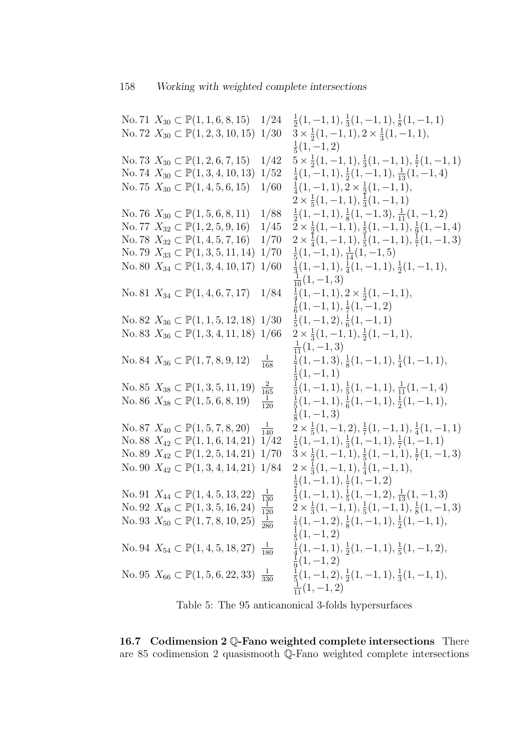No. 71  $X_{30} \subset \mathbb{P}(1, 1, 6, 8, 15)$  1/24  $\frac{1}{2}(1,-1,1),\frac{1}{3}$  $\frac{1}{3}(1,-1,1),\frac{1}{8}$  $\frac{1}{8}(1,-1,1)$ No. 72  $X_{30} \subset \mathbb{P}(1, 2, 3, 10, 15)$  1/30 1  $\frac{1}{2}(1,-1,1), 2 \times \frac{1}{3}$  $\frac{1}{3}(1,-1,1),$ 1  $\frac{1}{5}(1,-1,2)$ No. 73  $X_{30} \subset \mathbb{P}(1, 2, 6, 7, 15)$  1/42 1  $\frac{1}{2}(1,-1,1),\frac{1}{3}$  $\frac{1}{3}(1, -1, 1), \frac{1}{7}$  $\frac{1}{7}(1,-1,1)$ No. 74  $X_{30}$  ⊂  $\mathbb{P}(1, 3, 4, 10, 13)$  1/52  $\frac{1}{4}(1,-1,1),\frac{1}{2}$  $\frac{1}{2}(1, -1, 1), \frac{1}{13}(1, -1, 4)$ No. 75  $X_{30} \subset \mathbb{P}(1, 4, 5, 6, 15)$  1/60  $\frac{1}{4}(1,-1,1), 2 \times \frac{1}{2}$  $\frac{1}{2}(1,-1,1),$  $2 \times \frac{1}{5}$  $\frac{1}{5}(1,-1,1),\frac{1}{3}$  $\frac{1}{3}(1,-1,1)$ No. 76  $X_{30} \subset \mathbb{P}(1, 5, 6, 8, 11)$  1/88  $\frac{1}{2}(1,-1,1),\frac{1}{8}$  $\frac{1}{8}(1, -1, 3), \frac{1}{11}(1, -1, 2)$ No. 77  $X_{32} \subset \mathbb{P}(1, 2, 5, 9, 16)$  1/45 1  $\frac{1}{2}(1,-1,1),\frac{1}{5}$  $\frac{1}{5}(1,-1,\overline{1}),\frac{1}{9}$  $\frac{1}{9}(1,-1,4)$ No. 78  $X_{32} \subset \mathbb{P}(1, 4, 5, 7, 16)$  1/70 1  $\frac{1}{4}(1,-1,1),\frac{1}{5}$  $\frac{1}{5}(1,-1,1),\frac{1}{7}$  $\frac{1}{7}(1,-1,3)$ No. 79  $X_{33}$  ⊂  $\mathbb{P}(1, 3, 5, 11, 14)$  1/70  $\frac{1}{5}(1,-1,1), \frac{1}{14}(1,-1,5)$ No. 80  $X_{34} \subset \mathbb{P}(1, 3, 4, 10, 17)$  1/60  $\frac{1}{3}(1,-1,1),\frac{1}{4}$  $\frac{1}{4}(1,-1,1),\frac{1}{2}$  $\frac{1}{2}(1,-1,1),$  $\frac{1}{10}(1,-1,3)$ No. 81  $X_{34} \subset \mathbb{P}(1, 4, 6, 7, 17)$  1/84  $\frac{1}{4}(1,-1,1), 2 \times \frac{1}{2}$  $\frac{1}{2}(1,-1,1),$ 1  $\frac{1}{6}(1,-1,1),\frac{1}{7}$  $\frac{1}{7}(1,-1,2)$ No. 82  $X_{36}$  ⊂  $\mathbb{P}(1, 1, 5, 12, 18)$  1/30  $\frac{1}{5}(1,-1,2),\frac{1}{6}$  $\frac{1}{6}(1,-1,1)$ No. 83  $X_{36} \subset \mathbb{P}(1, 3, 4, 11, 18)$  1/66 1  $\frac{1}{3}(1, -1, 1), \frac{1}{2}$  $\frac{1}{2}(1,-1,1),$  $\frac{1}{11}(1,-1,3)$ No. 84  $X_{36} \subset \mathbb{P}(1, 7, 8, 9, 12)$  $\frac{1}{168}$ 1  $\frac{1}{7}(1,-1,3),\frac{1}{8}$  $\frac{1}{8}(1, -1, 1), \frac{1}{4}$  $\frac{1}{4}(1,-1,1),$ 1  $\frac{1}{3}(1,-1,1)$ No. 85  $X_{38} \subset \mathbb{P}(1, 3, 5, 11, 19)$  $\frac{2}{165}$ 1  $\frac{1}{3}(1, -1, 1), \frac{1}{5}$  $\frac{1}{3}(1,-1,1), \frac{1}{5}(1,-1,1), \frac{1}{11}(1,-1,4)$ <br> $\frac{1}{1}(1,-1,1), \frac{1}{1}(1,-1,1), \frac{1}{1}(1,-1,1)$ No. 86  $X_{38} \subset \mathbb{P}(1, 5, 6, 8, 19)$  $\frac{1}{120}$  $\frac{1}{5}(1,-1,1),\frac{1}{6}$  $\frac{1}{6}(1,-1,1),\frac{1}{2}$  $\frac{1}{2}(1,-1,1),$ 1  $\frac{1}{8}(1,-1,3)$ No. 87  $X_{40} \subset \mathbb{P} (1, 5, 7, 8, 20)$  $\frac{1}{140}$  2 ×  $\frac{1}{5}$  $\frac{1}{5}(1,-1,2),\frac{1}{7}$  $\frac{1}{7}(1,-1,1),\frac{1}{4}$  $\frac{1}{4}(1,-1,1)$ No. 88  $X_{42} \subset \mathbb{P}(1, 1, 6, 14, 21)$  1/42  $\frac{1}{2}(1,-1,1),\frac{1}{3}$  $\frac{1}{3}(1,-1,1),\frac{1}{7}$  $\frac{1}{7}(1,-1,1)$ No. 89  $X_{42} \subset \mathbb{P}(1, 2, 5, 14, 21)$  1/70 1  $\frac{1}{2}(1,-1,1),\frac{1}{5}$  $\frac{1}{5}(1,-1,1),\frac{1}{7}$  $\frac{1}{7}(1,-1,3)$ No. 90  $X_{42} \subset \mathbb{P}(1, 3, 4, 14, 21)$  1/84 1  $\frac{1}{3}(1, -1, 1), \frac{1}{4}$  $\frac{1}{4}(1,-1,1),$ 1  $\frac{1}{2}(1,-1,1),\frac{1}{7}$  $\frac{1}{7}(1,-1,2)$ No. 91  $X_{44} \subset \mathbb{P}(1, 4, 5, 13, 22)$  $\frac{1}{130}$ 1  $\frac{1}{2}(1,-1,1),\frac{1}{5}$  $\frac{1}{5}(1, -1, 2), \frac{1}{13}(1, -1, 3)$ No. 92  $X_{48}$  ⊂  $\mathbb{P}(1, 3, 5, 16, 24)$   $\frac{1}{120}$  $\frac{1}{120}$   $\frac{1}{2} \times \frac{1}{3}$  $\frac{1}{3}(1, -1, 1), \frac{1}{5}$  $\frac{1}{5}(1,-1,\tilde{1}),\frac{1}{8}$  $\frac{1}{8}(1,-1,3)$ No. 93  $X_{50} \subset \mathbb{P}(1, 7, 8, 10, 25)$   $\frac{1}{280}$ 1  $\frac{1}{7}(1,-1,2),\frac{1}{8}$  $\frac{1}{8}(1, -1, 1), \frac{1}{2}$  $\frac{1}{2}(1,-1,1),$ 1  $\frac{1}{5}(1,-1,2)$ No. 94  $X_{54} \subset \mathbb{P}(1, 4, 5, 18, 27)$   $\frac{1}{180}$ 1  $\frac{1}{4}(1,-1,1),\frac{1}{2}$  $\frac{1}{2}(1,-1,1),\frac{1}{5}$  $\frac{1}{5}(1,-1,2),$ 1  $\frac{1}{9}(1,-1,2)$ No. 95  $X_{66} \subset \mathbb{P}(1, 5, 6, 22, 33)$   $\frac{1}{330}$ 1  $\frac{1}{5}(1,-1,2),\frac{1}{2}$  $\frac{1}{2}(1,-1,1),\frac{1}{3}$  $\frac{1}{3}(1,-1,1),$  $\frac{1}{11}(1,-1,2)$ 

Table 5: The 95 anticanonical 3-folds hypersurfaces

16.7 Codimension 2 Q-Fano weighted complete intersections There are 85 codimension 2 quasismooth Q-Fano weighted complete intersections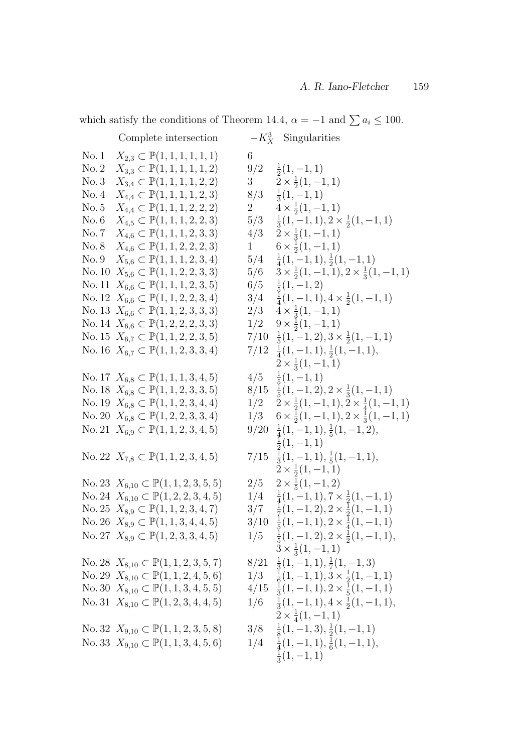which satisfy the conditions of Theorem 14.4,  $\alpha = -1$  and  $\sum a_i \le 100$ .

|               | Complete intersection                                  |                        | $-K_X^3$ Singularities                                             |
|---------------|--------------------------------------------------------|------------------------|--------------------------------------------------------------------|
| No.1          | $X_{2,3} \subset \mathbb{P}(1,1,1,1,1,1)$              | 6                      |                                                                    |
| No. 2         | $X_{3,3} \subset \mathbb{P}(1,1,1,1,1,2)$              |                        | $9/2 \frac{1}{2}(1,-1,1)$                                          |
| No.3          | $X_{3,4} \subset \mathbb{P}(1,1,1,1,2,2)$              | $3^{\circ}$            | $2 \times \frac{1}{2}(1,-1,1)$                                     |
| No.4          | $X_{4,4} \subset \mathbb{P}(1,1,1,1,2,3)$              | 8/3                    | $\frac{1}{3}(1,-1,1)$                                              |
| No. 5         | $X_{4,4} \subset \mathbb{P}(1,1,1,2,2,2)$              | $\overline{2}$         | $4 \times \frac{1}{2}(1,-1,1)$                                     |
| No. 6         | $X_{4,5} \subset \mathbb{P}(1,1,1,2,2,3)$              | 5/3                    | $\frac{1}{3}(1,-1,1), 2 \times \frac{1}{2}(1,-1,1)$                |
| No.7          | $X_{4,6} \subset \mathbb{P}(1,1,1,2,3,3)$              |                        | $4/3$ $2 \times \frac{1}{3}(1,-1,1)$                               |
| No. 8         | $X_{4,6} \subset \mathbb{P}(1,1,2,2,2,3)$              | $1 \quad \blacksquare$ | $6 \times \frac{1}{2}(1, -1, 1)$                                   |
| No. 9         | $X_{5,6} \subset \mathbb{P}(1,1,1,2,3,4)$              |                        | $5/4$ $\frac{1}{4}(1,-1,1), \frac{1}{2}(1,-1,1)$                   |
| $\rm No.\,10$ | $X_{5,6} \subset \mathbb{P}(1,1,2,2,3,3)$              |                        | $5/6$ $3 \times \frac{1}{2}(1,-1,1), 2 \times \frac{1}{3}(1,-1,1)$ |
|               | No. 11 $X_{6,6} \subset \mathbb{P}(1,1,1,2,3,5)$       |                        | $6/5 \frac{1}{5}(1,-1,2)$                                          |
|               | No. 12 $X_{6,6} \subset \mathbb{P}(1,1,2,2,3,4)$       |                        | $3/4$ $\frac{1}{4}(1,-1,1), 4 \times \frac{1}{2}(1,-1,1)$          |
|               | No. 13 $X_{6,6} \subset \mathbb{P}(1,1,2,3,3,3)$       |                        | $2/3$ $4 \times \frac{1}{3}(1,-1,1)$                               |
|               | No. 14 $X_{6,6} \subset \mathbb{P}(1,2,2,2,3,3)$       |                        | $1/2$ $9 \times \frac{1}{2}(1,-1,1)$                               |
|               | No. 15 $X_{6,7} \subset \mathbb{P}(1,1,2,2,3,5)$       |                        | $7/10 \frac{1}{5}(1,-1,2), 3 \times \frac{1}{2}(1,-1,1)$           |
|               | No. 16 $X_{6,7} \subset \mathbb{P}(1,1,2,3,3,4)$       |                        | $7/12 \frac{1}{4}(1,-1,1), \frac{1}{2}(1,-1,1),$                   |
|               |                                                        |                        | $2 \times \frac{1}{3}(1,-1,1)$                                     |
|               | No. 17 $X_{6,8} \subset \mathbb{P}(1,1,1,3,4,5)$       | 4/5                    | $\frac{1}{5}(1,-1,1)$                                              |
|               | No. 18 $X_{6,8} \subset \mathbb{P}(1,1,2,3,3,5)$       |                        | $8/15 \frac{1}{5}(1,-1,2), 2 \times \frac{1}{3}(1,-1,1)$           |
|               | No. 19 $X_{6,8} \subset \mathbb{P}(1,1,2,3,4,4)$       |                        | $1/2$ $2 \times \frac{1}{2}(1,-1,1), 2 \times \frac{1}{4}(1,-1,1)$ |
|               | No. 20 $X_{6,8} \subset \mathbb{P}(1,2,2,3,3,4)$       |                        | $1/3$ $6 \times \frac{1}{2}(1,-1,1), 2 \times \frac{1}{3}(1,-1,1)$ |
|               | No. 21 $X_{6,9} \subset \mathbb{P}(1,1,2,3,4,5)$       |                        | $9/20 \frac{1}{4}(1,-1,1), \frac{1}{5}(1,-1,2),$                   |
|               |                                                        |                        | $\frac{1}{2}(1,-1,1)$                                              |
|               | No. 22 $X_{7,8} \subset \mathbb{P}(1,1,2,3,4,5)$       |                        | $7/15 \frac{1}{3}(1,-1,1), \frac{1}{5}(1,-1,1),$                   |
|               |                                                        |                        | $2 \times \frac{1}{2}(1,-1,1)$                                     |
|               | No. 23 $X_{6,10} \subset \mathbb{P}(1, 1, 2, 3, 5, 5)$ |                        | $2/5$ $2 \times \frac{1}{5}(1,-1,2)$                               |
|               | No. 24 $X_{6,10} \subset \mathbb{P}(1,2,2,3,4,5)$      |                        | $1/4$ $\frac{1}{4}(1,-1,1), 7 \times \frac{1}{2}(1,-1,1)$          |
|               | No. 25 $X_{8,9} \subset \mathbb{P}(1,1,2,3,4,7)$       |                        | $3/7 \frac{1}{7}(1,-1,2), 2 \times \frac{1}{2}(1,-1,1)$            |
|               | No. 26 $X_{8,9} \subset \mathbb{P}(1,1,3,4,4,5)$       |                        | $3/10 \frac{1}{5}(1,-1,1), 2 \times \frac{1}{4}(1,-1,1)$           |
|               | No. 27 $X_{8,9} \subset \mathbb{P}(1,2,3,3,4,5)$       |                        | $1/5 \frac{1}{5}(1,-1,2), 2 \times \frac{1}{2}(1,-1,1),$           |
|               |                                                        |                        | $3 \times \frac{1}{3}(1,-1,1)$                                     |
|               | No. 28 $X_{8,10} \subset \mathbb{P}(1, 1, 2, 3, 5, 7)$ |                        | $8/21 \frac{1}{3}(1,-1,1), \frac{1}{7}(1,-1,3)$                    |
|               | No. 29 $X_{8,10} \subset \mathbb{P}(1, 1, 2, 4, 5, 6)$ |                        | $1/3 \frac{1}{6}(1,-1,1), 3 \times \frac{1}{2}(1,-1,1)$            |
|               | No. 30 $X_{8,10} \subset \mathbb{P}(1, 1, 3, 4, 5, 5)$ |                        | $4/15 \frac{1}{3}(1,-1,1), 2 \times \frac{1}{5}(1,-1,1)$           |
|               | No. 31 $X_{8,10} \subset \mathbb{P}(1,2,3,4,4,5)$      |                        | $1/6$ $\frac{1}{3}(1,-1,1), 4 \times \frac{1}{2}(1,-1,1),$         |
|               |                                                        |                        | $2 \times \frac{1}{4}(1,-1,1)$                                     |
|               | No. 32 $X_{9,10} \subset \mathbb{P}(1, 1, 2, 3, 5, 8)$ |                        | $3/8 \frac{1}{8}(1,-1,3), \frac{1}{2}(1,-1,1)$                     |
|               | No. 33 $X_{9,10} \subset \mathbb{P}(1, 1, 3, 4, 5, 6)$ |                        | $1/4$ $\frac{1}{4}(1,-1,1),\frac{1}{6}(1,-1,1),$                   |
|               |                                                        |                        | $\frac{1}{3}(1,-1,1)$                                              |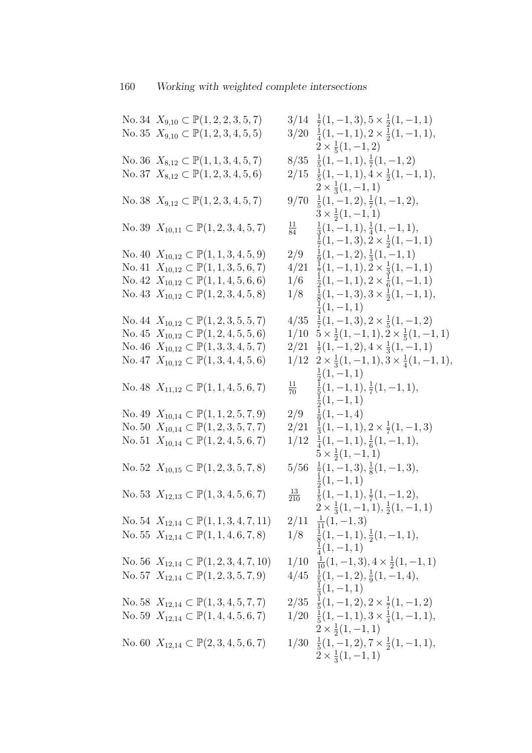No. 34  $X_{9,10} \subset \mathbb{P}(1, 2, 2, 3, 5, 7)$  $\frac{1}{7}(1,-1,3), 5 \times \frac{1}{2}$  $\frac{1}{2}(1,-1,1)$ No. 35  $X_{9,10} \subset \mathbb{P}(1, 2, 3, 4, 5, 5)$  $\frac{1}{4}(1,-1,1), 2 \times \frac{1}{2}$  $\frac{1}{2}(1,-1,1),$  $2 \times \frac{1}{5}$  $\frac{1}{5}(1,-1,2)$ No. 36  $X_{8,12} \subset \mathbb{P}(1, 1, 3, 4, 5, 7)$  $\frac{1}{5}(1,-1,1),\frac{1}{7}$  $\frac{1}{7}(1,-1,2)$ No. 37  $X_{8,12} \subset \mathbb{P}(1, 2, 3, 4, 5, 6)$  $\frac{1}{5}(1,-1,1), 4 \times \frac{1}{2}$  $\frac{1}{2}(1,-1,1),$  $2 \times \frac{1}{3}$  $\frac{1}{3}(1,-1,1)$ No. 38  $X_{9,12} \subset \mathbb{P}(1, 2, 3, 4, 5, 7)$  $\frac{1}{5}(1,-1,2),\frac{1}{7}$  $\frac{1}{7}(1,-1,2),$  $3 \times \frac{1}{2}$  $\frac{1}{2}(1,-1,1)$ No. 39  $X_{10,11} \subset \mathbb{P}(1, 2, 3, 4, 5, 7)$  $\frac{11}{84}$ 1  $\frac{1}{3}(1,-1,1),\frac{1}{4}$  $\frac{1}{4}(1,-1,1),$ 1  $\frac{1}{7}(1,-1,3), \frac{1}{2} \times \frac{1}{2}$  $\frac{1}{2}(1,-1,1)$ No. 40  $X_{10,12} \subset \mathbb{P}(1, 1, 3, 4, 5, 9)$  2/9 1  $\frac{1}{9}(1, -1, 2), \frac{1}{3}$  $\frac{1}{3}(1,-1,1)$ No. 41  $X_{10,12} \subset \mathbb{P}(1, 1, 3, 5, 6, 7)$  4/21  $\frac{1}{7}(1,-1,1), \frac{1}{2} \times \frac{1}{3}$  $\frac{1}{3}(1,-1,1)$ No. 42  $X_{10,12} \subset \mathbb{P}(1, 1, 4, 5, 6, 6)$  1/6 1  $\frac{1}{2}(1,-1,1), 2 \times \frac{1}{6}$  $\frac{1}{6}(1,-1,1)$ No. 43  $X_{10,12} \subset \mathbb{P}(1, 2, 3, 4, 5, 8)$  1/8 1  $\frac{1}{8}(1, -1, 3), 3 \times \frac{1}{2}$  $\frac{1}{2}(1,-1,1),$ 1  $\frac{1}{4}(1,-1,1)$ No. 44  $X_{10,12} \subset \mathbb{P}(1, 2, 3, 5, 5, 7)$  $\frac{1}{7}(1,-1,3), 2 \times \frac{1}{5}$  $\frac{1}{5}(1,-1,2)$ No. 45  $X_{10,12} \subset \mathbb{P}(1, 2, 4, 5, 5, 6)$ 1  $\frac{1}{2}(1,-1,1), \frac{1}{2} \times \frac{1}{5}$  $\frac{1}{5}(1,-1,1)$ No. 46  $X_{10,12} \subset \mathbb{P}(1,3,3,4,5,7)$  $\frac{1}{7}(1,-1,2), 4 \times \frac{1}{3}$  $\frac{1}{3}(1,-1,1)$ No. 47  $X_{10,12} \subset \mathbb{P}(1,3,4,4,5,6)$ 1  $\frac{1}{3}(1,-1,1), 3 \times \frac{1}{4}$  $\frac{1}{4}(1,-1,1),$ 1  $\frac{1}{2}(1,-1,1)$ No. 48  $X_{11,12} \subset \mathbb{P}(1, 1, 4, 5, 6, 7)$  $\frac{11}{70}$ 1  $\frac{1}{5}(1,-1,1),\frac{1}{7}$  $\frac{1}{7}(1,-1,1),$ 1  $\frac{1}{2}(1,-1,1)$ No. 49  $X_{10,14} \subset \mathbb{P}(1, 1, 2, 5, 7, 9)$  2/9 1  $\frac{1}{9}(1,-1,4)$ No. 50  $X_{10,14} \subset \mathbb{P}(1, 2, 3, 5, 7, 7)$  2/21  $\frac{1}{3}(1,-1,1), 2 \times \frac{1}{7}$  $\frac{1}{7}(1,-1,3)$ No. 51  $X_{10,14} \subset \mathbb{P}(1, 2, 4, 5, 6, 7)$  $\frac{1}{4}(1,-1,1),\frac{1}{6}$  $\frac{1}{6}(1,-1,1),$  $\overline{5} \times \frac{1}{2}$  $\frac{1}{2}(1,-1,1)$ No. 52  $X_{10,15} \subset \mathbb{P}(1, 2, 3, 5, 7, 8)$  $\frac{1}{7}(1,-1,3),\frac{1}{8}$  $\frac{1}{8}(1,-1,3),$ 1  $\frac{1}{2}(1,-1,1)$ No. 53  $X_{12,13} \subset \mathbb{P}(1,3,4,5,6,7)$  $\frac{13}{210}$ 1  $\frac{1}{5}(1,-1,1),\frac{1}{7}$  $rac{1}{7}(1,-1,2),$  $2 \times \frac{1}{3}$  $\frac{1}{3}(1,-1,1),\frac{1}{2}$  $\frac{1}{2}(1,-1,1)$ No. 54  $X_{12,14} \subset \mathbb{P}(1, 1, 3, 4, 7, 11)$  $2/11 \frac{1}{11}(1, -1, 3)$ No. 55  $X_{12,14} \subset \mathbb{P}(1, 1, 4, 6, 7, 8)$  1/8 1  $\frac{1}{8}(1, -1, 1), \frac{1}{2}$  $\frac{1}{2}(1,-1,1),$ 1  $\frac{1}{4}(1,-1,1)$ No. 56  $X_{12,14} \subset \mathbb{P}(1, 2, 3, 4, 7, 10)$  1/10  $\frac{1}{10}(1, -1, 3), 4 \times \frac{1}{2}$  $\frac{1}{2}(1,-1,1)$ No. 57  $X_{12,14} \subset \mathbb{P}(1, 2, 3, 5, 7, 9)$  $\frac{1}{5}(1,-1,2),\frac{1}{9}$  $\frac{1}{9}(1,-1,4),$ 1  $\frac{1}{3}(1,-1,1)$ No. 58  $X_{12,14} \subset \mathbb{P}(1,3,4,5,7,7)$  $\frac{1}{5}(1,-1,2), 2 \times \frac{1}{7}$  $\frac{1}{7}(1,-1,2)$ No. 59  $X_{12,14} \subset \mathbb{P}(1,4,4,5,6,7)$  $\frac{1}{5}(1,-1,1), 3 \times \frac{1}{4}$  $\frac{1}{4}(1,-1,1),$  $2 \times \frac{1}{2}$  $\frac{1}{2}(1,-1,1)$ No. 60  $X_{12,14} \subset \mathbb{P}(2,3,4,5,6,7)$  $\frac{1}{5}(1,-1,2), 7 \times \frac{1}{2}$  $\frac{1}{2}(1,-1,1),$  $2 \times \frac{1}{3}$  $\frac{1}{3}(1,-1,1)$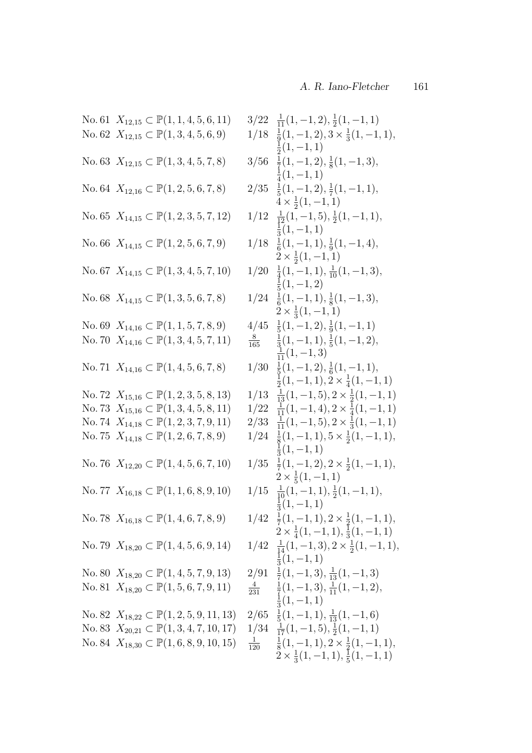| No. 61 $X_{12,15} \subset \mathbb{P}(1, 1, 4, 5, 6, 11)$ | $3/22 \frac{1}{11}(1,-1,2), \frac{1}{2}(1,-1,1)$                                            |
|----------------------------------------------------------|---------------------------------------------------------------------------------------------|
| No. 62 $X_{12,15} \subset \mathbb{P}(1,3,4,5,6,9)$       | $1/18 \frac{1}{9}(1,-1,2), 3 \times \frac{1}{3}(1,-1,1),$                                   |
| No. 63 $X_{12,15} \subset \mathbb{P}(1,3,4,5,7,8)$       | $\frac{1}{2}(1,-1,1)$<br>$3/56 \frac{1}{7}(1,-1,2), \frac{1}{8}(1,-1,3),$                   |
|                                                          | $\frac{1}{4}(1,-1,1)$                                                                       |
| No. 64 $X_{12,16} \subset \mathbb{P}(1, 2, 5, 6, 7, 8)$  | $2/35 \frac{1}{5}(1,-1,2), \frac{1}{7}(1,-1,1),$                                            |
| No. 65 $X_{14,15} \subset \mathbb{P}(1, 2, 3, 5, 7, 12)$ | $4 \times \frac{1}{2}(1,-1,1)$<br>$1/12 \frac{1}{12}(1,-1,5), \frac{1}{2}(1,-1,1),$         |
|                                                          | $\frac{1}{3}(1,-1,1)$                                                                       |
| No. 66 $X_{14,15} \subset \mathbb{P}(1,2,5,6,7,9)$       | $1/18 \frac{1}{6}(1,-1,1), \frac{1}{9}(1,-1,4),$                                            |
|                                                          | $2 \times \frac{1}{2}(1,-1,1)$                                                              |
| No. 67 $X_{14,15} \subset \mathbb{P}(1,3,4,5,7,10)$      | $1/20 \frac{1}{4}(1,-1,1), \frac{1}{10}(1,-1,3),$<br>$\frac{1}{5}(1,-1,2)$                  |
| No. 68 $X_{14,15} \subset \mathbb{P}(1,3,5,6,7,8)$       | $1/24 \frac{1}{6}(1,-1,1), \frac{1}{8}(1,-1,3),$                                            |
|                                                          | $2 \times \frac{1}{3}(1,-1,1)$                                                              |
| No. 69 $X_{14,16} \subset \mathbb{P}(1, 1, 5, 7, 8, 9)$  | $4/45 \frac{1}{5}(1,-1,2), \frac{1}{9}(1,-1,1)$                                             |
| No. 70 $X_{14,16} \subset \mathbb{P}(1,3,4,5,7,11)$      | $\frac{8}{165}$ $\frac{1}{3}(1,-1,1), \frac{1}{5}(1,-1,2),$<br>$\frac{1}{11}(1,-1,3)$       |
| No. 71 $X_{14,16} \subset \mathbb{P}(1,4,5,6,7,8)$       | $1/30 \frac{1}{5}(1,-1,2), \frac{1}{6}(1,-1,1),$                                            |
|                                                          | $\frac{1}{2}(1,-1,1), 2 \times \frac{1}{4}(1,-1,1)$                                         |
| No. 72 $X_{15,16} \subset \mathbb{P}(1,2,3,5,8,13)$      | $1/13 \frac{1}{13}(1,-1,5), 2 \times \frac{1}{2}(1,-1,1)$                                   |
| No. 73 $X_{15,16} \subset \mathbb{P}(1,3,4,5,8,11)$      | $1/22 \frac{1}{11}(1,-1,4), 2 \times \frac{1}{4}(1,-1,1)$                                   |
| No. 74 $X_{14,18} \subset \mathbb{P}(1, 2, 3, 7, 9, 11)$ | $2/33 \frac{1}{11}(1,-1,5), 2 \times \frac{1}{3}(1,-1,1)$                                   |
| No. 75 $X_{14,18} \subset \mathbb{P}(1, 2, 6, 7, 8, 9)$  | $1/24 \frac{1}{8}(1,-1,1), 5 \times \frac{1}{2}(1,-1,1),$                                   |
|                                                          | $\frac{1}{3}(1,-1,1)$                                                                       |
| No. 76 $X_{12,20} \subset \mathbb{P}(1,4,5,6,7,10)$      | $1/35 \frac{1}{7}(1,-1,2), 2 \times \frac{1}{2}(1,-1,1),$<br>$2 \times \frac{1}{5}(1,-1,1)$ |
| No. 77 $X_{16,18} \subset \mathbb{P}(1, 1, 6, 8, 9, 10)$ | $1/15 \frac{1}{10}(1,-1,1), \frac{1}{2}(1,-1,1),$                                           |
|                                                          | $\frac{1}{3}(1,-1,1)$                                                                       |
| No. 78 $X_{16,18} \subset \mathbb{P}(1,4,6,7,8,9)$       | $1/42 \frac{1}{7}(1,-1,1), 2 \times \frac{1}{2}(1,-1,1),$                                   |
|                                                          | $2 \times \frac{1}{4}(1,-1,1), \frac{1}{3}(1,-1,1)$                                         |
| No. 79 $X_{18,20} \subset \mathbb{P}(1,4,5,6,9,14)$      | $1/42 \frac{1}{14}(1,-1,3), 2 \times \frac{1}{2}(1,-1,1),$<br>$\frac{1}{3}(1,-1,1)$         |
| No. 80 $X_{18,20} \subset \mathbb{P}(1, 4, 5, 7, 9, 13)$ | $2/91 \frac{1}{7}(1,-1,3), \frac{1}{13}(1,-1,3)$                                            |
| No. 81 $X_{18,20} \subset \mathbb{P}(1, 5, 6, 7, 9, 11)$ | $\frac{4}{231}$ $\frac{1}{7}(1,-1,3), \frac{1}{11}(1,-1,2),$                                |
|                                                          | $\frac{1}{3}(1,-1,1)$                                                                       |
| No. 82 $X_{18,22} \subset \mathbb{P}(1,2,5,9,11,13)$     | $2/65 \frac{1}{5}(1,-1,1), \frac{1}{13}(1,-1,6)$                                            |
| No. 83 $X_{20,21} \subset \mathbb{P}(1,3,4,7,10,17)$     | $1/34 \frac{1}{17}(1,-1,5), \frac{1}{2}(1,-1,1)$                                            |
| No. 84 $X_{18,30} \subset \mathbb{P}(1,6,8,9,10,15)$     | $\frac{1}{120}$ $\frac{1}{8}(1,-1,1), 2 \times \frac{1}{2}(1,-1,1),$                        |
|                                                          | $2 \times \frac{1}{3}(1,-1,1), \frac{1}{5}(1,-1,1)$                                         |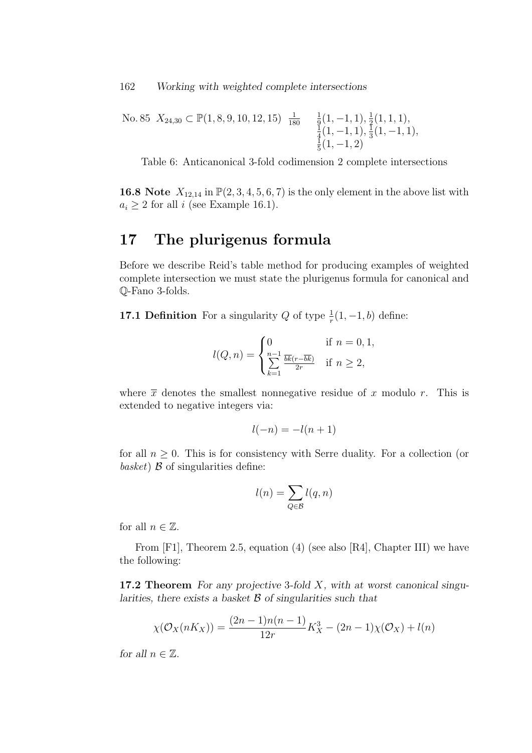162 Working with weighted complete intersections

No. 85 
$$
X_{24,30} \subset \mathbb{P}(1,8,9,10,12,15)
$$
  $\frac{1}{180}$   $\frac{1}{9}(1,-1,1), \frac{1}{2}(1,1,1),$   
 $\frac{1}{4}(1,-1,1), \frac{1}{3}(1,-1,1),$   
 $\frac{1}{5}(1,-1,2)$ 

Table 6: Anticanonical 3-fold codimension 2 complete intersections

**16.8** Note  $X_{12,14}$  in  $\mathbb{P}(2,3,4,5,6,7)$  is the only element in the above list with  $a_i \geq 2$  for all i (see Example 16.1).

# 17 The plurigenus formula

Before we describe Reid's table method for producing examples of weighted complete intersection we must state the plurigenus formula for canonical and Q-Fano 3-folds.

**17.1 Definition** For a singularity Q of type  $\frac{1}{r}(1, -1, b)$  define:

$$
l(Q, n) = \begin{cases} 0 & \text{if } n = 0, 1, \\ \sum_{k=1}^{n-1} \frac{\overline{bk}(r - \overline{bk})}{2r} & \text{if } n \ge 2, \end{cases}
$$

where  $\bar{x}$  denotes the smallest nonnegative residue of x modulo r. This is extended to negative integers via:

$$
l(-n) = -l(n+1)
$$

for all  $n \geq 0$ . This is for consistency with Serre duality. For a collection (or basket)  $\beta$  of singularities define:

$$
l(n) = \sum_{Q \in \mathcal{B}} l(q, n)
$$

for all  $n \in \mathbb{Z}$ .

From [F1], Theorem 2.5, equation (4) (see also [R4], Chapter III) we have the following:

17.2 Theorem For any projective 3-fold  $X$ , with at worst canonical singularities, there exists a basket  $\beta$  of singularities such that

$$
\chi(\mathcal{O}_X(nK_X)) = \frac{(2n-1)n(n-1)}{12r}K_X^3 - (2n-1)\chi(\mathcal{O}_X) + l(n)
$$

for all  $n \in \mathbb{Z}$ .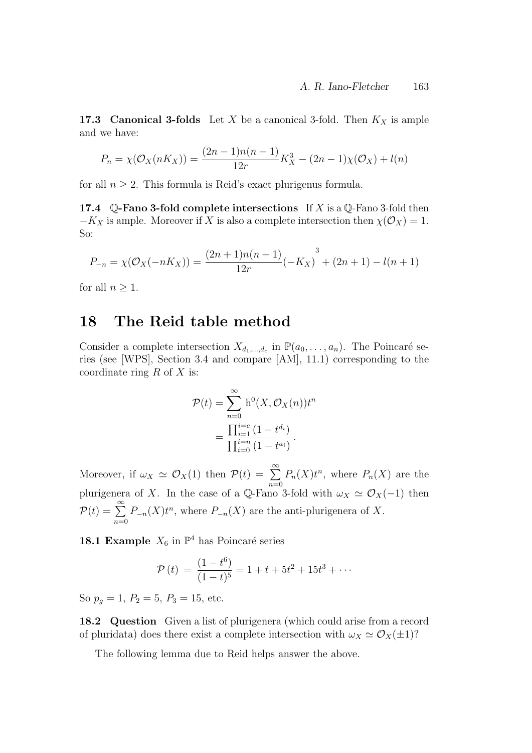**17.3 Canonical 3-folds** Let X be a canonical 3-fold. Then  $K_X$  is ample and we have:

$$
P_n = \chi(\mathcal{O}_X(nK_X)) = \frac{(2n-1)n(n-1)}{12r}K_X^3 - (2n-1)\chi(\mathcal{O}_X) + l(n)
$$

for all  $n \geq 2$ . This formula is Reid's exact plurigenus formula.

17.4  $\Diamond$ -Fano 3-fold complete intersections If X is a  $\Diamond$ -Fano 3-fold then  $-K_X$  is ample. Moreover if X is also a complete intersection then  $\chi(\mathcal{O}_X) = 1$ . So:

$$
P_{-n} = \chi(\mathcal{O}_X(-nK_X)) = \frac{(2n+1)n(n+1)}{12r}(-K_X)^3 + (2n+1) - l(n+1)
$$

for all  $n \geq 1$ .

## 18 The Reid table method

Consider a complete intersection  $X_{d_1,\dots,d_c}$  in  $\mathbb{P}(a_0,\dots,a_n)$ . The Poincaré series (see [WPS], Section 3.4 and compare [AM], 11.1) corresponding to the coordinate ring  $R$  of  $X$  is:

$$
\mathcal{P}(t) = \sum_{n=0}^{\infty} h^{0}(X, \mathcal{O}_{X}(n))t^{n}
$$

$$
= \frac{\prod_{i=1}^{i=c} (1 - t^{d_{i}})}{\prod_{i=0}^{i=n} (1 - t^{a_{i}})}.
$$

Moreover, if  $\omega_X \simeq \mathcal{O}_X(1)$  then  $\mathcal{P}(t) = \sum_{n=0}^{\infty}$  $n=0$  $P_n(X)t^n$ , where  $P_n(X)$  are the plurigenera of X. In the case of a Q-Fano 3-fold with  $\omega_X \simeq \mathcal{O}_X(-1)$  then  $\mathcal{P}(t) = \sum_{n=1}^{\infty}$  $n=0$  $P_{-n}(X)t^n$ , where  $P_{-n}(X)$  are the anti-plurigenera of X.

**18.1 Example**  $X_6$  in  $\mathbb{P}^4$  has Poincaré series

$$
\mathcal{P}(t) = \frac{(1 - t^6)}{(1 - t)^5} = 1 + t + 5t^2 + 15t^3 + \cdots
$$

So  $p<sub>g</sub> = 1, P<sub>2</sub> = 5, P<sub>3</sub> = 15,$  etc.

18.2 Question Given a list of plurigenera (which could arise from a record of pluridata) does there exist a complete intersection with  $\omega_X \simeq \mathcal{O}_X(\pm 1)$ ?

The following lemma due to Reid helps answer the above.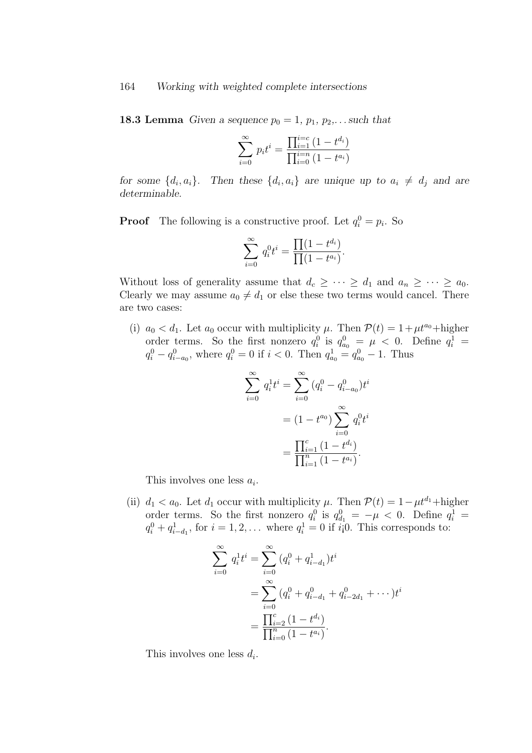**18.3 Lemma** Given a sequence  $p_0 = 1$ ,  $p_1, p_2, \ldots$  such that

$$
\sum_{i=0}^{\infty} p_i t^i = \frac{\prod_{i=1}^{i=c} (1 - t^{d_i})}{\prod_{i=0}^{i=n} (1 - t^{a_i})}
$$

for some  $\{d_i, a_i\}$ . Then these  $\{d_i, a_i\}$  are unique up to  $a_i \neq d_j$  and are determinable.

**Proof** The following is a constructive proof. Let  $q_i^0 = p_i$ . So

$$
\sum_{i=0}^{\infty} q_i^0 t^i = \frac{\prod (1 - t^{d_i})}{\prod (1 - t^{a_i})}.
$$

Without loss of generality assume that  $d_c \geq \cdots \geq d_1$  and  $a_n \geq \cdots \geq a_0$ . Clearly we may assume  $a_0 \neq d_1$  or else these two terms would cancel. There are two cases:

(i)  $a_0 < d_1$ . Let  $a_0$  occur with multiplicity  $\mu$ . Then  $\mathcal{P}(t) = 1 + \mu t^{a_0} + \text{higher}$ order terms. So the first nonzero  $q_i^0$  is  $q_{a_0}^0 = \mu < 0$ . Define  $q_i^1 =$  $q_i^0 - q_{i-a_0}^0$ , where  $q_i^0 = 0$  if  $i < 0$ . Then  $q_{a_0}^1 = q_{a_0}^0 - 1$ . Thus

$$
\sum_{i=0}^{\infty} q_i^1 t^i = \sum_{i=0}^{\infty} (q_i^0 - q_{i-a_0}^0) t^i
$$

$$
= (1 - t^{a_0}) \sum_{i=0}^{\infty} q_i^0 t^i
$$

$$
= \frac{\prod_{i=1}^c (1 - t^{d_i})}{\prod_{i=1}^n (1 - t^{a_i})}.
$$

This involves one less  $a_i$ .

(ii)  $d_1 < a_0$ . Let  $d_1$  occur with multiplicity  $\mu$ . Then  $\mathcal{P}(t) = 1 - \mu t^{d_1} + \text{higher}$ order terms. So the first nonzero  $q_i^0$  is  $q_{d_1}^0 = -\mu < 0$ . Define  $q_i^1 =$  $q_i^0 + q_{i-d_1}^1$ , for  $i = 1, 2, \ldots$  where  $q_i^1 = 0$  if  $i \mid 0$ . This corresponds to:

$$
\sum_{i=0}^{\infty} q_i^1 t^i = \sum_{i=0}^{\infty} (q_i^0 + q_{i-d_1}^1) t^i
$$
  
= 
$$
\sum_{i=0}^{\infty} (q_i^0 + q_{i-d_1}^0 + q_{i-2d_1}^0 + \cdots) t^i
$$
  
= 
$$
\frac{\prod_{i=0}^c (1 - t^{d_i})}{\prod_{i=0}^n (1 - t^{d_i})}.
$$

This involves one less  $d_i$ .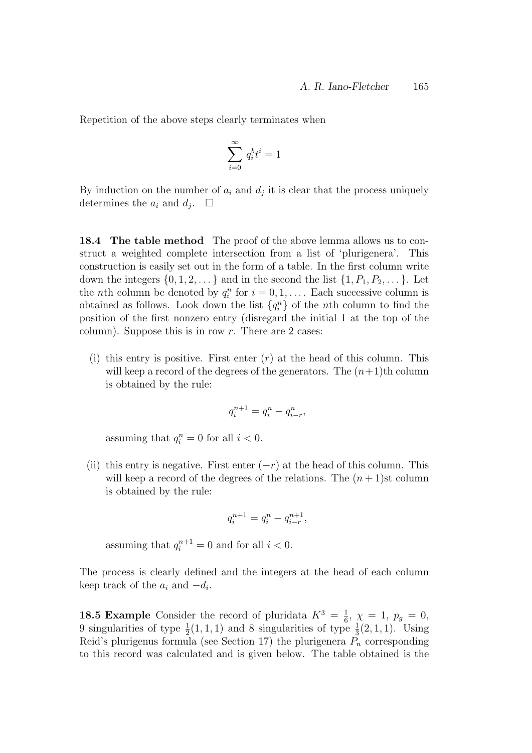Repetition of the above steps clearly terminates when

$$
\sum_{i=0}^\infty \, q_i^b t^i = 1
$$

By induction on the number of  $a_i$  and  $d_j$  it is clear that the process uniquely determines the  $a_i$  and  $d_j$ .  $\Box$ 

18.4 The table method The proof of the above lemma allows us to construct a weighted complete intersection from a list of 'plurigenera'. This construction is easily set out in the form of a table. In the first column write down the integers  $\{0, 1, 2, \ldots\}$  and in the second the list  $\{1, P_1, P_2, \ldots\}$ . Let the *n*th column be denoted by  $q_i^n$  for  $i = 0, 1, \ldots$ . Each successive column is obtained as follows. Look down the list  $\{q_i^n\}$  of the *n*th column to find the position of the first nonzero entry (disregard the initial 1 at the top of the column). Suppose this is in row  $r$ . There are 2 cases:

(i) this entry is positive. First enter  $(r)$  at the head of this column. This will keep a record of the degrees of the generators. The  $(n+1)$ th column is obtained by the rule:

$$
q_i^{n+1} = q_i^n - q_{i-r}^n,
$$

assuming that  $q_i^n = 0$  for all  $i < 0$ .

(ii) this entry is negative. First enter  $(-r)$  at the head of this column. This will keep a record of the degrees of the relations. The  $(n+1)$ st column is obtained by the rule:

$$
q_i^{n+1} = q_i^n - q_{i-r}^{n+1},
$$

assuming that  $q_i^{n+1} = 0$  and for all  $i < 0$ .

The process is clearly defined and the integers at the head of each column keep track of the  $a_i$  and  $-d_i$ .

**18.5 Example** Consider the record of pluridata  $K^3 = \frac{1}{6}$  $\frac{1}{6}, \chi = 1, p_g = 0,$ 9 singularities of type  $\frac{1}{2}(1,1,1)$  and 8 singularities of type  $\frac{1}{3}(2,1,1)$ . Using Reid's plurigenus formula (see Section 17) the plurigenera  $P_n$  corresponding to this record was calculated and is given below. The table obtained is the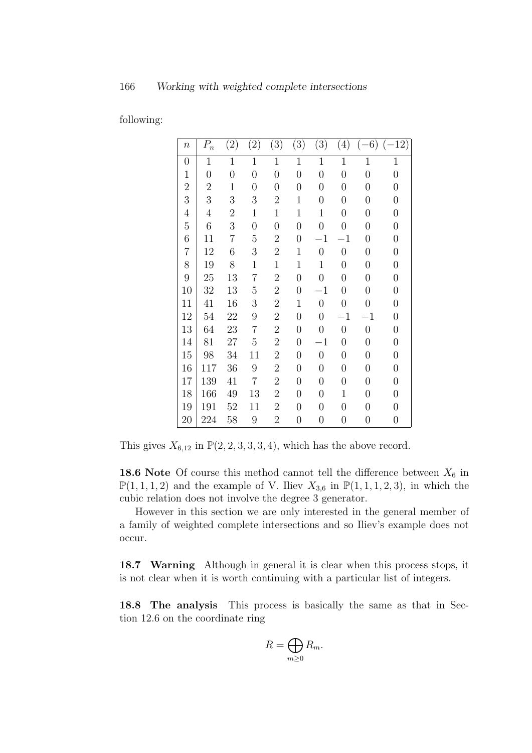following:

| $\boldsymbol{n}$ | $P_n$          | (2)              | (2)              | (3)              | (3)              | (3)              | $\left(4\right)$ | $-6)$            | $(-12)$          |
|------------------|----------------|------------------|------------------|------------------|------------------|------------------|------------------|------------------|------------------|
| $\overline{0}$   | $\overline{1}$ | $\mathbf{1}$     | $\mathbf{1}$     | $\mathbf{1}$     | $\mathbf{1}$     | $\mathbf{1}$     | $\mathbf{1}$     | $\mathbf{1}$     | $\mathbf{1}$     |
| $\mathbf 1$      | 0              | $\boldsymbol{0}$ | $\overline{0}$   | $\overline{0}$   | $\overline{0}$   | $\overline{0}$   | $\overline{0}$   | $\overline{0}$   | $\boldsymbol{0}$ |
| $\overline{2}$   | $\overline{2}$ | $\mathbf 1$      | $\overline{0}$   | $\overline{0}$   | $\boldsymbol{0}$ | $\overline{0}$   | $\boldsymbol{0}$ | $\overline{0}$   | $\boldsymbol{0}$ |
| 3                | 3              | 3                | 3                | $\boldsymbol{2}$ | 1                | $\boldsymbol{0}$ | $\boldsymbol{0}$ | 0                | $\boldsymbol{0}$ |
| $\overline{4}$   | $\overline{4}$ | $\overline{2}$   | $\mathbf 1$      | $\mathbf 1$      | $\mathbf 1$      | $\mathbf{1}$     | $\overline{0}$   | $\overline{0}$   | $\boldsymbol{0}$ |
| $\overline{5}$   | $\overline{6}$ | 3                | $\boldsymbol{0}$ | $\boldsymbol{0}$ | $\overline{0}$   | $\overline{0}$   | $\overline{0}$   | $\overline{0}$   | $\boldsymbol{0}$ |
| $\boldsymbol{6}$ | 11             | $\overline{7}$   | $\overline{5}$   | $\overline{2}$   | $\overline{0}$   | $^{-1}$          | $^{-1}$          | $\overline{0}$   | $\boldsymbol{0}$ |
| $\overline{7}$   | 12             | 6                | 3                | $\overline{2}$   | $\mathbf 1$      | $\boldsymbol{0}$ | $\boldsymbol{0}$ | 0                | $\boldsymbol{0}$ |
| 8                | 19             | 8                | $\mathbf{1}$     | $\mathbf{1}$     | $\mathbf 1$      | $\mathbf{1}$     | $\boldsymbol{0}$ | $\overline{0}$   | $\boldsymbol{0}$ |
| 9                | 25             | 13               | 7                | $\overline{2}$   | $\boldsymbol{0}$ | $\overline{0}$   | $\boldsymbol{0}$ | $\overline{0}$   | $\boldsymbol{0}$ |
| 10               | 32             | 13               | 5                | $\overline{2}$   | $\boldsymbol{0}$ | $^{-1}$          | $\overline{0}$   | $\overline{0}$   | $\boldsymbol{0}$ |
| 11               | 41             | 16               | 3                | $\sqrt{2}$       | $\mathbf 1$      | $\overline{0}$   | $\overline{0}$   | $\overline{0}$   | $\boldsymbol{0}$ |
| 12               | 54             | 22               | 9                | $\sqrt{2}$       | $\boldsymbol{0}$ | $\overline{0}$   | $-1$             | $^{-1}$          | $\boldsymbol{0}$ |
| 13               | 64             | 23               | 7                | $\overline{2}$   | $\boldsymbol{0}$ | $\overline{0}$   | $\boldsymbol{0}$ | $\boldsymbol{0}$ | $\boldsymbol{0}$ |
| 14               | 81             | 27               | $\overline{5}$   | $\overline{2}$   | $\overline{0}$   | $^{-1}$          | $\overline{0}$   | 0                | $\boldsymbol{0}$ |
| 15               | 98             | 34               | 11               | $\overline{2}$   | $\boldsymbol{0}$ | $\boldsymbol{0}$ | $\boldsymbol{0}$ | 0                | $\boldsymbol{0}$ |
| 16               | 117            | 36               | $\boldsymbol{9}$ | $\overline{2}$   | $\boldsymbol{0}$ | $\overline{0}$   | $\boldsymbol{0}$ | 0                | $\boldsymbol{0}$ |
| 17               | 139            | 41               | $\overline{7}$   | $\overline{2}$   | $\boldsymbol{0}$ | $\overline{0}$   | $\boldsymbol{0}$ | $\overline{0}$   | $\boldsymbol{0}$ |
| 18               | 166            | 49               | 13               | $\overline{2}$   | $\boldsymbol{0}$ | $\overline{0}$   | $\mathbf 1$      | $\overline{0}$   | $\boldsymbol{0}$ |
| 19               | 191            | 52               | 11               | $\overline{2}$   | $\boldsymbol{0}$ | $\overline{0}$   | $\overline{0}$   | 0                | $\boldsymbol{0}$ |
| 20               | 224            | 58               | $\boldsymbol{9}$ | $\overline{2}$   | $\boldsymbol{0}$ | $\boldsymbol{0}$ | $\boldsymbol{0}$ | $\overline{0}$   | $\boldsymbol{0}$ |

This gives  $X_{6,12}$  in  $\mathbb{P}(2, 2, 3, 3, 3, 4)$ , which has the above record.

**18.6** Note Of course this method cannot tell the difference between  $X_6$  in  $\mathbb{P}(1,1,1,2)$  and the example of V. Iliev  $X_{3,6}$  in  $\mathbb{P}(1,1,1,2,3)$ , in which the cubic relation does not involve the degree 3 generator.

However in this section we are only interested in the general member of a family of weighted complete intersections and so Iliev's example does not occur.

18.7 Warning Although in general it is clear when this process stops, it is not clear when it is worth continuing with a particular list of integers.

18.8 The analysis This process is basically the same as that in Section 12.6 on the coordinate ring

$$
R=\bigoplus_{m\geq 0}R_m.
$$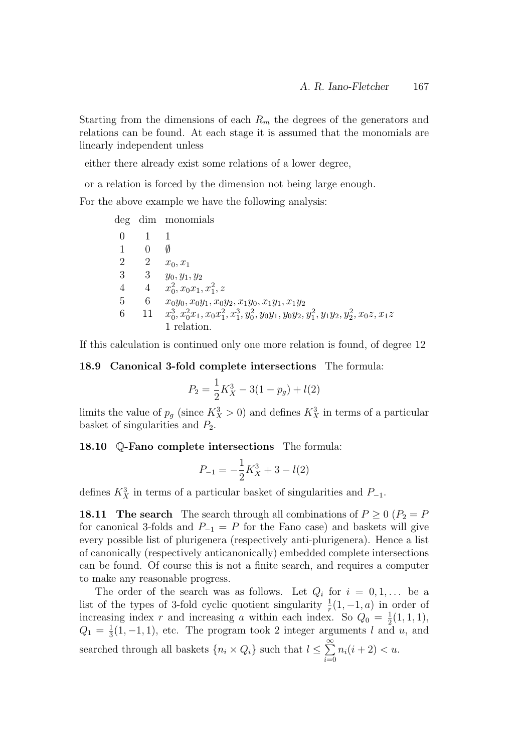Starting from the dimensions of each  $R_m$  the degrees of the generators and relations can be found. At each stage it is assumed that the monomials are linearly independent unless

either there already exist some relations of a lower degree,

or a relation is forced by the dimension not being large enough.

For the above example we have the following analysis:

deg dim monomials

| $\Omega$       |                |                                                                                                  |
|----------------|----------------|--------------------------------------------------------------------------------------------------|
| $\mathbf{1}$   |                | Ø                                                                                                |
| 2              | $\overline{2}$ | $x_0, x_1$                                                                                       |
| 3              | 3              | $y_0, y_1, y_2$                                                                                  |
| $\overline{4}$ |                | 4 $x_0^2, x_0x_1, x_1^2, z$                                                                      |
| -5             | 6              | $x_0y_0, x_0y_1, x_0y_2, x_1y_0, x_1y_1, x_1y_2$                                                 |
| 6              |                | 11 $x_0^3, x_0^2, x_1, x_0x_1^2, x_1^3, y_0^2, y_0y_1, y_0y_2, y_1^2, y_1y_2, y_2^2, x_0z, x_1z$ |
|                |                | 1 relation.                                                                                      |

If this calculation is continued only one more relation is found, of degree 12

18.9 Canonical 3-fold complete intersections The formula:

$$
P_2 = \frac{1}{2}K_X^3 - 3(1 - p_g) + l(2)
$$

limits the value of  $p_g$  (since  $K_X^3 > 0$ ) and defines  $K_X^3$  in terms of a particular basket of singularities and  $P_2$ .

#### 18.10 Q-Fano complete intersections The formula:

$$
P_{-1} = -\frac{1}{2}K_X^3 + 3 - l(2)
$$

defines  $K_X^3$  in terms of a particular basket of singularities and  $P_{-1}$ .

18.11 The search The search through all combinations of  $P \ge 0$  ( $P_2 = P$ ) for canonical 3-folds and  $P_{-1} = P$  for the Fano case) and baskets will give every possible list of plurigenera (respectively anti-plurigenera). Hence a list of canonically (respectively anticanonically) embedded complete intersections can be found. Of course this is not a finite search, and requires a computer to make any reasonable progress.

The order of the search was as follows. Let  $Q_i$  for  $i = 0, 1, \ldots$  be a list of the types of 3-fold cyclic quotient singularity  $\frac{1}{r}(1, -1, a)$  in order of increasing index r and increasing a within each index. So  $Q_0 = \frac{1}{2}$  $\frac{1}{2}(1,1,1),$  $Q_1 = \frac{1}{3}$  $\frac{1}{3}(1,-1,1)$ , etc. The program took 2 integer arguments l and u, and searched through all baskets  $\{n_i \times Q_i\}$  such that  $l \leq \sum_{i=1}^{\infty}$  $i=0$  $n_i(i + 2) < u.$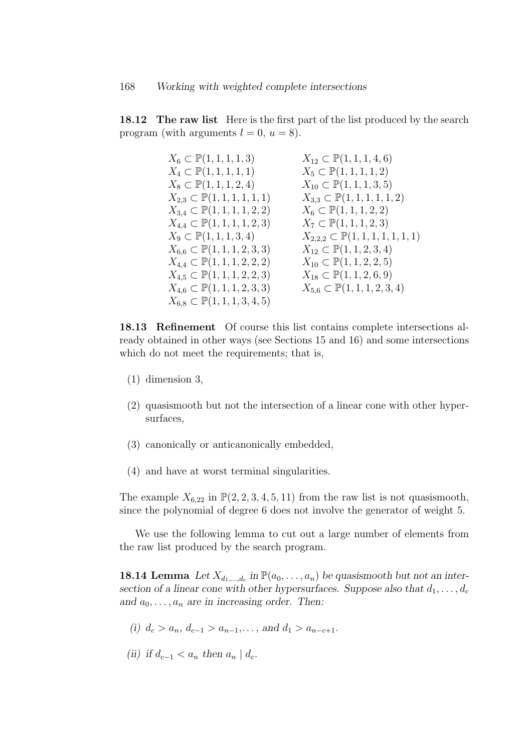**18.12** The raw list Here is the first part of the list produced by the search program (with arguments  $l = 0, u = 8$ ).

| $X_{12} \subset \mathbb{P}(1,1,1,4,6)$        |
|-----------------------------------------------|
| $X_5 \subset \mathbb{P}(1, 1, 1, 1, 2)$       |
| $X_{10} \subset \mathbb{P}(1,1,1,3,5)$        |
| $X_{3,3} \subset \mathbb{P}(1,1,1,1,1,2)$     |
| $X_6 \subset \mathbb{P}(1, 1, 1, 2, 2)$       |
| $X_7 \subset \mathbb{P}(1, 1, 1, 2, 3)$       |
| $X_{2,2,2} \subset \mathbb{P}(1,1,1,1,1,1,1)$ |
| $X_{12} \subset \mathbb{P}(1,1,2,3,4)$        |
| $X_{10} \subset \mathbb{P}(1, 1, 2, 2, 5)$    |
| $X_{18} \subset \mathbb{P}(1,1,2,6,9)$        |
| $X_{5,6} \subset \mathbb{P}(1,1,1,2,3,4)$     |
|                                               |
|                                               |

18.13 Refinement Of course this list contains complete intersections already obtained in other ways (see Sections 15 and 16) and some intersections which do not meet the requirements; that is,

- (1) dimension 3,
- (2) quasismooth but not the intersection of a linear cone with other hypersurfaces,
- (3) canonically or anticanonically embedded,
- (4) and have at worst terminal singularities.

The example  $X_{6,22}$  in  $\mathbb{P}(2, 2, 3, 4, 5, 11)$  from the raw list is not quasismooth, since the polynomial of degree 6 does not involve the generator of weight 5.

We use the following lemma to cut out a large number of elements from the raw list produced by the search program.

**18.14 Lemma** Let  $X_{d_1,...,d_c}$  in  $\mathbb{P}(a_0,...,a_n)$  be quasismooth but not an intersection of a linear cone with other hypersurfaces. Suppose also that  $d_1, \ldots, d_c$ and  $a_0, \ldots, a_n$  are in increasing order. Then:

- (i)  $d_c > a_n, d_{c-1} > a_{n-1}, \ldots$ , and  $d_1 > a_{n-c+1}$ .
- (ii) if  $d_{c-1} < a_n$  then  $a_n \mid d_c$ .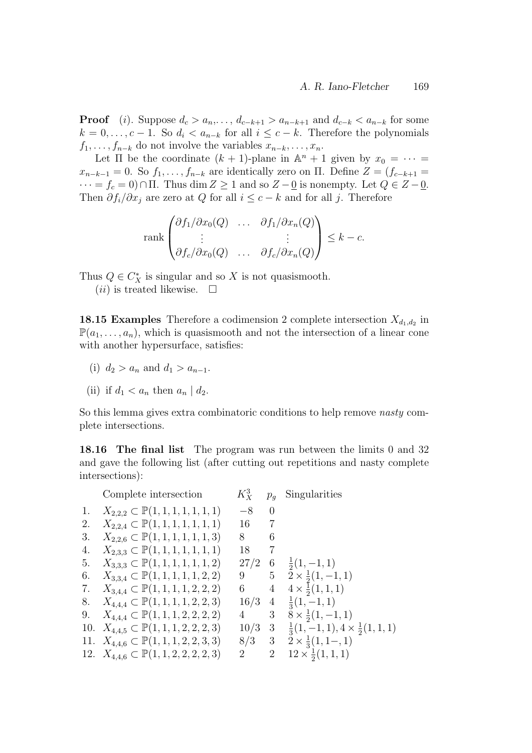**Proof** (i). Suppose  $d_c > a_n, \ldots, d_{c-k+1} > a_{n-k+1}$  and  $d_{c-k} < a_{n-k}$  for some  $k = 0, \ldots, c - 1$ . So  $d_i < a_{n-k}$  for all  $i \leq c - k$ . Therefore the polynomials  $f_1, \ldots, f_{n-k}$  do not involve the variables  $x_{n-k}, \ldots, x_n$ .

Let  $\Pi$  be the coordinate  $(k + 1)$ -plane in  $\mathbb{A}^n + 1$  given by  $x_0 = \cdots =$  $x_{n-k-1} = 0$ . So  $f_1, \ldots, f_{n-k}$  are identically zero on  $\Pi$ . Define  $Z = (f_{c-k+1} =$  $\cdots = f_c = 0$ )∩  $\Pi$ . Thus dim  $Z \ge 1$  and so  $Z - \underline{0}$  is nonempty. Let  $Q \in Z - \underline{0}$ . Then  $\partial f_i/\partial x_j$  are zero at Q for all  $i \leq c - k$  and for all j. Therefore

$$
\operatorname{rank}\begin{pmatrix}\n\partial f_1/\partial x_0(Q) & \dots & \partial f_1/\partial x_n(Q) \\
\vdots & & \vdots \\
\partial f_c/\partial x_0(Q) & \dots & \partial f_c/\partial x_n(Q)\n\end{pmatrix} \leq k - c.
$$

Thus  $Q \in C_X^*$  is singular and so X is not quasismooth.

 $(ii)$  is treated likewise.  $\Box$ 

**18.15 Examples** Therefore a codimension 2 complete intersection  $X_{d_1,d_2}$  in  $\mathbb{P}(a_1,\ldots,a_n)$ , which is quasismooth and not the intersection of a linear cone with another hypersurface, satisfies:

- (i)  $d_2 > a_n$  and  $d_1 > a_{n-1}$ .
- (ii) if  $d_1 < a_n$  then  $a_n | d_2$ .

So this lemma gives extra combinatoric conditions to help remove nasty complete intersections.

18.16 The final list The program was run between the limits 0 and 32 and gave the following list (after cutting out repetitions and nasty complete intersections):

|    | Complete intersection                             | $K_X^3$     | $p_q$          | Singularities                                      |
|----|---------------------------------------------------|-------------|----------------|----------------------------------------------------|
| 1. | $X_{2,2,2} \subset \mathbb{P}(1,1,1,1,1,1,1)$     | $-8$ 0      |                |                                                    |
| 2. | $X_{2,2,4} \subset \mathbb{P}(1,1,1,1,1,1,1)$     | 16 7        |                |                                                    |
| 3. | $X_{2,2,6} \subset \mathbb{P}(1,1,1,1,1,1,3)$     | 8           | 6              |                                                    |
| 4. | $X_{2,3,3} \subset \mathbb{P}(1,1,1,1,1,1,1)$     | 18          | 7              |                                                    |
| 5. | $X_{3,3,3} \subset \mathbb{P}(1,1,1,1,1,1,2)$     | 27/2        | - 6            | $\frac{1}{2}(1,-1,1)$                              |
| 6. | $X_{3,3,4} \subset \mathbb{P}(1,1,1,1,1,2,2)$     | 9 5         |                | $2 \times \frac{1}{2}(1,-1,1)$                     |
|    | 7. $X_{3,4,4} \subset \mathbb{P}(1,1,1,1,2,2,2)$  | $6\quad$    | $\overline{4}$ | $4 \times \frac{1}{2}(1,1,1)$                      |
| 8. | $X_{4,4,4} \subset \mathbb{P}(1,1,1,1,2,2,3)$     | 16/3        | $\overline{4}$ | $\frac{1}{3}(1,-1,1)$                              |
| 9. | $X_{4,4,4} \subset \mathbb{P}(1,1,1,2,2,2,2)$     | $4 \quad 3$ |                | $8 \times \frac{1}{2}(1,-1,1)$                     |
|    | 10. $X_{4,4,5} \subset \mathbb{P}(1,1,1,2,2,2,3)$ | $10/3$ 3    |                | $\frac{1}{3}(1,-1,1), 4 \times \frac{1}{2}(1,1,1)$ |
|    | 11. $X_{4,4,6} \subset \mathbb{P}(1,1,1,2,2,3,3)$ | $8/3$ 3     |                | $2 \times \frac{1}{3}(1, 1, -1)$                   |
|    | 12. $X_{4,4,6} \subset \mathbb{P}(1,1,2,2,2,2,3)$ | 2           | $\overline{2}$ | $12 \times \frac{1}{2}(1,1,1)$                     |
|    |                                                   |             |                |                                                    |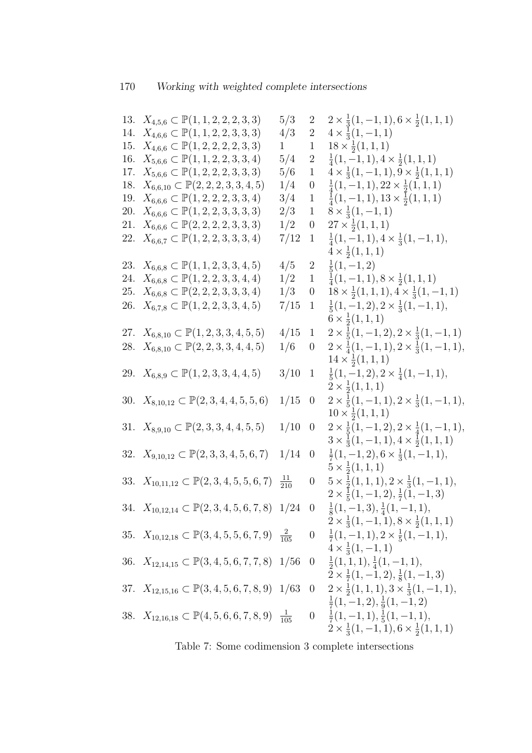|            | 13. $X_{4,5,6} \subset \mathbb{P}(1,1,2,2,2,3,3)$                    | 5/3              | $\overline{2}$   | $2 \times \frac{1}{3}(1,-1,1), 6 \times \frac{1}{2}(1,1,1)$                                                                      |
|------------|----------------------------------------------------------------------|------------------|------------------|----------------------------------------------------------------------------------------------------------------------------------|
| 14.        | $X_{4,6,6} \subset \mathbb{P}(1,1,2,2,3,3,3)$                        | 4/3              | $\overline{2}$   | $4 \times \frac{1}{3}(1,-1,1)$                                                                                                   |
| 15.        | $X_{4,6,6} \subset \mathbb{P}(1,2,2,2,2,3,3)$                        | 1                | $\mathbf{1}$     | $18 \times \frac{1}{2}(1,1,1)$                                                                                                   |
| 16.        | $X_{5,6,6} \subset \mathbb{P}(1,1,2,2,3,3,4)$                        | 5/4              | $\overline{2}$   | $\frac{1}{4}(1,-1,1), 4 \times \frac{1}{2}(1,1,1)$                                                                               |
| 17.        | $X_{5,6,6} \subset \mathbb{P}(1,2,2,2,3,3,3)$                        | 5/6              | $\mathbf{1}$     | $4 \times \frac{1}{3}(1,-1,1), 9 \times \frac{1}{2}(1,1,1)$                                                                      |
| 18.        | $X_{6,6,10} \subset \mathbb{P}(2,2,2,3,3,4,5)$                       | 1/4              | $\boldsymbol{0}$ | $\frac{1}{4}(1,-1,1), 22 \times \frac{1}{2}(1,1,1)$                                                                              |
| 19.        | $X_{6,6,6} \subset \mathbb{P}(1,2,2,2,3,3,4)$                        | 3/4              | $\mathbf{1}$     | $\frac{1}{4}(1,-1,1), 13 \times \frac{1}{2}(1,1,1)$                                                                              |
| <b>20.</b> | $X_{6,6,6} \subset \mathbb{P}(1,2,2,3,3,3,3)$                        | 2/3              | $\mathbf{1}$     | $8 \times \frac{1}{3}(1,-1,1)$                                                                                                   |
| 21.        | $X_{6,6,6} \subset \mathbb{P}(2,2,2,2,3,3,3)$                        | 1/2              | $\boldsymbol{0}$ | $27 \times \frac{1}{2}(1, 1, 1)$                                                                                                 |
|            | 22. $X_{6,6,7} \subset \mathbb{P}(1,2,2,3,3,3,4)$                    | 7/12             | $\mathbf{1}$     | $\frac{1}{4}(1,-1,1), 4 \times \frac{1}{3}(1,-1,1),$<br>$4 \times \frac{1}{2}(1,1,1)$                                            |
| 23.        | $X_{6,6,8} \subset \mathbb{P}(1,1,2,3,3,4,5)$                        | 4/5              | $\overline{2}$   | $\frac{1}{5}(1,-1,2)$                                                                                                            |
| 24.        | $X_{6,6,8} \subset \mathbb{P}(1,2,2,3,3,4,4)$                        | 1/2              | $\mathbf{1}$     | $\frac{1}{4}(1,-1,1), 8 \times \frac{1}{2}(1,1,1)$                                                                               |
| 25.        | $X_{6,6,8} \subset \mathbb{P}(2,2,2,3,3,3,4)$                        | 1/3              | $\boldsymbol{0}$ | $18 \times \frac{1}{2}(1,1,1), 4 \times \frac{1}{3}(1,-1,1)$                                                                     |
| 26.        | $X_{6,7,8} \subset \mathbb{P}(1,2,2,3,3,4,5)$                        | 7/15             | $\mathbf{1}$     | $\frac{1}{5}(1,-1,2), 2 \times \frac{1}{3}(1,-1,1),$<br>$6 \times \frac{1}{2}(1,1,1)$                                            |
|            | 27. $X_{6,8,10} \subset \mathbb{P}(1,2,3,3,4,5,5)$                   | 4/15             | $\mathbf{1}$     | $2 \times \frac{1}{5}(1,-1,2), 2 \times \frac{1}{3}(1,-1,1)$                                                                     |
|            | 28. $X_{6,8,10} \subset \mathbb{P}(2,2,3,3,4,4,5)$                   | 1/6              | $\theta$         | $2 \times \frac{1}{4}(1,-1,1), 2 \times \frac{1}{3}(1,-1,1),$                                                                    |
|            |                                                                      |                  |                  | $14 \times \frac{1}{2}(1, 1, 1)$                                                                                                 |
|            | 29. $X_{6,8,9} \subset \mathbb{P}(1,2,3,3,4,4,5)$                    | 3/10             | $\mathbf{1}$     | $\frac{1}{5}(1,-1,2), 2 \times \frac{1}{4}(1,-1,1),$<br>$2 \times \frac{1}{2}(1,1,1)$                                            |
|            | 30. $X_{8,10,12} \subset \mathbb{P}(2,3,4,4,5,5,6)$                  | 1/15             | $\theta$         | $2 \times \frac{1}{5}(1,-1,1), 2 \times \frac{1}{3}(1,-1,1),$<br>$10 \times \frac{1}{2}(1, 1, 1)$                                |
|            | 31. $X_{8,9,10} \subset \mathbb{P}(2,3,3,4,4,5,5)$                   | 1/10             | $\theta$         | $2 \times \frac{1}{5}(1,-1,2), 2 \times \frac{1}{4}(1,-1,1),$<br>$3 \times \frac{1}{3}(1, -1, 1), 4 \times \frac{1}{2}(1, 1, 1)$ |
|            | 32. $X_{9,10,12} \subset \mathbb{P}(2,3,3,4,5,6,7)$                  | 1/14             | $\theta$         | $\frac{1}{7}(1,-1,2), 6 \times \frac{1}{3}(1,-1,1),$                                                                             |
|            | 33. $X_{10,11,12} \subset \mathbb{P}(2,3,4,5,5,6,7)$                 | $\frac{11}{210}$ | $\boldsymbol{0}$ | $5 \times \frac{1}{2}(1, 1, 1)$<br>$5 \times \frac{1}{2}(1,1,1), 2 \times \frac{1}{3}(1,-1,1),$                                  |
|            |                                                                      |                  |                  | $2 \times \frac{1}{5}(1,-1,2), \frac{1}{7}(1,-1,3)$                                                                              |
|            | 34. $X_{10,12,14} \subset \mathbb{P}(2,3,4,5,6,7,8)$ 1/24 0          |                  |                  | $\frac{1}{8}(1,-1,3), \frac{1}{4}(1,-1,1),$<br>$2 \times \frac{1}{3}(1,-1,1), 8 \times \frac{1}{2}(1,1,1)$                       |
|            | 35. $X_{10,12,18} \subset \mathbb{P}(3,4,5,5,6,7,9)$ $\frac{2}{105}$ |                  |                  | $0 \frac{1}{7}(1,-1,1), 2 \times \frac{1}{5}(1,-1,1),$<br>$4 \times \frac{1}{3}(1,-1,1)$                                         |
|            | 36. $X_{12,14,15} \subset \mathbb{P}(3,4,5,6,7,7,8)$ 1/56            |                  |                  | $0 \frac{1}{2}(1,1,1), \frac{1}{4}(1,-1,1),$                                                                                     |
|            | 37. $X_{12,15,16} \subset \mathbb{P}(3,4,5,6,7,8,9)$ 1/63            |                  |                  | $2 \times \frac{1}{7}(1,-1,2), \frac{1}{8}(1,-1,3)$<br>0 $2 \times \frac{1}{2}(1,1,1), 3 \times \frac{1}{3}(1,-1,1),$            |
|            |                                                                      |                  |                  | $\frac{1}{7}(1,-1,2),\frac{1}{9}(1,-1,2)$                                                                                        |
|            | 38. $X_{12,16,18} \subset \mathbb{P}(4,5,6,6,7,8,9)$ $\frac{1}{105}$ |                  |                  | $0 \frac{1}{7}(1,-1,1), \frac{1}{5}(1,-1,1),$<br>$2 \times \frac{1}{3}(1,-1,1), 6 \times \frac{1}{2}(1,1,1)$                     |

Table 7: Some codimension 3 complete intersections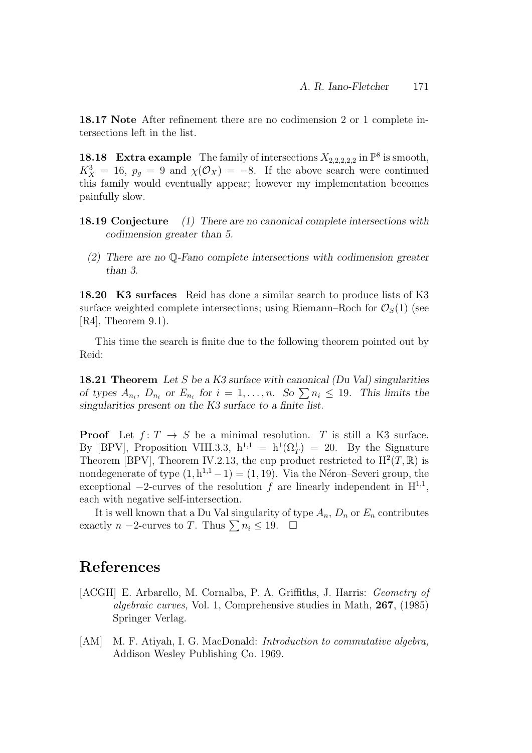18.17 Note After refinement there are no codimension 2 or 1 complete intersections left in the list.

**18.18** Extra example The family of intersections  $X_{2,2,2,2,2}$  in  $\mathbb{P}^8$  is smooth,  $K_X^3 = 16$ ,  $p_g = 9$  and  $\chi(\mathcal{O}_X) = -8$ . If the above search were continued this family would eventually appear; however my implementation becomes painfully slow.

- 18.19 Conjecture (1) There are no canonical complete intersections with codimension greater than 5.
	- (2) There are no Q-Fano complete intersections with codimension greater than 3.

18.20 K3 surfaces Reid has done a similar search to produce lists of K3 surface weighted complete intersections; using Riemann–Roch for  $\mathcal{O}_S(1)$  (see  $[R4]$ , Theorem 9.1).

This time the search is finite due to the following theorem pointed out by Reid:

**18.21 Theorem** Let S be a K3 surface with canonical (Du Val) singularities of types  $A_{n_i}$ ,  $D_{n_i}$  or  $E_{n_i}$  for  $i = 1, ..., n$ . So  $\sum n_i \leq 19$ . This limits the singularities present on the K3 surface to a finite list.

**Proof** Let  $f: T \to S$  be a minimal resolution. T is still a K3 surface. By [BPV], Proposition VIII.3.3,  $h^{1,1} = h^1(\Omega_T^1) = 20$ . By the Signature Theorem [BPV], Theorem IV.2.13, the cup product restricted to  $H^2(T,\mathbb{R})$  is nondegenerate of type  $(1, h^{1,1} - 1) = (1, 19)$ . Via the Néron–Severi group, the exceptional  $-2$ -curves of the resolution f are linearly independent in  $H^{1,1}$ , each with negative self-intersection.

It is well known that a Du Val singularity of type  $A_n$ ,  $D_n$  or  $E_n$  contributes exactly *n* −2-curves to *T*. Thus  $\sum n_i \leq 19$ .  $\Box$ 

# References

- [ACGH] E. Arbarello, M. Cornalba, P. A. Griffiths, J. Harris: Geometry of algebraic curves, Vol. 1, Comprehensive studies in Math, 267, (1985) Springer Verlag.
- [AM] M. F. Atiyah, I. G. MacDonald: *Introduction to commutative algebra*, Addison Wesley Publishing Co. 1969.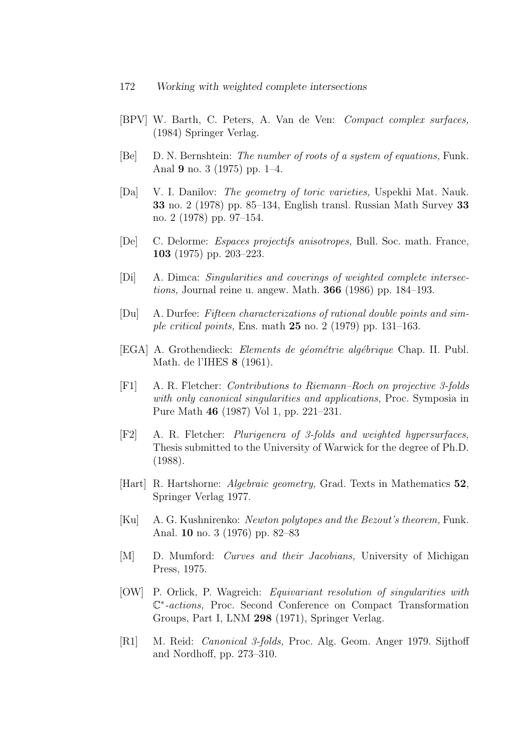- [BPV] W. Barth, C. Peters, A. Van de Ven: Compact complex surfaces, (1984) Springer Verlag.
- [Be] D. N. Bernshtein: The number of roots of a system of equations, Funk. Anal 9 no. 3 (1975) pp. 1–4.
- [Da] V. I. Danilov: The geometry of toric varieties, Uspekhi Mat. Nauk. 33 no. 2 (1978) pp. 85–134, English transl. Russian Math Survey 33 no. 2 (1978) pp. 97–154.
- [De] C. Delorme: Espaces projectifs anisotropes, Bull. Soc. math. France, 103 (1975) pp. 203–223.
- [Di] A. Dimca: Singularities and coverings of weighted complete intersections, Journal reine u. angew. Math. 366 (1986) pp. 184–193.
- [Du] A. Durfee: Fifteen characterizations of rational double points and simple critical points, Ens. math  $25$  no. 2 (1979) pp. 131–163.
- [EGA] A. Grothendieck: *Elements de géométrie algébrique* Chap. II. Publ. Math. de l'IHES 8 (1961).
- [F1] A. R. Fletcher: Contributions to Riemann–Roch on projective 3-folds with only canonical singularities and applications, Proc. Symposia in Pure Math 46 (1987) Vol 1, pp. 221–231.
- [F2] A. R. Fletcher: Plurigenera of 3-folds and weighted hypersurfaces, Thesis submitted to the University of Warwick for the degree of Ph.D. (1988).
- [Hart] R. Hartshorne: Algebraic geometry, Grad. Texts in Mathematics 52, Springer Verlag 1977.
- [Ku] A. G. Kushnirenko: Newton polytopes and the Bezout's theorem, Funk. Anal. 10 no. 3 (1976) pp. 82–83
- [M] D. Mumford: Curves and their Jacobians, University of Michigan Press, 1975.
- [OW] P. Orlick, P. Wagreich: Equivariant resolution of singularities with C ∗ -actions, Proc. Second Conference on Compact Transformation Groups, Part I, LNM 298 (1971), Springer Verlag.
- [R1] M. Reid: Canonical 3-folds, Proc. Alg. Geom. Anger 1979. Sijthoff and Nordhoff, pp. 273–310.